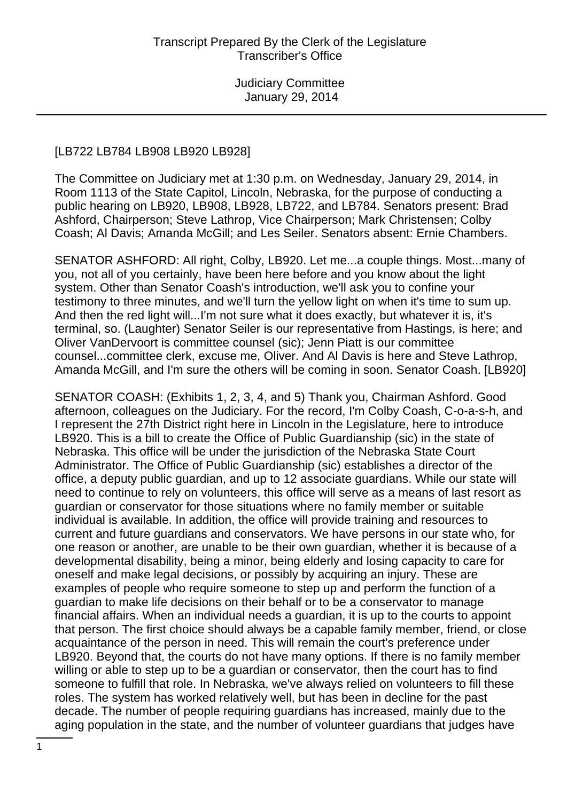#### [LB722 LB784 LB908 LB920 LB928]

The Committee on Judiciary met at 1:30 p.m. on Wednesday, January 29, 2014, in Room 1113 of the State Capitol, Lincoln, Nebraska, for the purpose of conducting a public hearing on LB920, LB908, LB928, LB722, and LB784. Senators present: Brad Ashford, Chairperson; Steve Lathrop, Vice Chairperson; Mark Christensen; Colby Coash; Al Davis; Amanda McGill; and Les Seiler. Senators absent: Ernie Chambers.

SENATOR ASHFORD: All right, Colby, LB920. Let me...a couple things. Most...many of you, not all of you certainly, have been here before and you know about the light system. Other than Senator Coash's introduction, we'll ask you to confine your testimony to three minutes, and we'll turn the yellow light on when it's time to sum up. And then the red light will...I'm not sure what it does exactly, but whatever it is, it's terminal, so. (Laughter) Senator Seiler is our representative from Hastings, is here; and Oliver VanDervoort is committee counsel (sic); Jenn Piatt is our committee counsel...committee clerk, excuse me, Oliver. And Al Davis is here and Steve Lathrop, Amanda McGill, and I'm sure the others will be coming in soon. Senator Coash. [LB920]

SENATOR COASH: (Exhibits 1, 2, 3, 4, and 5) Thank you, Chairman Ashford. Good afternoon, colleagues on the Judiciary. For the record, I'm Colby Coash, C-o-a-s-h, and I represent the 27th District right here in Lincoln in the Legislature, here to introduce LB920. This is a bill to create the Office of Public Guardianship (sic) in the state of Nebraska. This office will be under the jurisdiction of the Nebraska State Court Administrator. The Office of Public Guardianship (sic) establishes a director of the office, a deputy public guardian, and up to 12 associate guardians. While our state will need to continue to rely on volunteers, this office will serve as a means of last resort as guardian or conservator for those situations where no family member or suitable individual is available. In addition, the office will provide training and resources to current and future guardians and conservators. We have persons in our state who, for one reason or another, are unable to be their own guardian, whether it is because of a developmental disability, being a minor, being elderly and losing capacity to care for oneself and make legal decisions, or possibly by acquiring an injury. These are examples of people who require someone to step up and perform the function of a guardian to make life decisions on their behalf or to be a conservator to manage financial affairs. When an individual needs a guardian, it is up to the courts to appoint that person. The first choice should always be a capable family member, friend, or close acquaintance of the person in need. This will remain the court's preference under LB920. Beyond that, the courts do not have many options. If there is no family member willing or able to step up to be a guardian or conservator, then the court has to find someone to fulfill that role. In Nebraska, we've always relied on volunteers to fill these roles. The system has worked relatively well, but has been in decline for the past decade. The number of people requiring guardians has increased, mainly due to the aging population in the state, and the number of volunteer guardians that judges have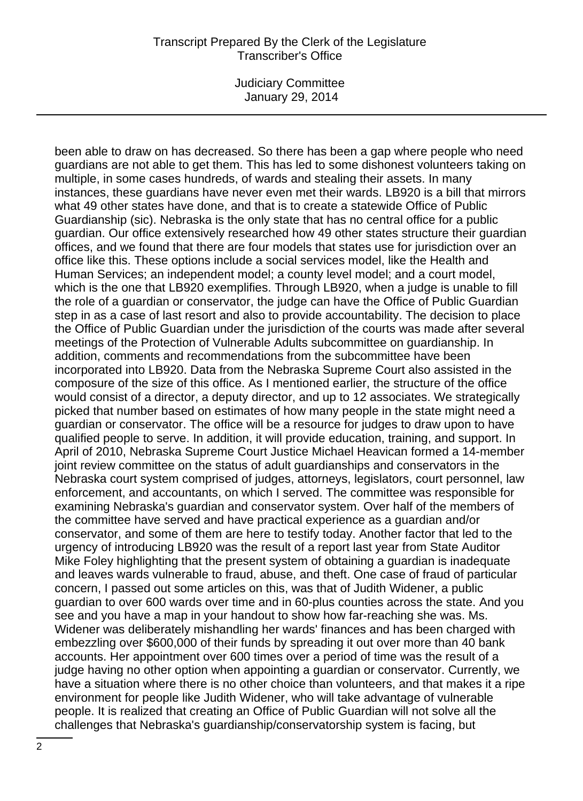Judiciary Committee January 29, 2014

been able to draw on has decreased. So there has been a gap where people who need guardians are not able to get them. This has led to some dishonest volunteers taking on multiple, in some cases hundreds, of wards and stealing their assets. In many instances, these guardians have never even met their wards. LB920 is a bill that mirrors what 49 other states have done, and that is to create a statewide Office of Public Guardianship (sic). Nebraska is the only state that has no central office for a public guardian. Our office extensively researched how 49 other states structure their guardian offices, and we found that there are four models that states use for jurisdiction over an office like this. These options include a social services model, like the Health and Human Services; an independent model; a county level model; and a court model, which is the one that LB920 exemplifies. Through LB920, when a judge is unable to fill the role of a guardian or conservator, the judge can have the Office of Public Guardian step in as a case of last resort and also to provide accountability. The decision to place the Office of Public Guardian under the jurisdiction of the courts was made after several meetings of the Protection of Vulnerable Adults subcommittee on guardianship. In addition, comments and recommendations from the subcommittee have been incorporated into LB920. Data from the Nebraska Supreme Court also assisted in the composure of the size of this office. As I mentioned earlier, the structure of the office would consist of a director, a deputy director, and up to 12 associates. We strategically picked that number based on estimates of how many people in the state might need a guardian or conservator. The office will be a resource for judges to draw upon to have qualified people to serve. In addition, it will provide education, training, and support. In April of 2010, Nebraska Supreme Court Justice Michael Heavican formed a 14-member joint review committee on the status of adult guardianships and conservators in the Nebraska court system comprised of judges, attorneys, legislators, court personnel, law enforcement, and accountants, on which I served. The committee was responsible for examining Nebraska's guardian and conservator system. Over half of the members of the committee have served and have practical experience as a guardian and/or conservator, and some of them are here to testify today. Another factor that led to the urgency of introducing LB920 was the result of a report last year from State Auditor Mike Foley highlighting that the present system of obtaining a guardian is inadequate and leaves wards vulnerable to fraud, abuse, and theft. One case of fraud of particular concern, I passed out some articles on this, was that of Judith Widener, a public guardian to over 600 wards over time and in 60-plus counties across the state. And you see and you have a map in your handout to show how far-reaching she was. Ms. Widener was deliberately mishandling her wards' finances and has been charged with embezzling over \$600,000 of their funds by spreading it out over more than 40 bank accounts. Her appointment over 600 times over a period of time was the result of a judge having no other option when appointing a guardian or conservator. Currently, we have a situation where there is no other choice than volunteers, and that makes it a ripe environment for people like Judith Widener, who will take advantage of vulnerable people. It is realized that creating an Office of Public Guardian will not solve all the challenges that Nebraska's guardianship/conservatorship system is facing, but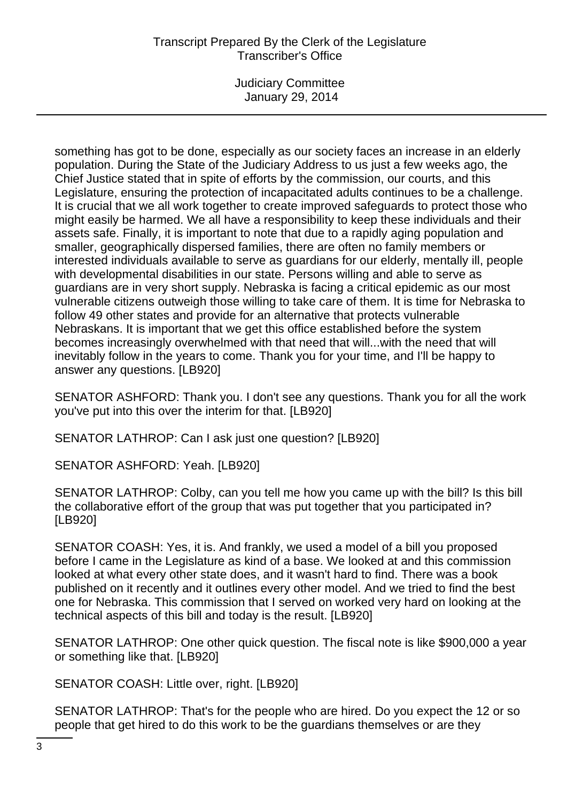Judiciary Committee January 29, 2014

something has got to be done, especially as our society faces an increase in an elderly population. During the State of the Judiciary Address to us just a few weeks ago, the Chief Justice stated that in spite of efforts by the commission, our courts, and this Legislature, ensuring the protection of incapacitated adults continues to be a challenge. It is crucial that we all work together to create improved safeguards to protect those who might easily be harmed. We all have a responsibility to keep these individuals and their assets safe. Finally, it is important to note that due to a rapidly aging population and smaller, geographically dispersed families, there are often no family members or interested individuals available to serve as guardians for our elderly, mentally ill, people with developmental disabilities in our state. Persons willing and able to serve as guardians are in very short supply. Nebraska is facing a critical epidemic as our most vulnerable citizens outweigh those willing to take care of them. It is time for Nebraska to follow 49 other states and provide for an alternative that protects vulnerable Nebraskans. It is important that we get this office established before the system becomes increasingly overwhelmed with that need that will...with the need that will inevitably follow in the years to come. Thank you for your time, and I'll be happy to answer any questions. [LB920]

SENATOR ASHFORD: Thank you. I don't see any questions. Thank you for all the work you've put into this over the interim for that. [LB920]

SENATOR LATHROP: Can I ask just one question? [LB920]

SENATOR ASHFORD: Yeah. [LB920]

SENATOR LATHROP: Colby, can you tell me how you came up with the bill? Is this bill the collaborative effort of the group that was put together that you participated in? [LB920]

SENATOR COASH: Yes, it is. And frankly, we used a model of a bill you proposed before I came in the Legislature as kind of a base. We looked at and this commission looked at what every other state does, and it wasn't hard to find. There was a book published on it recently and it outlines every other model. And we tried to find the best one for Nebraska. This commission that I served on worked very hard on looking at the technical aspects of this bill and today is the result. [LB920]

SENATOR LATHROP: One other quick question. The fiscal note is like \$900,000 a year or something like that. [LB920]

SENATOR COASH: Little over, right. [LB920]

SENATOR LATHROP: That's for the people who are hired. Do you expect the 12 or so people that get hired to do this work to be the guardians themselves or are they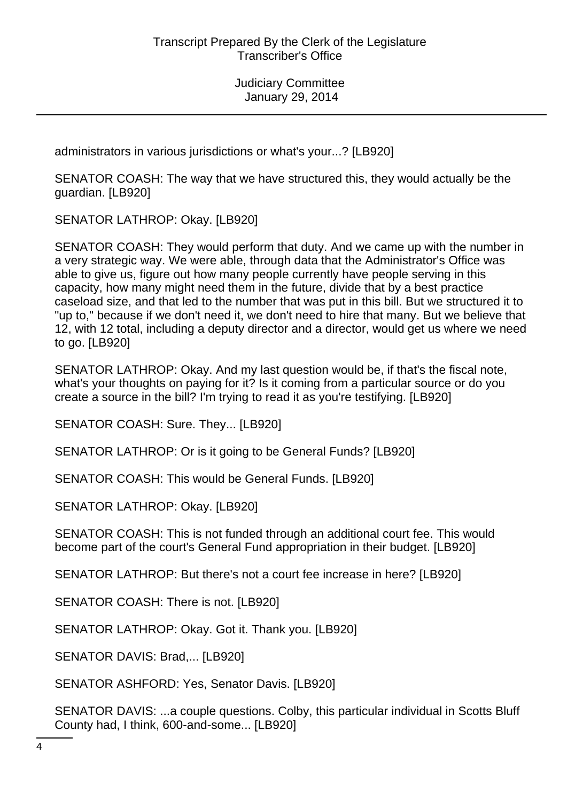administrators in various jurisdictions or what's your...? [LB920]

SENATOR COASH: The way that we have structured this, they would actually be the guardian. [LB920]

SENATOR LATHROP: Okay. [LB920]

SENATOR COASH: They would perform that duty. And we came up with the number in a very strategic way. We were able, through data that the Administrator's Office was able to give us, figure out how many people currently have people serving in this capacity, how many might need them in the future, divide that by a best practice caseload size, and that led to the number that was put in this bill. But we structured it to "up to," because if we don't need it, we don't need to hire that many. But we believe that 12, with 12 total, including a deputy director and a director, would get us where we need to go. [LB920]

SENATOR LATHROP: Okay. And my last question would be, if that's the fiscal note, what's your thoughts on paying for it? Is it coming from a particular source or do you create a source in the bill? I'm trying to read it as you're testifying. [LB920]

SENATOR COASH: Sure. They... [LB920]

SENATOR LATHROP: Or is it going to be General Funds? [LB920]

SENATOR COASH: This would be General Funds. [LB920]

SENATOR LATHROP: Okay. [LB920]

SENATOR COASH: This is not funded through an additional court fee. This would become part of the court's General Fund appropriation in their budget. [LB920]

SENATOR LATHROP: But there's not a court fee increase in here? [LB920]

SENATOR COASH: There is not. [LB920]

SENATOR LATHROP: Okay. Got it. Thank you. [LB920]

SENATOR DAVIS: Brad,... [LB920]

SENATOR ASHFORD: Yes, Senator Davis. [LB920]

SENATOR DAVIS: ...a couple questions. Colby, this particular individual in Scotts Bluff County had, I think, 600-and-some... [LB920]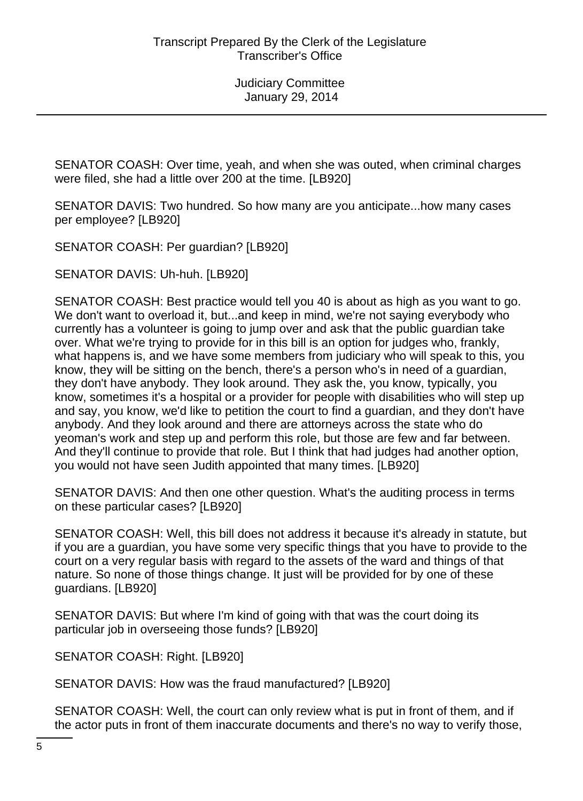SENATOR COASH: Over time, yeah, and when she was outed, when criminal charges were filed, she had a little over 200 at the time. [LB920]

SENATOR DAVIS: Two hundred. So how many are you anticipate...how many cases per employee? [LB920]

SENATOR COASH: Per guardian? [LB920]

SENATOR DAVIS: Uh-huh. [LB920]

SENATOR COASH: Best practice would tell you 40 is about as high as you want to go. We don't want to overload it, but...and keep in mind, we're not saying everybody who currently has a volunteer is going to jump over and ask that the public guardian take over. What we're trying to provide for in this bill is an option for judges who, frankly, what happens is, and we have some members from judiciary who will speak to this, you know, they will be sitting on the bench, there's a person who's in need of a guardian, they don't have anybody. They look around. They ask the, you know, typically, you know, sometimes it's a hospital or a provider for people with disabilities who will step up and say, you know, we'd like to petition the court to find a guardian, and they don't have anybody. And they look around and there are attorneys across the state who do yeoman's work and step up and perform this role, but those are few and far between. And they'll continue to provide that role. But I think that had judges had another option, you would not have seen Judith appointed that many times. [LB920]

SENATOR DAVIS: And then one other question. What's the auditing process in terms on these particular cases? [LB920]

SENATOR COASH: Well, this bill does not address it because it's already in statute, but if you are a guardian, you have some very specific things that you have to provide to the court on a very regular basis with regard to the assets of the ward and things of that nature. So none of those things change. It just will be provided for by one of these guardians. [LB920]

SENATOR DAVIS: But where I'm kind of going with that was the court doing its particular job in overseeing those funds? [LB920]

SENATOR COASH: Right. [LB920]

SENATOR DAVIS: How was the fraud manufactured? [LB920]

SENATOR COASH: Well, the court can only review what is put in front of them, and if the actor puts in front of them inaccurate documents and there's no way to verify those,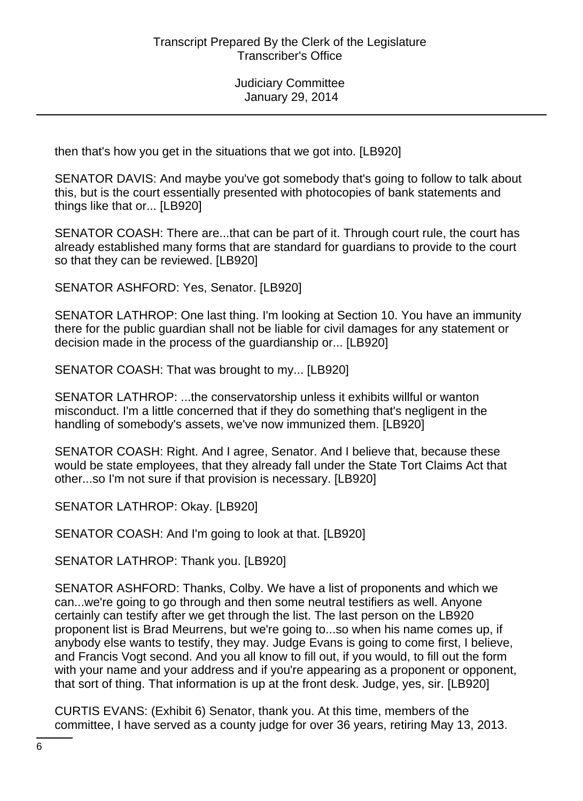then that's how you get in the situations that we got into. [LB920]

SENATOR DAVIS: And maybe you've got somebody that's going to follow to talk about this, but is the court essentially presented with photocopies of bank statements and things like that or... [LB920]

SENATOR COASH: There are...that can be part of it. Through court rule, the court has already established many forms that are standard for guardians to provide to the court so that they can be reviewed. [LB920]

SENATOR ASHFORD: Yes, Senator. [LB920]

SENATOR LATHROP: One last thing. I'm looking at Section 10. You have an immunity there for the public guardian shall not be liable for civil damages for any statement or decision made in the process of the guardianship or... [LB920]

SENATOR COASH: That was brought to my... [LB920]

SENATOR LATHROP: ...the conservatorship unless it exhibits willful or wanton misconduct. I'm a little concerned that if they do something that's negligent in the handling of somebody's assets, we've now immunized them. [LB920]

SENATOR COASH: Right. And I agree, Senator. And I believe that, because these would be state employees, that they already fall under the State Tort Claims Act that other...so I'm not sure if that provision is necessary. [LB920]

SENATOR LATHROP: Okay. [LB920]

SENATOR COASH: And I'm going to look at that. [LB920]

SENATOR LATHROP: Thank you. [LB920]

SENATOR ASHFORD: Thanks, Colby. We have a list of proponents and which we can...we're going to go through and then some neutral testifiers as well. Anyone certainly can testify after we get through the list. The last person on the LB920 proponent list is Brad Meurrens, but we're going to...so when his name comes up, if anybody else wants to testify, they may. Judge Evans is going to come first, I believe, and Francis Vogt second. And you all know to fill out, if you would, to fill out the form with your name and your address and if you're appearing as a proponent or opponent, that sort of thing. That information is up at the front desk. Judge, yes, sir. [LB920]

CURTIS EVANS: (Exhibit 6) Senator, thank you. At this time, members of the committee, I have served as a county judge for over 36 years, retiring May 13, 2013.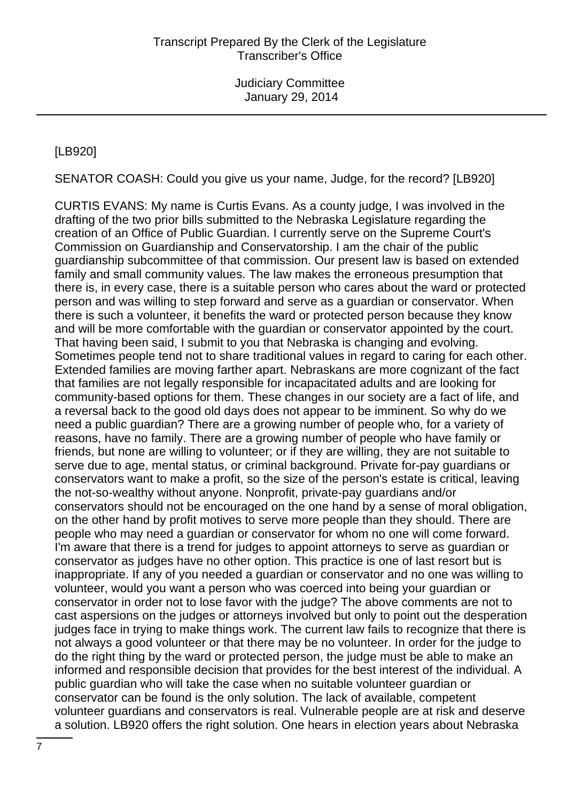# [LB920]

SENATOR COASH: Could you give us your name, Judge, for the record? [LB920]

CURTIS EVANS: My name is Curtis Evans. As a county judge, I was involved in the drafting of the two prior bills submitted to the Nebraska Legislature regarding the creation of an Office of Public Guardian. I currently serve on the Supreme Court's Commission on Guardianship and Conservatorship. I am the chair of the public guardianship subcommittee of that commission. Our present law is based on extended family and small community values. The law makes the erroneous presumption that there is, in every case, there is a suitable person who cares about the ward or protected person and was willing to step forward and serve as a guardian or conservator. When there is such a volunteer, it benefits the ward or protected person because they know and will be more comfortable with the guardian or conservator appointed by the court. That having been said, I submit to you that Nebraska is changing and evolving. Sometimes people tend not to share traditional values in regard to caring for each other. Extended families are moving farther apart. Nebraskans are more cognizant of the fact that families are not legally responsible for incapacitated adults and are looking for community-based options for them. These changes in our society are a fact of life, and a reversal back to the good old days does not appear to be imminent. So why do we need a public guardian? There are a growing number of people who, for a variety of reasons, have no family. There are a growing number of people who have family or friends, but none are willing to volunteer; or if they are willing, they are not suitable to serve due to age, mental status, or criminal background. Private for-pay guardians or conservators want to make a profit, so the size of the person's estate is critical, leaving the not-so-wealthy without anyone. Nonprofit, private-pay guardians and/or conservators should not be encouraged on the one hand by a sense of moral obligation, on the other hand by profit motives to serve more people than they should. There are people who may need a guardian or conservator for whom no one will come forward. I'm aware that there is a trend for judges to appoint attorneys to serve as guardian or conservator as judges have no other option. This practice is one of last resort but is inappropriate. If any of you needed a guardian or conservator and no one was willing to volunteer, would you want a person who was coerced into being your guardian or conservator in order not to lose favor with the judge? The above comments are not to cast aspersions on the judges or attorneys involved but only to point out the desperation judges face in trying to make things work. The current law fails to recognize that there is not always a good volunteer or that there may be no volunteer. In order for the judge to do the right thing by the ward or protected person, the judge must be able to make an informed and responsible decision that provides for the best interest of the individual. A public guardian who will take the case when no suitable volunteer guardian or conservator can be found is the only solution. The lack of available, competent volunteer guardians and conservators is real. Vulnerable people are at risk and deserve a solution. LB920 offers the right solution. One hears in election years about Nebraska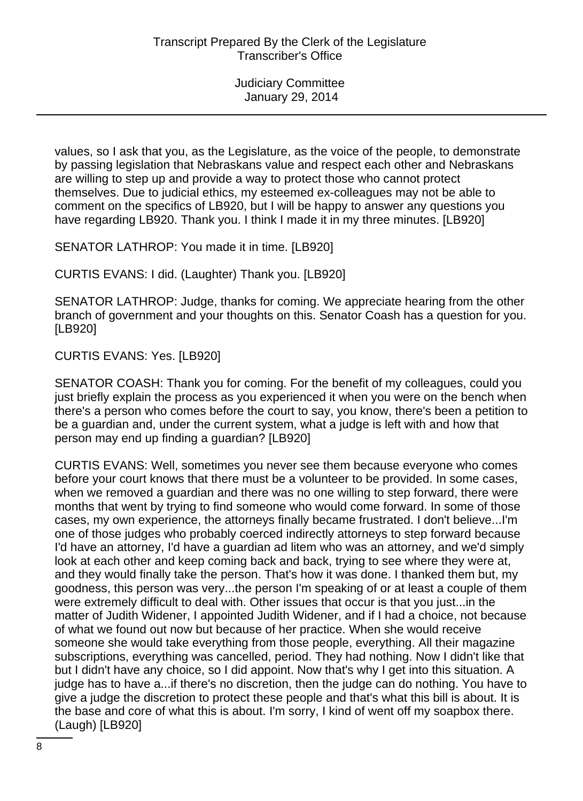values, so I ask that you, as the Legislature, as the voice of the people, to demonstrate by passing legislation that Nebraskans value and respect each other and Nebraskans are willing to step up and provide a way to protect those who cannot protect themselves. Due to judicial ethics, my esteemed ex-colleagues may not be able to comment on the specifics of LB920, but I will be happy to answer any questions you have regarding LB920. Thank you. I think I made it in my three minutes. [LB920]

SENATOR LATHROP: You made it in time. [LB920]

CURTIS EVANS: I did. (Laughter) Thank you. [LB920]

SENATOR LATHROP: Judge, thanks for coming. We appreciate hearing from the other branch of government and your thoughts on this. Senator Coash has a question for you. [LB920]

CURTIS EVANS: Yes. [LB920]

SENATOR COASH: Thank you for coming. For the benefit of my colleagues, could you just briefly explain the process as you experienced it when you were on the bench when there's a person who comes before the court to say, you know, there's been a petition to be a guardian and, under the current system, what a judge is left with and how that person may end up finding a guardian? [LB920]

CURTIS EVANS: Well, sometimes you never see them because everyone who comes before your court knows that there must be a volunteer to be provided. In some cases, when we removed a guardian and there was no one willing to step forward, there were months that went by trying to find someone who would come forward. In some of those cases, my own experience, the attorneys finally became frustrated. I don't believe...I'm one of those judges who probably coerced indirectly attorneys to step forward because I'd have an attorney, I'd have a guardian ad litem who was an attorney, and we'd simply look at each other and keep coming back and back, trying to see where they were at, and they would finally take the person. That's how it was done. I thanked them but, my goodness, this person was very...the person I'm speaking of or at least a couple of them were extremely difficult to deal with. Other issues that occur is that you just...in the matter of Judith Widener, I appointed Judith Widener, and if I had a choice, not because of what we found out now but because of her practice. When she would receive someone she would take everything from those people, everything. All their magazine subscriptions, everything was cancelled, period. They had nothing. Now I didn't like that but I didn't have any choice, so I did appoint. Now that's why I get into this situation. A judge has to have a...if there's no discretion, then the judge can do nothing. You have to give a judge the discretion to protect these people and that's what this bill is about. It is the base and core of what this is about. I'm sorry, I kind of went off my soapbox there. (Laugh) [LB920]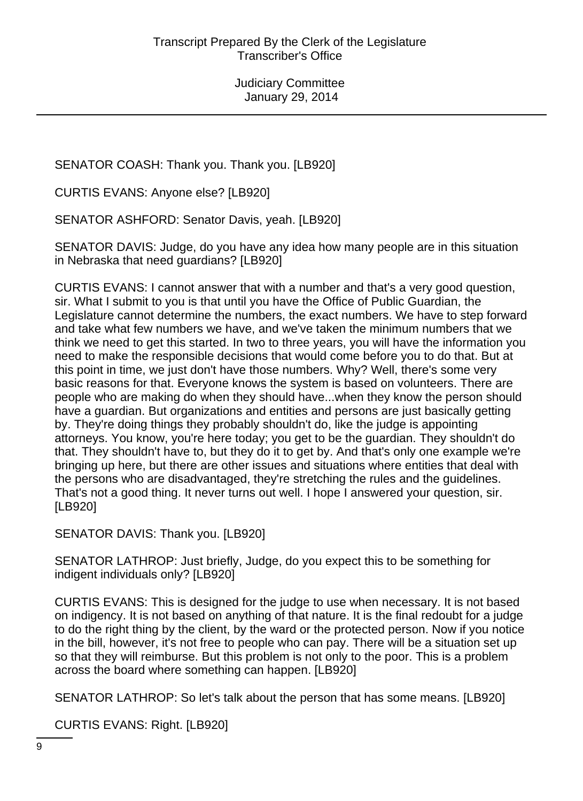SENATOR COASH: Thank you. Thank you. [LB920]

CURTIS EVANS: Anyone else? [LB920]

SENATOR ASHFORD: Senator Davis, yeah. [LB920]

SENATOR DAVIS: Judge, do you have any idea how many people are in this situation in Nebraska that need guardians? [LB920]

CURTIS EVANS: I cannot answer that with a number and that's a very good question, sir. What I submit to you is that until you have the Office of Public Guardian, the Legislature cannot determine the numbers, the exact numbers. We have to step forward and take what few numbers we have, and we've taken the minimum numbers that we think we need to get this started. In two to three years, you will have the information you need to make the responsible decisions that would come before you to do that. But at this point in time, we just don't have those numbers. Why? Well, there's some very basic reasons for that. Everyone knows the system is based on volunteers. There are people who are making do when they should have...when they know the person should have a guardian. But organizations and entities and persons are just basically getting by. They're doing things they probably shouldn't do, like the judge is appointing attorneys. You know, you're here today; you get to be the guardian. They shouldn't do that. They shouldn't have to, but they do it to get by. And that's only one example we're bringing up here, but there are other issues and situations where entities that deal with the persons who are disadvantaged, they're stretching the rules and the guidelines. That's not a good thing. It never turns out well. I hope I answered your question, sir. [LB920]

SENATOR DAVIS: Thank you. [LB920]

SENATOR LATHROP: Just briefly, Judge, do you expect this to be something for indigent individuals only? [LB920]

CURTIS EVANS: This is designed for the judge to use when necessary. It is not based on indigency. It is not based on anything of that nature. It is the final redoubt for a judge to do the right thing by the client, by the ward or the protected person. Now if you notice in the bill, however, it's not free to people who can pay. There will be a situation set up so that they will reimburse. But this problem is not only to the poor. This is a problem across the board where something can happen. [LB920]

SENATOR LATHROP: So let's talk about the person that has some means. [LB920]

CURTIS EVANS: Right. [LB920]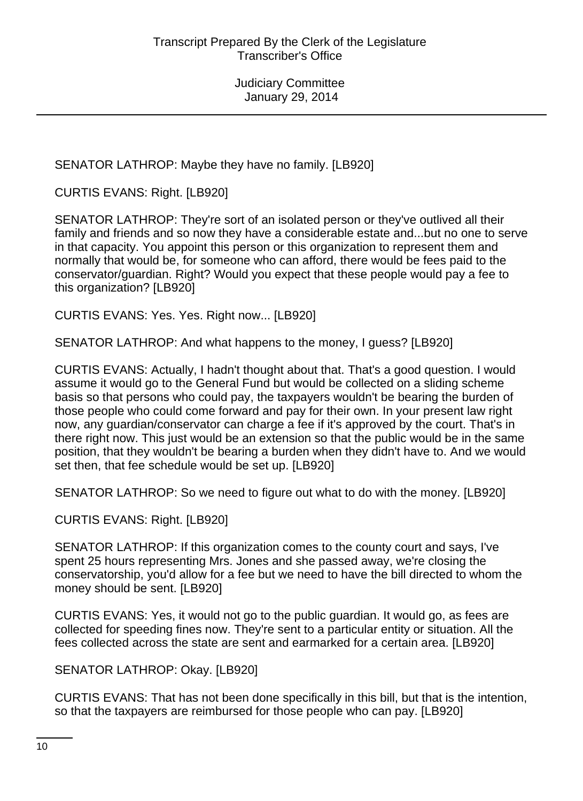SENATOR LATHROP: Maybe they have no family. [LB920]

CURTIS EVANS: Right. [LB920]

SENATOR LATHROP: They're sort of an isolated person or they've outlived all their family and friends and so now they have a considerable estate and...but no one to serve in that capacity. You appoint this person or this organization to represent them and normally that would be, for someone who can afford, there would be fees paid to the conservator/guardian. Right? Would you expect that these people would pay a fee to this organization? [LB920]

CURTIS EVANS: Yes. Yes. Right now... [LB920]

SENATOR LATHROP: And what happens to the money, I guess? [LB920]

CURTIS EVANS: Actually, I hadn't thought about that. That's a good question. I would assume it would go to the General Fund but would be collected on a sliding scheme basis so that persons who could pay, the taxpayers wouldn't be bearing the burden of those people who could come forward and pay for their own. In your present law right now, any guardian/conservator can charge a fee if it's approved by the court. That's in there right now. This just would be an extension so that the public would be in the same position, that they wouldn't be bearing a burden when they didn't have to. And we would set then, that fee schedule would be set up. [LB920]

SENATOR LATHROP: So we need to figure out what to do with the money. [LB920]

CURTIS EVANS: Right. [LB920]

SENATOR LATHROP: If this organization comes to the county court and says, I've spent 25 hours representing Mrs. Jones and she passed away, we're closing the conservatorship, you'd allow for a fee but we need to have the bill directed to whom the money should be sent. [LB920]

CURTIS EVANS: Yes, it would not go to the public guardian. It would go, as fees are collected for speeding fines now. They're sent to a particular entity or situation. All the fees collected across the state are sent and earmarked for a certain area. [LB920]

SENATOR LATHROP: Okay. [LB920]

CURTIS EVANS: That has not been done specifically in this bill, but that is the intention, so that the taxpayers are reimbursed for those people who can pay. [LB920]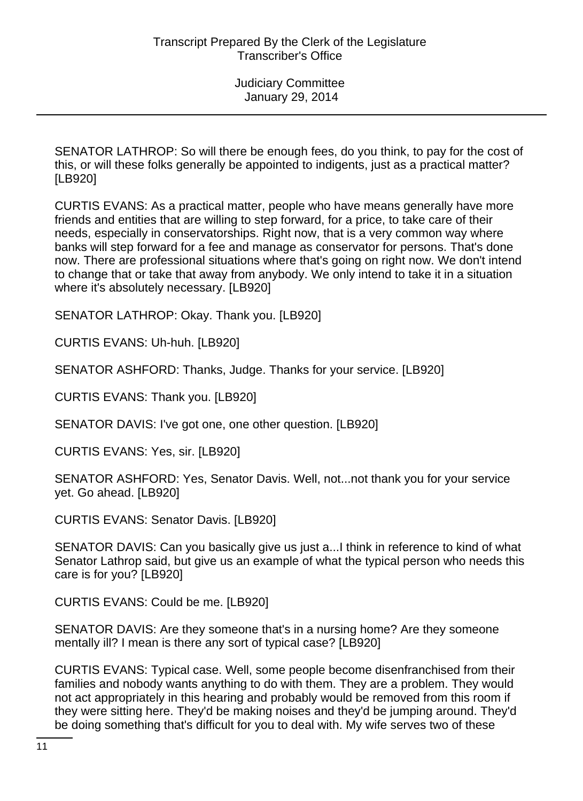SENATOR LATHROP: So will there be enough fees, do you think, to pay for the cost of this, or will these folks generally be appointed to indigents, just as a practical matter? [LB920]

CURTIS EVANS: As a practical matter, people who have means generally have more friends and entities that are willing to step forward, for a price, to take care of their needs, especially in conservatorships. Right now, that is a very common way where banks will step forward for a fee and manage as conservator for persons. That's done now. There are professional situations where that's going on right now. We don't intend to change that or take that away from anybody. We only intend to take it in a situation where it's absolutely necessary. [LB920]

SENATOR LATHROP: Okay. Thank you. [LB920]

CURTIS EVANS: Uh-huh. [LB920]

SENATOR ASHFORD: Thanks, Judge. Thanks for your service. [LB920]

CURTIS EVANS: Thank you. [LB920]

SENATOR DAVIS: I've got one, one other question. [LB920]

CURTIS EVANS: Yes, sir. [LB920]

SENATOR ASHFORD: Yes, Senator Davis. Well, not...not thank you for your service yet. Go ahead. [LB920]

CURTIS EVANS: Senator Davis. [LB920]

SENATOR DAVIS: Can you basically give us just a...I think in reference to kind of what Senator Lathrop said, but give us an example of what the typical person who needs this care is for you? [LB920]

CURTIS EVANS: Could be me. [LB920]

SENATOR DAVIS: Are they someone that's in a nursing home? Are they someone mentally ill? I mean is there any sort of typical case? [LB920]

CURTIS EVANS: Typical case. Well, some people become disenfranchised from their families and nobody wants anything to do with them. They are a problem. They would not act appropriately in this hearing and probably would be removed from this room if they were sitting here. They'd be making noises and they'd be jumping around. They'd be doing something that's difficult for you to deal with. My wife serves two of these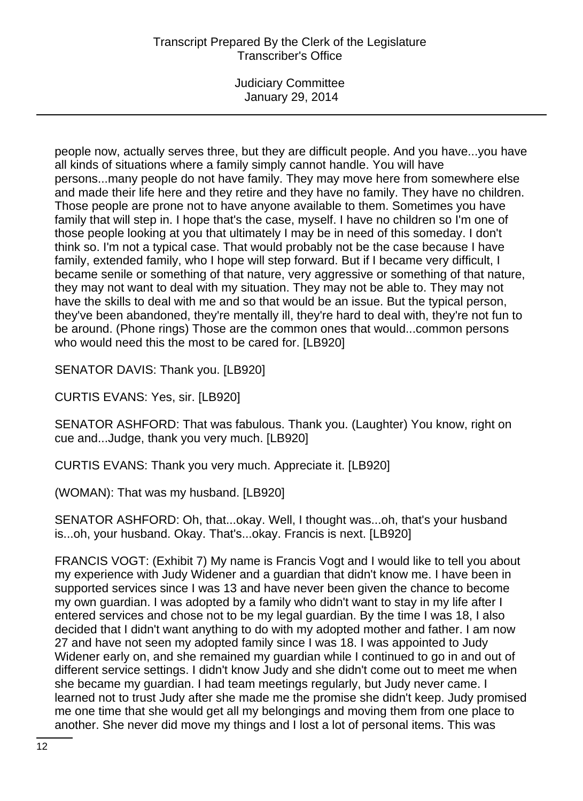Judiciary Committee January 29, 2014

people now, actually serves three, but they are difficult people. And you have...you have all kinds of situations where a family simply cannot handle. You will have persons...many people do not have family. They may move here from somewhere else and made their life here and they retire and they have no family. They have no children. Those people are prone not to have anyone available to them. Sometimes you have family that will step in. I hope that's the case, myself. I have no children so I'm one of those people looking at you that ultimately I may be in need of this someday. I don't think so. I'm not a typical case. That would probably not be the case because I have family, extended family, who I hope will step forward. But if I became very difficult, I became senile or something of that nature, very aggressive or something of that nature, they may not want to deal with my situation. They may not be able to. They may not have the skills to deal with me and so that would be an issue. But the typical person, they've been abandoned, they're mentally ill, they're hard to deal with, they're not fun to be around. (Phone rings) Those are the common ones that would...common persons who would need this the most to be cared for. [LB920]

SENATOR DAVIS: Thank you. [LB920]

CURTIS EVANS: Yes, sir. [LB920]

SENATOR ASHFORD: That was fabulous. Thank you. (Laughter) You know, right on cue and...Judge, thank you very much. [LB920]

CURTIS EVANS: Thank you very much. Appreciate it. [LB920]

(WOMAN): That was my husband. [LB920]

SENATOR ASHFORD: Oh, that...okay. Well, I thought was...oh, that's your husband is...oh, your husband. Okay. That's...okay. Francis is next. [LB920]

FRANCIS VOGT: (Exhibit 7) My name is Francis Vogt and I would like to tell you about my experience with Judy Widener and a guardian that didn't know me. I have been in supported services since I was 13 and have never been given the chance to become my own guardian. I was adopted by a family who didn't want to stay in my life after I entered services and chose not to be my legal guardian. By the time I was 18, I also decided that I didn't want anything to do with my adopted mother and father. I am now 27 and have not seen my adopted family since I was 18. I was appointed to Judy Widener early on, and she remained my guardian while I continued to go in and out of different service settings. I didn't know Judy and she didn't come out to meet me when she became my guardian. I had team meetings regularly, but Judy never came. I learned not to trust Judy after she made me the promise she didn't keep. Judy promised me one time that she would get all my belongings and moving them from one place to another. She never did move my things and I lost a lot of personal items. This was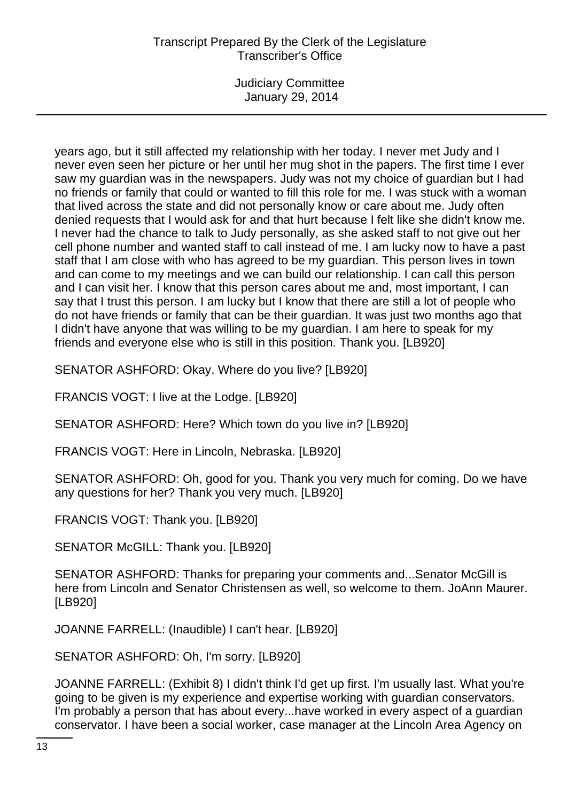Judiciary Committee January 29, 2014

years ago, but it still affected my relationship with her today. I never met Judy and I never even seen her picture or her until her mug shot in the papers. The first time I ever saw my guardian was in the newspapers. Judy was not my choice of guardian but I had no friends or family that could or wanted to fill this role for me. I was stuck with a woman that lived across the state and did not personally know or care about me. Judy often denied requests that I would ask for and that hurt because I felt like she didn't know me. I never had the chance to talk to Judy personally, as she asked staff to not give out her cell phone number and wanted staff to call instead of me. I am lucky now to have a past staff that I am close with who has agreed to be my guardian. This person lives in town and can come to my meetings and we can build our relationship. I can call this person and I can visit her. I know that this person cares about me and, most important, I can say that I trust this person. I am lucky but I know that there are still a lot of people who do not have friends or family that can be their guardian. It was just two months ago that I didn't have anyone that was willing to be my guardian. I am here to speak for my friends and everyone else who is still in this position. Thank you. [LB920]

SENATOR ASHFORD: Okay. Where do you live? [LB920]

FRANCIS VOGT: I live at the Lodge. [LB920]

SENATOR ASHFORD: Here? Which town do you live in? [LB920]

FRANCIS VOGT: Here in Lincoln, Nebraska. [LB920]

SENATOR ASHFORD: Oh, good for you. Thank you very much for coming. Do we have any questions for her? Thank you very much. [LB920]

FRANCIS VOGT: Thank you. [LB920]

SENATOR McGILL: Thank you. [LB920]

SENATOR ASHFORD: Thanks for preparing your comments and...Senator McGill is here from Lincoln and Senator Christensen as well, so welcome to them. JoAnn Maurer. [LB920]

JOANNE FARRELL: (Inaudible) I can't hear. [LB920]

SENATOR ASHFORD: Oh, I'm sorry. [LB920]

JOANNE FARRELL: (Exhibit 8) I didn't think I'd get up first. I'm usually last. What you're going to be given is my experience and expertise working with guardian conservators. I'm probably a person that has about every...have worked in every aspect of a guardian conservator. I have been a social worker, case manager at the Lincoln Area Agency on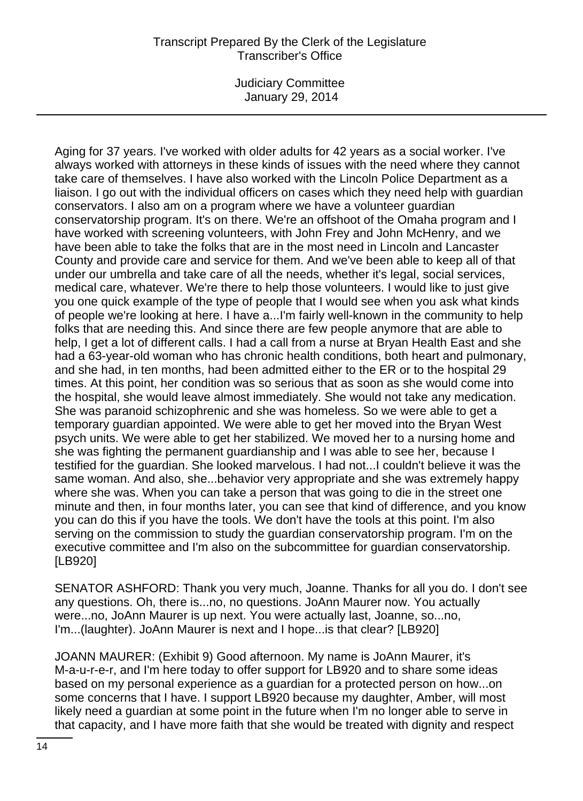Judiciary Committee January 29, 2014

Aging for 37 years. I've worked with older adults for 42 years as a social worker. I've always worked with attorneys in these kinds of issues with the need where they cannot take care of themselves. I have also worked with the Lincoln Police Department as a liaison. I go out with the individual officers on cases which they need help with guardian conservators. I also am on a program where we have a volunteer guardian conservatorship program. It's on there. We're an offshoot of the Omaha program and I have worked with screening volunteers, with John Frey and John McHenry, and we have been able to take the folks that are in the most need in Lincoln and Lancaster County and provide care and service for them. And we've been able to keep all of that under our umbrella and take care of all the needs, whether it's legal, social services, medical care, whatever. We're there to help those volunteers. I would like to just give you one quick example of the type of people that I would see when you ask what kinds of people we're looking at here. I have a...I'm fairly well-known in the community to help folks that are needing this. And since there are few people anymore that are able to help, I get a lot of different calls. I had a call from a nurse at Bryan Health East and she had a 63-year-old woman who has chronic health conditions, both heart and pulmonary, and she had, in ten months, had been admitted either to the ER or to the hospital 29 times. At this point, her condition was so serious that as soon as she would come into the hospital, she would leave almost immediately. She would not take any medication. She was paranoid schizophrenic and she was homeless. So we were able to get a temporary guardian appointed. We were able to get her moved into the Bryan West psych units. We were able to get her stabilized. We moved her to a nursing home and she was fighting the permanent guardianship and I was able to see her, because I testified for the guardian. She looked marvelous. I had not...I couldn't believe it was the same woman. And also, she...behavior very appropriate and she was extremely happy where she was. When you can take a person that was going to die in the street one minute and then, in four months later, you can see that kind of difference, and you know you can do this if you have the tools. We don't have the tools at this point. I'm also serving on the commission to study the guardian conservatorship program. I'm on the executive committee and I'm also on the subcommittee for guardian conservatorship. [LB920]

SENATOR ASHFORD: Thank you very much, Joanne. Thanks for all you do. I don't see any questions. Oh, there is...no, no questions. JoAnn Maurer now. You actually were...no, JoAnn Maurer is up next. You were actually last, Joanne, so...no, I'm...(laughter). JoAnn Maurer is next and I hope...is that clear? [LB920]

JOANN MAURER: (Exhibit 9) Good afternoon. My name is JoAnn Maurer, it's M-a-u-r-e-r, and I'm here today to offer support for LB920 and to share some ideas based on my personal experience as a guardian for a protected person on how...on some concerns that I have. I support LB920 because my daughter, Amber, will most likely need a guardian at some point in the future when I'm no longer able to serve in that capacity, and I have more faith that she would be treated with dignity and respect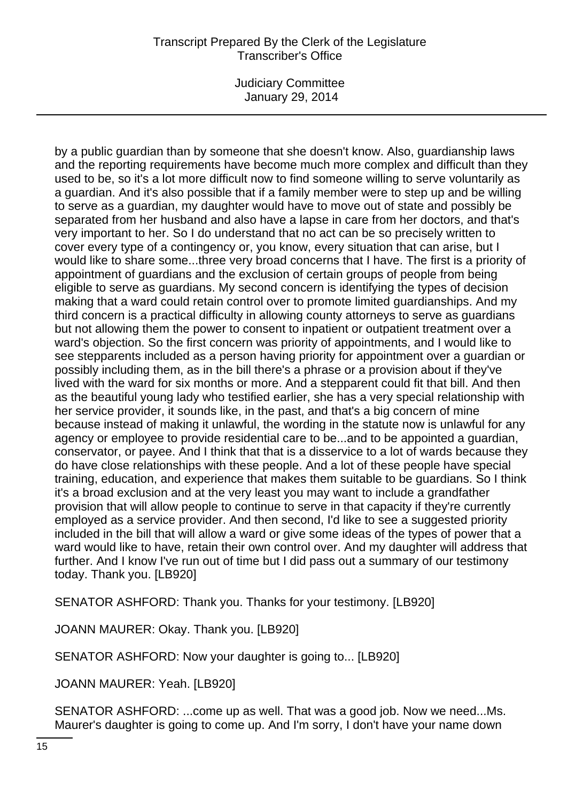Judiciary Committee January 29, 2014

by a public guardian than by someone that she doesn't know. Also, guardianship laws and the reporting requirements have become much more complex and difficult than they used to be, so it's a lot more difficult now to find someone willing to serve voluntarily as a guardian. And it's also possible that if a family member were to step up and be willing to serve as a guardian, my daughter would have to move out of state and possibly be separated from her husband and also have a lapse in care from her doctors, and that's very important to her. So I do understand that no act can be so precisely written to cover every type of a contingency or, you know, every situation that can arise, but I would like to share some...three very broad concerns that I have. The first is a priority of appointment of guardians and the exclusion of certain groups of people from being eligible to serve as guardians. My second concern is identifying the types of decision making that a ward could retain control over to promote limited guardianships. And my third concern is a practical difficulty in allowing county attorneys to serve as guardians but not allowing them the power to consent to inpatient or outpatient treatment over a ward's objection. So the first concern was priority of appointments, and I would like to see stepparents included as a person having priority for appointment over a guardian or possibly including them, as in the bill there's a phrase or a provision about if they've lived with the ward for six months or more. And a stepparent could fit that bill. And then as the beautiful young lady who testified earlier, she has a very special relationship with her service provider, it sounds like, in the past, and that's a big concern of mine because instead of making it unlawful, the wording in the statute now is unlawful for any agency or employee to provide residential care to be...and to be appointed a guardian, conservator, or payee. And I think that that is a disservice to a lot of wards because they do have close relationships with these people. And a lot of these people have special training, education, and experience that makes them suitable to be guardians. So I think it's a broad exclusion and at the very least you may want to include a grandfather provision that will allow people to continue to serve in that capacity if they're currently employed as a service provider. And then second, I'd like to see a suggested priority included in the bill that will allow a ward or give some ideas of the types of power that a ward would like to have, retain their own control over. And my daughter will address that further. And I know I've run out of time but I did pass out a summary of our testimony today. Thank you. [LB920]

SENATOR ASHFORD: Thank you. Thanks for your testimony. [LB920]

JOANN MAURER: Okay. Thank you. [LB920]

SENATOR ASHFORD: Now your daughter is going to... [LB920]

JOANN MAURER: Yeah. [LB920]

SENATOR ASHFORD: ...come up as well. That was a good job. Now we need...Ms. Maurer's daughter is going to come up. And I'm sorry, I don't have your name down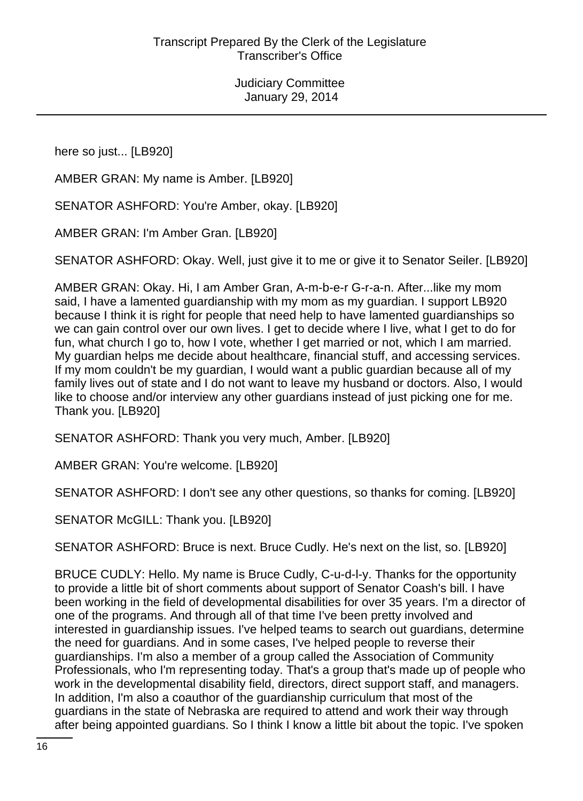here so just... [LB920]

AMBER GRAN: My name is Amber. [LB920]

SENATOR ASHFORD: You're Amber, okay. [LB920]

AMBER GRAN: I'm Amber Gran. [LB920]

SENATOR ASHFORD: Okay. Well, just give it to me or give it to Senator Seiler. [LB920]

AMBER GRAN: Okay. Hi, I am Amber Gran, A-m-b-e-r G-r-a-n. After...like my mom said, I have a lamented guardianship with my mom as my guardian. I support LB920 because I think it is right for people that need help to have lamented guardianships so we can gain control over our own lives. I get to decide where I live, what I get to do for fun, what church I go to, how I vote, whether I get married or not, which I am married. My guardian helps me decide about healthcare, financial stuff, and accessing services. If my mom couldn't be my guardian, I would want a public guardian because all of my family lives out of state and I do not want to leave my husband or doctors. Also, I would like to choose and/or interview any other guardians instead of just picking one for me. Thank you. [LB920]

SENATOR ASHFORD: Thank you very much, Amber. [LB920]

AMBER GRAN: You're welcome. [LB920]

SENATOR ASHFORD: I don't see any other questions, so thanks for coming. [LB920]

SENATOR McGILL: Thank you. [LB920]

SENATOR ASHFORD: Bruce is next. Bruce Cudly. He's next on the list, so. [LB920]

BRUCE CUDLY: Hello. My name is Bruce Cudly, C-u-d-l-y. Thanks for the opportunity to provide a little bit of short comments about support of Senator Coash's bill. I have been working in the field of developmental disabilities for over 35 years. I'm a director of one of the programs. And through all of that time I've been pretty involved and interested in guardianship issues. I've helped teams to search out guardians, determine the need for guardians. And in some cases, I've helped people to reverse their guardianships. I'm also a member of a group called the Association of Community Professionals, who I'm representing today. That's a group that's made up of people who work in the developmental disability field, directors, direct support staff, and managers. In addition, I'm also a coauthor of the guardianship curriculum that most of the guardians in the state of Nebraska are required to attend and work their way through after being appointed guardians. So I think I know a little bit about the topic. I've spoken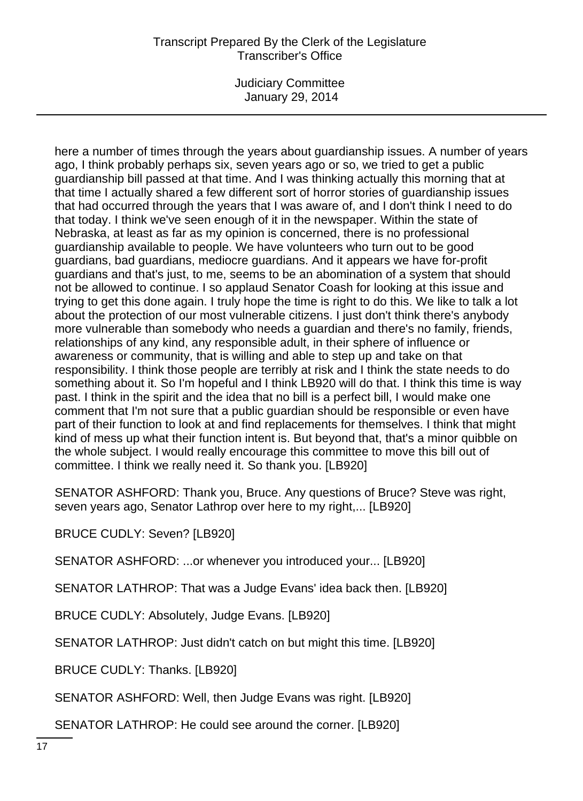Judiciary Committee January 29, 2014

here a number of times through the years about guardianship issues. A number of years ago, I think probably perhaps six, seven years ago or so, we tried to get a public guardianship bill passed at that time. And I was thinking actually this morning that at that time I actually shared a few different sort of horror stories of guardianship issues that had occurred through the years that I was aware of, and I don't think I need to do that today. I think we've seen enough of it in the newspaper. Within the state of Nebraska, at least as far as my opinion is concerned, there is no professional guardianship available to people. We have volunteers who turn out to be good guardians, bad guardians, mediocre guardians. And it appears we have for-profit guardians and that's just, to me, seems to be an abomination of a system that should not be allowed to continue. I so applaud Senator Coash for looking at this issue and trying to get this done again. I truly hope the time is right to do this. We like to talk a lot about the protection of our most vulnerable citizens. I just don't think there's anybody more vulnerable than somebody who needs a guardian and there's no family, friends, relationships of any kind, any responsible adult, in their sphere of influence or awareness or community, that is willing and able to step up and take on that responsibility. I think those people are terribly at risk and I think the state needs to do something about it. So I'm hopeful and I think LB920 will do that. I think this time is way past. I think in the spirit and the idea that no bill is a perfect bill, I would make one comment that I'm not sure that a public guardian should be responsible or even have part of their function to look at and find replacements for themselves. I think that might kind of mess up what their function intent is. But beyond that, that's a minor quibble on the whole subject. I would really encourage this committee to move this bill out of committee. I think we really need it. So thank you. [LB920]

SENATOR ASHFORD: Thank you, Bruce. Any questions of Bruce? Steve was right, seven years ago, Senator Lathrop over here to my right,... [LB920]

BRUCE CUDLY: Seven? [LB920]

SENATOR ASHFORD: ...or whenever you introduced your... [LB920]

SENATOR LATHROP: That was a Judge Evans' idea back then. [LB920]

BRUCE CUDLY: Absolutely, Judge Evans. [LB920]

SENATOR LATHROP: Just didn't catch on but might this time. [LB920]

BRUCE CUDLY: Thanks. [LB920]

SENATOR ASHFORD: Well, then Judge Evans was right. [LB920]

SENATOR LATHROP: He could see around the corner. [LB920]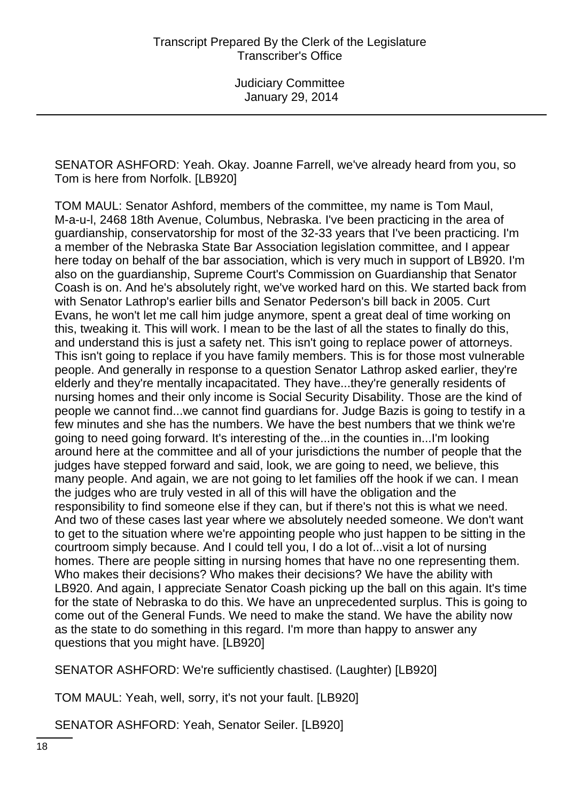SENATOR ASHFORD: Yeah. Okay. Joanne Farrell, we've already heard from you, so Tom is here from Norfolk. [LB920]

TOM MAUL: Senator Ashford, members of the committee, my name is Tom Maul, M-a-u-l, 2468 18th Avenue, Columbus, Nebraska. I've been practicing in the area of guardianship, conservatorship for most of the 32-33 years that I've been practicing. I'm a member of the Nebraska State Bar Association legislation committee, and I appear here today on behalf of the bar association, which is very much in support of LB920. I'm also on the guardianship, Supreme Court's Commission on Guardianship that Senator Coash is on. And he's absolutely right, we've worked hard on this. We started back from with Senator Lathrop's earlier bills and Senator Pederson's bill back in 2005. Curt Evans, he won't let me call him judge anymore, spent a great deal of time working on this, tweaking it. This will work. I mean to be the last of all the states to finally do this, and understand this is just a safety net. This isn't going to replace power of attorneys. This isn't going to replace if you have family members. This is for those most vulnerable people. And generally in response to a question Senator Lathrop asked earlier, they're elderly and they're mentally incapacitated. They have...they're generally residents of nursing homes and their only income is Social Security Disability. Those are the kind of people we cannot find...we cannot find guardians for. Judge Bazis is going to testify in a few minutes and she has the numbers. We have the best numbers that we think we're going to need going forward. It's interesting of the...in the counties in...I'm looking around here at the committee and all of your jurisdictions the number of people that the judges have stepped forward and said, look, we are going to need, we believe, this many people. And again, we are not going to let families off the hook if we can. I mean the judges who are truly vested in all of this will have the obligation and the responsibility to find someone else if they can, but if there's not this is what we need. And two of these cases last year where we absolutely needed someone. We don't want to get to the situation where we're appointing people who just happen to be sitting in the courtroom simply because. And I could tell you, I do a lot of...visit a lot of nursing homes. There are people sitting in nursing homes that have no one representing them. Who makes their decisions? Who makes their decisions? We have the ability with LB920. And again, I appreciate Senator Coash picking up the ball on this again. It's time for the state of Nebraska to do this. We have an unprecedented surplus. This is going to come out of the General Funds. We need to make the stand. We have the ability now as the state to do something in this regard. I'm more than happy to answer any questions that you might have. [LB920]

SENATOR ASHFORD: We're sufficiently chastised. (Laughter) [LB920]

TOM MAUL: Yeah, well, sorry, it's not your fault. [LB920]

SENATOR ASHFORD: Yeah, Senator Seiler. [LB920]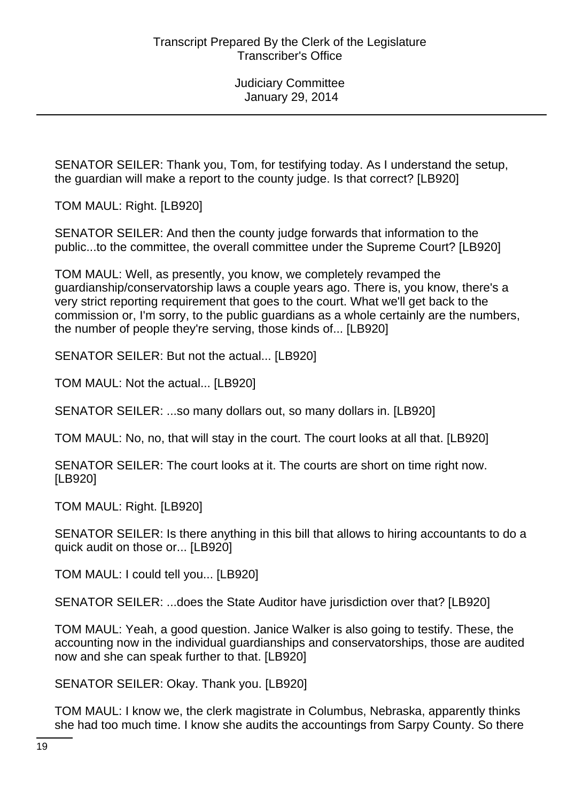SENATOR SEILER: Thank you, Tom, for testifying today. As I understand the setup, the guardian will make a report to the county judge. Is that correct? [LB920]

TOM MAUL: Right. [LB920]

SENATOR SEILER: And then the county judge forwards that information to the public...to the committee, the overall committee under the Supreme Court? [LB920]

TOM MAUL: Well, as presently, you know, we completely revamped the guardianship/conservatorship laws a couple years ago. There is, you know, there's a very strict reporting requirement that goes to the court. What we'll get back to the commission or, I'm sorry, to the public guardians as a whole certainly are the numbers, the number of people they're serving, those kinds of... [LB920]

SENATOR SEILER: But not the actual... [LB920]

TOM MAUL: Not the actual... [LB920]

SENATOR SEILER: ...so many dollars out, so many dollars in. [LB920]

TOM MAUL: No, no, that will stay in the court. The court looks at all that. [LB920]

SENATOR SEILER: The court looks at it. The courts are short on time right now. [LB920]

TOM MAUL: Right. [LB920]

SENATOR SEILER: Is there anything in this bill that allows to hiring accountants to do a quick audit on those or... [LB920]

TOM MAUL: I could tell you... [LB920]

SENATOR SEILER: ...does the State Auditor have jurisdiction over that? [LB920]

TOM MAUL: Yeah, a good question. Janice Walker is also going to testify. These, the accounting now in the individual guardianships and conservatorships, those are audited now and she can speak further to that. [LB920]

SENATOR SEILER: Okay. Thank you. [LB920]

TOM MAUL: I know we, the clerk magistrate in Columbus, Nebraska, apparently thinks she had too much time. I know she audits the accountings from Sarpy County. So there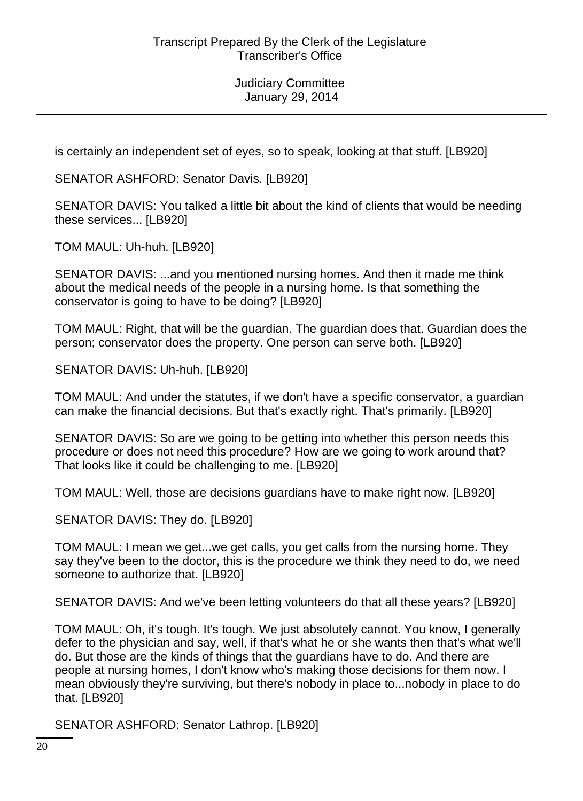is certainly an independent set of eyes, so to speak, looking at that stuff. [LB920]

SENATOR ASHFORD: Senator Davis. [LB920]

SENATOR DAVIS: You talked a little bit about the kind of clients that would be needing these services... [LB920]

TOM MAUL: Uh-huh. [LB920]

SENATOR DAVIS: ...and you mentioned nursing homes. And then it made me think about the medical needs of the people in a nursing home. Is that something the conservator is going to have to be doing? [LB920]

TOM MAUL: Right, that will be the guardian. The guardian does that. Guardian does the person; conservator does the property. One person can serve both. [LB920]

SENATOR DAVIS: Uh-huh. [LB920]

TOM MAUL: And under the statutes, if we don't have a specific conservator, a guardian can make the financial decisions. But that's exactly right. That's primarily. [LB920]

SENATOR DAVIS: So are we going to be getting into whether this person needs this procedure or does not need this procedure? How are we going to work around that? That looks like it could be challenging to me. [LB920]

TOM MAUL: Well, those are decisions guardians have to make right now. [LB920]

SENATOR DAVIS: They do. [LB920]

TOM MAUL: I mean we get...we get calls, you get calls from the nursing home. They say they've been to the doctor, this is the procedure we think they need to do, we need someone to authorize that. [LB920]

SENATOR DAVIS: And we've been letting volunteers do that all these years? [LB920]

TOM MAUL: Oh, it's tough. It's tough. We just absolutely cannot. You know, I generally defer to the physician and say, well, if that's what he or she wants then that's what we'll do. But those are the kinds of things that the guardians have to do. And there are people at nursing homes, I don't know who's making those decisions for them now. I mean obviously they're surviving, but there's nobody in place to...nobody in place to do that. [LB920]

SENATOR ASHFORD: Senator Lathrop. [LB920]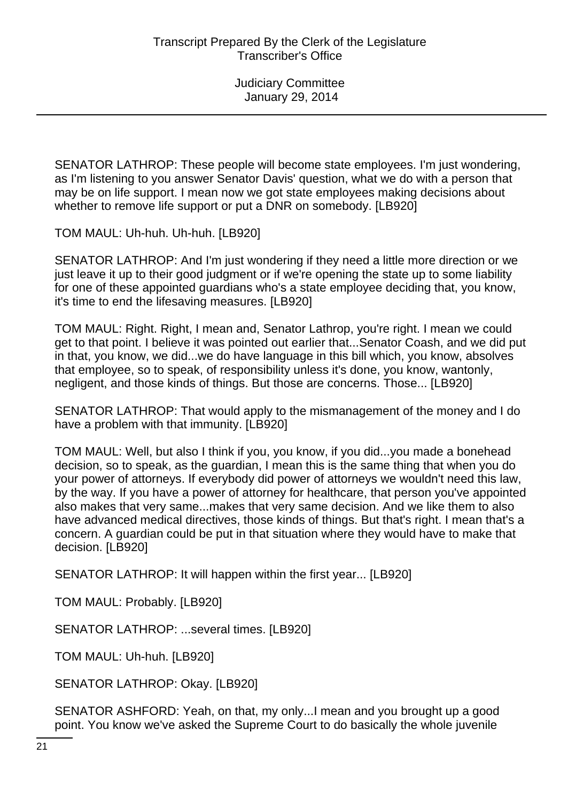SENATOR LATHROP: These people will become state employees. I'm just wondering, as I'm listening to you answer Senator Davis' question, what we do with a person that may be on life support. I mean now we got state employees making decisions about whether to remove life support or put a DNR on somebody. [LB920]

TOM MAUL: Uh-huh. Uh-huh. [LB920]

SENATOR LATHROP: And I'm just wondering if they need a little more direction or we just leave it up to their good judgment or if we're opening the state up to some liability for one of these appointed guardians who's a state employee deciding that, you know, it's time to end the lifesaving measures. [LB920]

TOM MAUL: Right. Right, I mean and, Senator Lathrop, you're right. I mean we could get to that point. I believe it was pointed out earlier that...Senator Coash, and we did put in that, you know, we did...we do have language in this bill which, you know, absolves that employee, so to speak, of responsibility unless it's done, you know, wantonly, negligent, and those kinds of things. But those are concerns. Those... [LB920]

SENATOR LATHROP: That would apply to the mismanagement of the money and I do have a problem with that immunity. [LB920]

TOM MAUL: Well, but also I think if you, you know, if you did...you made a bonehead decision, so to speak, as the guardian, I mean this is the same thing that when you do your power of attorneys. If everybody did power of attorneys we wouldn't need this law, by the way. If you have a power of attorney for healthcare, that person you've appointed also makes that very same...makes that very same decision. And we like them to also have advanced medical directives, those kinds of things. But that's right. I mean that's a concern. A guardian could be put in that situation where they would have to make that decision. [LB920]

SENATOR LATHROP: It will happen within the first year... [LB920]

TOM MAUL: Probably. [LB920]

SENATOR LATHROP: ...several times. [LB920]

TOM MAUL: Uh-huh. [LB920]

SENATOR LATHROP: Okay. [LB920]

SENATOR ASHFORD: Yeah, on that, my only...I mean and you brought up a good point. You know we've asked the Supreme Court to do basically the whole juvenile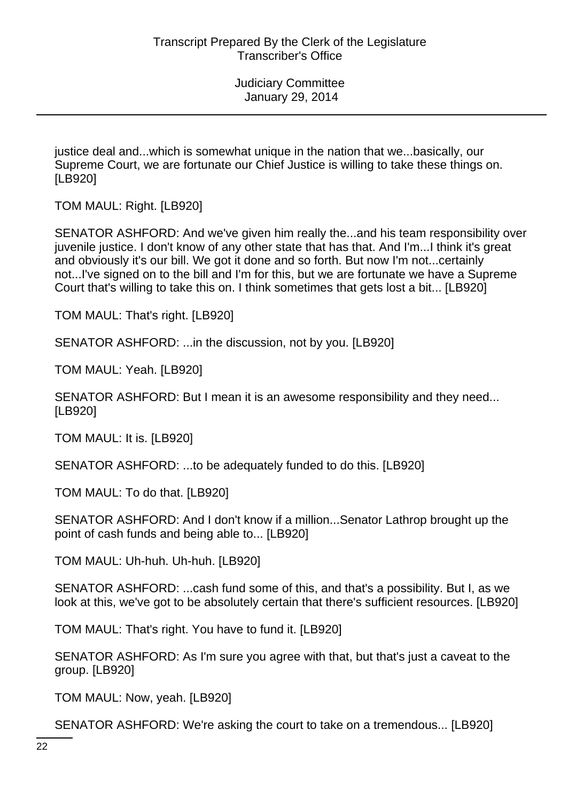justice deal and...which is somewhat unique in the nation that we...basically, our Supreme Court, we are fortunate our Chief Justice is willing to take these things on. [LB920]

TOM MAUL: Right. [LB920]

SENATOR ASHFORD: And we've given him really the...and his team responsibility over juvenile justice. I don't know of any other state that has that. And I'm...I think it's great and obviously it's our bill. We got it done and so forth. But now I'm not...certainly not...I've signed on to the bill and I'm for this, but we are fortunate we have a Supreme Court that's willing to take this on. I think sometimes that gets lost a bit... [LB920]

TOM MAUL: That's right. [LB920]

SENATOR ASHFORD: ...in the discussion, not by you. [LB920]

TOM MAUL: Yeah. [LB920]

SENATOR ASHFORD: But I mean it is an awesome responsibility and they need... [LB920]

TOM MAUL: It is. [LB920]

SENATOR ASHFORD: ...to be adequately funded to do this. [LB920]

TOM MAUL: To do that. [LB920]

SENATOR ASHFORD: And I don't know if a million...Senator Lathrop brought up the point of cash funds and being able to... [LB920]

TOM MAUL: Uh-huh. Uh-huh. [LB920]

SENATOR ASHFORD: ...cash fund some of this, and that's a possibility. But I, as we look at this, we've got to be absolutely certain that there's sufficient resources. [LB920]

TOM MAUL: That's right. You have to fund it. [LB920]

SENATOR ASHFORD: As I'm sure you agree with that, but that's just a caveat to the group. [LB920]

TOM MAUL: Now, yeah. [LB920]

SENATOR ASHFORD: We're asking the court to take on a tremendous... [LB920]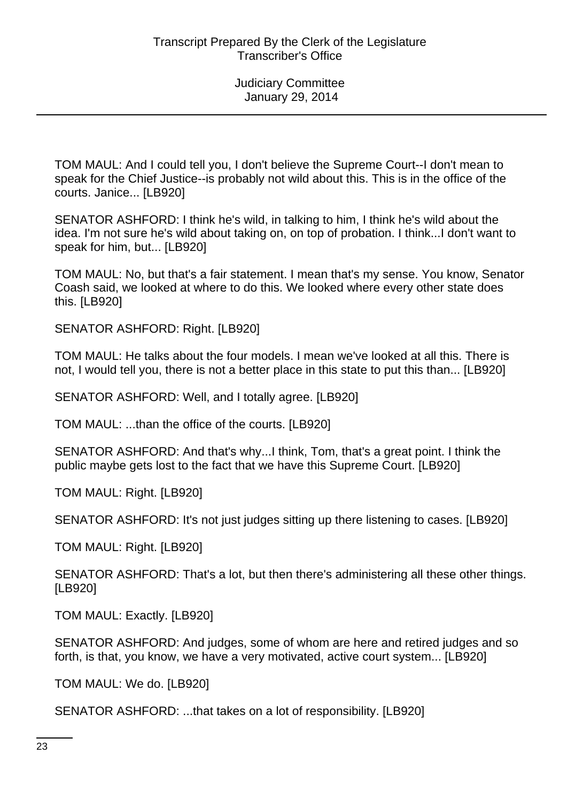TOM MAUL: And I could tell you, I don't believe the Supreme Court--I don't mean to speak for the Chief Justice--is probably not wild about this. This is in the office of the courts. Janice... [LB920]

SENATOR ASHFORD: I think he's wild, in talking to him, I think he's wild about the idea. I'm not sure he's wild about taking on, on top of probation. I think...I don't want to speak for him, but... [LB920]

TOM MAUL: No, but that's a fair statement. I mean that's my sense. You know, Senator Coash said, we looked at where to do this. We looked where every other state does this. [LB920]

SENATOR ASHFORD: Right. [LB920]

TOM MAUL: He talks about the four models. I mean we've looked at all this. There is not, I would tell you, there is not a better place in this state to put this than... [LB920]

SENATOR ASHFORD: Well, and I totally agree. [LB920]

TOM MAUL: ...than the office of the courts. [LB920]

SENATOR ASHFORD: And that's why...I think, Tom, that's a great point. I think the public maybe gets lost to the fact that we have this Supreme Court. [LB920]

TOM MAUL: Right. [LB920]

SENATOR ASHFORD: It's not just judges sitting up there listening to cases. [LB920]

TOM MAUL: Right. [LB920]

SENATOR ASHFORD: That's a lot, but then there's administering all these other things. [LB920]

TOM MAUL: Exactly. [LB920]

SENATOR ASHFORD: And judges, some of whom are here and retired judges and so forth, is that, you know, we have a very motivated, active court system... [LB920]

TOM MAUL: We do. [LB920]

SENATOR ASHFORD: ...that takes on a lot of responsibility. [LB920]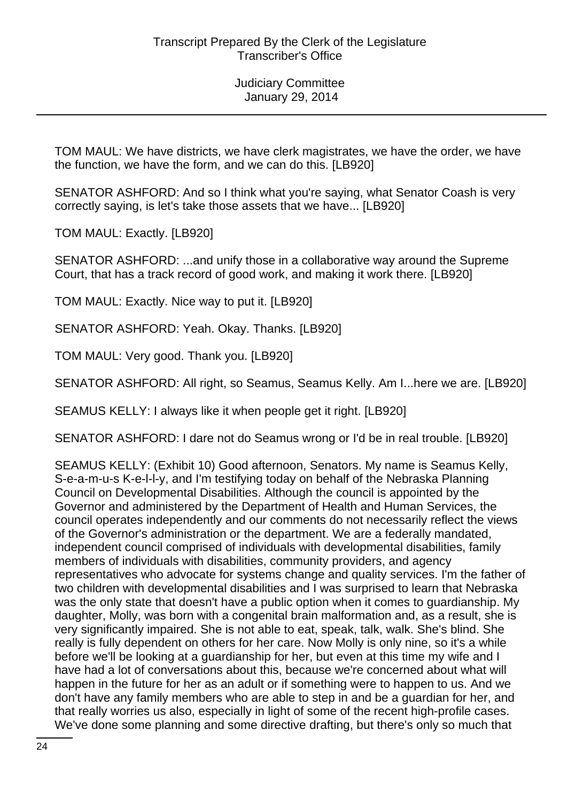TOM MAUL: We have districts, we have clerk magistrates, we have the order, we have the function, we have the form, and we can do this. [LB920]

SENATOR ASHFORD: And so I think what you're saying, what Senator Coash is very correctly saying, is let's take those assets that we have... [LB920]

TOM MAUL: Exactly. [LB920]

SENATOR ASHFORD: ...and unify those in a collaborative way around the Supreme Court, that has a track record of good work, and making it work there. [LB920]

TOM MAUL: Exactly. Nice way to put it. [LB920]

SENATOR ASHFORD: Yeah. Okay. Thanks. [LB920]

TOM MAUL: Very good. Thank you. [LB920]

SENATOR ASHFORD: All right, so Seamus, Seamus Kelly. Am I...here we are. [LB920]

SEAMUS KELLY: I always like it when people get it right. [LB920]

SENATOR ASHFORD: I dare not do Seamus wrong or I'd be in real trouble. [LB920]

SEAMUS KELLY: (Exhibit 10) Good afternoon, Senators. My name is Seamus Kelly, S-e-a-m-u-s K-e-l-l-y, and I'm testifying today on behalf of the Nebraska Planning Council on Developmental Disabilities. Although the council is appointed by the Governor and administered by the Department of Health and Human Services, the council operates independently and our comments do not necessarily reflect the views of the Governor's administration or the department. We are a federally mandated, independent council comprised of individuals with developmental disabilities, family members of individuals with disabilities, community providers, and agency representatives who advocate for systems change and quality services. I'm the father of two children with developmental disabilities and I was surprised to learn that Nebraska was the only state that doesn't have a public option when it comes to guardianship. My daughter, Molly, was born with a congenital brain malformation and, as a result, she is very significantly impaired. She is not able to eat, speak, talk, walk. She's blind. She really is fully dependent on others for her care. Now Molly is only nine, so it's a while before we'll be looking at a guardianship for her, but even at this time my wife and I have had a lot of conversations about this, because we're concerned about what will happen in the future for her as an adult or if something were to happen to us. And we don't have any family members who are able to step in and be a guardian for her, and that really worries us also, especially in light of some of the recent high-profile cases. We've done some planning and some directive drafting, but there's only so much that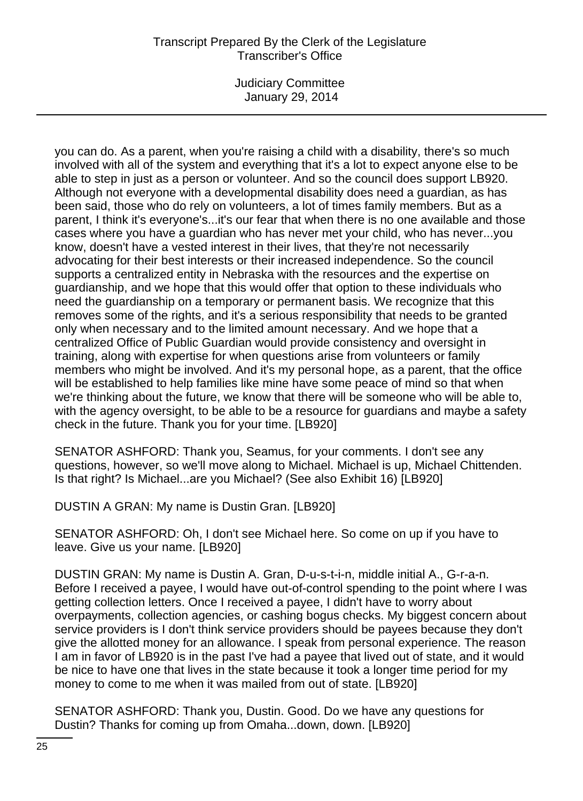Judiciary Committee January 29, 2014

you can do. As a parent, when you're raising a child with a disability, there's so much involved with all of the system and everything that it's a lot to expect anyone else to be able to step in just as a person or volunteer. And so the council does support LB920. Although not everyone with a developmental disability does need a guardian, as has been said, those who do rely on volunteers, a lot of times family members. But as a parent, I think it's everyone's...it's our fear that when there is no one available and those cases where you have a guardian who has never met your child, who has never...you know, doesn't have a vested interest in their lives, that they're not necessarily advocating for their best interests or their increased independence. So the council supports a centralized entity in Nebraska with the resources and the expertise on guardianship, and we hope that this would offer that option to these individuals who need the guardianship on a temporary or permanent basis. We recognize that this removes some of the rights, and it's a serious responsibility that needs to be granted only when necessary and to the limited amount necessary. And we hope that a centralized Office of Public Guardian would provide consistency and oversight in training, along with expertise for when questions arise from volunteers or family members who might be involved. And it's my personal hope, as a parent, that the office will be established to help families like mine have some peace of mind so that when we're thinking about the future, we know that there will be someone who will be able to, with the agency oversight, to be able to be a resource for guardians and maybe a safety check in the future. Thank you for your time. [LB920]

SENATOR ASHFORD: Thank you, Seamus, for your comments. I don't see any questions, however, so we'll move along to Michael. Michael is up, Michael Chittenden. Is that right? Is Michael...are you Michael? (See also Exhibit 16) [LB920]

DUSTIN A GRAN: My name is Dustin Gran. [LB920]

SENATOR ASHFORD: Oh, I don't see Michael here. So come on up if you have to leave. Give us your name. [LB920]

DUSTIN GRAN: My name is Dustin A. Gran, D-u-s-t-i-n, middle initial A., G-r-a-n. Before I received a payee, I would have out-of-control spending to the point where I was getting collection letters. Once I received a payee, I didn't have to worry about overpayments, collection agencies, or cashing bogus checks. My biggest concern about service providers is I don't think service providers should be payees because they don't give the allotted money for an allowance. I speak from personal experience. The reason I am in favor of LB920 is in the past I've had a payee that lived out of state, and it would be nice to have one that lives in the state because it took a longer time period for my money to come to me when it was mailed from out of state. [LB920]

SENATOR ASHFORD: Thank you, Dustin. Good. Do we have any questions for Dustin? Thanks for coming up from Omaha...down, down. [LB920]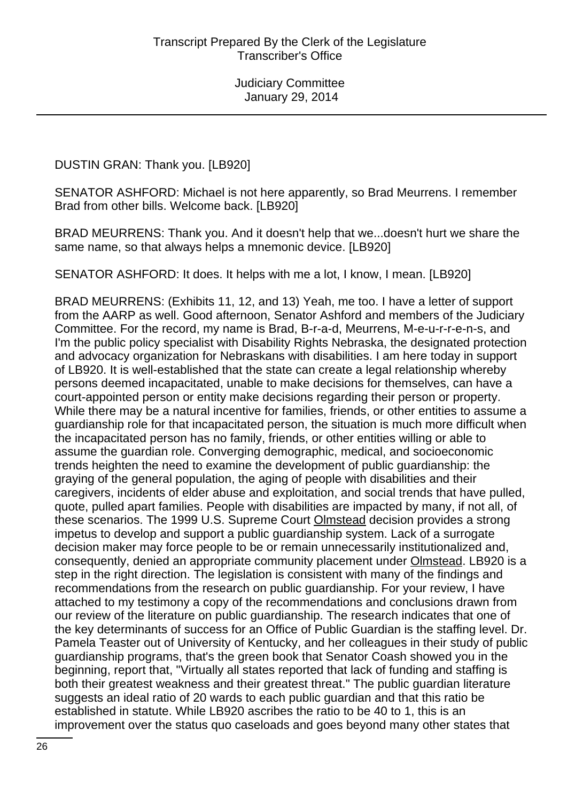DUSTIN GRAN: Thank you. [LB920]

SENATOR ASHFORD: Michael is not here apparently, so Brad Meurrens. I remember Brad from other bills. Welcome back. [LB920]

BRAD MEURRENS: Thank you. And it doesn't help that we...doesn't hurt we share the same name, so that always helps a mnemonic device. [LB920]

SENATOR ASHFORD: It does. It helps with me a lot, I know, I mean. [LB920]

BRAD MEURRENS: (Exhibits 11, 12, and 13) Yeah, me too. I have a letter of support from the AARP as well. Good afternoon, Senator Ashford and members of the Judiciary Committee. For the record, my name is Brad, B-r-a-d, Meurrens, M-e-u-r-r-e-n-s, and I'm the public policy specialist with Disability Rights Nebraska, the designated protection and advocacy organization for Nebraskans with disabilities. I am here today in support of LB920. It is well-established that the state can create a legal relationship whereby persons deemed incapacitated, unable to make decisions for themselves, can have a court-appointed person or entity make decisions regarding their person or property. While there may be a natural incentive for families, friends, or other entities to assume a guardianship role for that incapacitated person, the situation is much more difficult when the incapacitated person has no family, friends, or other entities willing or able to assume the guardian role. Converging demographic, medical, and socioeconomic trends heighten the need to examine the development of public guardianship: the graying of the general population, the aging of people with disabilities and their caregivers, incidents of elder abuse and exploitation, and social trends that have pulled, quote, pulled apart families. People with disabilities are impacted by many, if not all, of these scenarios. The 1999 U.S. Supreme Court Olmstead decision provides a strong impetus to develop and support a public guardianship system. Lack of a surrogate decision maker may force people to be or remain unnecessarily institutionalized and, consequently, denied an appropriate community placement under **Olmstead.** LB920 is a step in the right direction. The legislation is consistent with many of the findings and recommendations from the research on public guardianship. For your review, I have attached to my testimony a copy of the recommendations and conclusions drawn from our review of the literature on public guardianship. The research indicates that one of the key determinants of success for an Office of Public Guardian is the staffing level. Dr. Pamela Teaster out of University of Kentucky, and her colleagues in their study of public guardianship programs, that's the green book that Senator Coash showed you in the beginning, report that, "Virtually all states reported that lack of funding and staffing is both their greatest weakness and their greatest threat." The public guardian literature suggests an ideal ratio of 20 wards to each public guardian and that this ratio be established in statute. While LB920 ascribes the ratio to be 40 to 1, this is an improvement over the status quo caseloads and goes beyond many other states that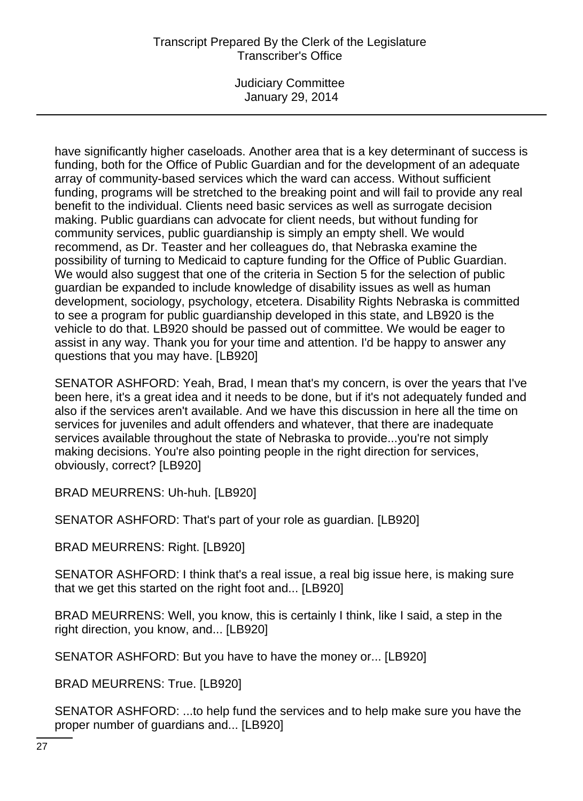Judiciary Committee January 29, 2014

have significantly higher caseloads. Another area that is a key determinant of success is funding, both for the Office of Public Guardian and for the development of an adequate array of community-based services which the ward can access. Without sufficient funding, programs will be stretched to the breaking point and will fail to provide any real benefit to the individual. Clients need basic services as well as surrogate decision making. Public guardians can advocate for client needs, but without funding for community services, public guardianship is simply an empty shell. We would recommend, as Dr. Teaster and her colleagues do, that Nebraska examine the possibility of turning to Medicaid to capture funding for the Office of Public Guardian. We would also suggest that one of the criteria in Section 5 for the selection of public guardian be expanded to include knowledge of disability issues as well as human development, sociology, psychology, etcetera. Disability Rights Nebraska is committed to see a program for public guardianship developed in this state, and LB920 is the vehicle to do that. LB920 should be passed out of committee. We would be eager to assist in any way. Thank you for your time and attention. I'd be happy to answer any questions that you may have. [LB920]

SENATOR ASHFORD: Yeah, Brad, I mean that's my concern, is over the years that I've been here, it's a great idea and it needs to be done, but if it's not adequately funded and also if the services aren't available. And we have this discussion in here all the time on services for juveniles and adult offenders and whatever, that there are inadequate services available throughout the state of Nebraska to provide...you're not simply making decisions. You're also pointing people in the right direction for services, obviously, correct? [LB920]

BRAD MEURRENS: Uh-huh. [LB920]

SENATOR ASHFORD: That's part of your role as guardian. [LB920]

BRAD MEURRENS: Right. [LB920]

SENATOR ASHFORD: I think that's a real issue, a real big issue here, is making sure that we get this started on the right foot and... [LB920]

BRAD MEURRENS: Well, you know, this is certainly I think, like I said, a step in the right direction, you know, and... [LB920]

SENATOR ASHFORD: But you have to have the money or... [LB920]

BRAD MEURRENS: True. [LB920]

SENATOR ASHFORD: ...to help fund the services and to help make sure you have the proper number of guardians and... [LB920]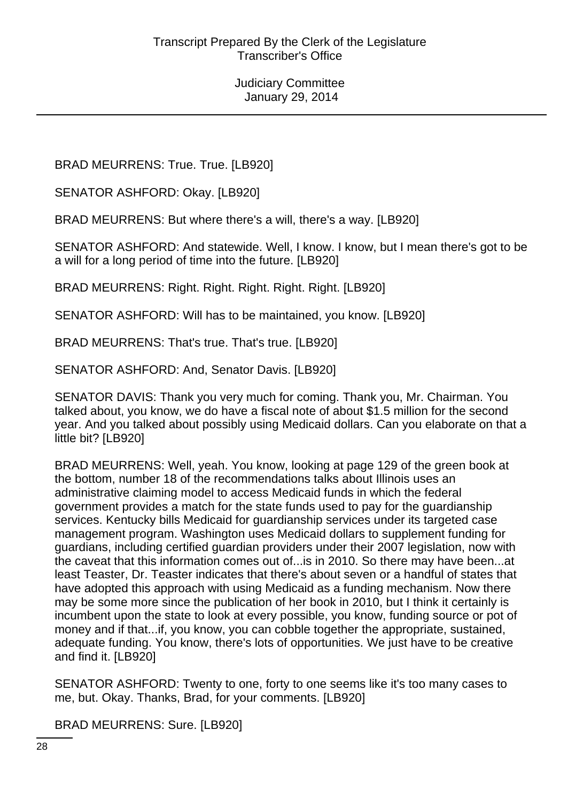BRAD MEURRENS: True. True. [LB920]

SENATOR ASHFORD: Okay. [LB920]

BRAD MEURRENS: But where there's a will, there's a way. [LB920]

SENATOR ASHFORD: And statewide. Well, I know. I know, but I mean there's got to be a will for a long period of time into the future. [LB920]

BRAD MEURRENS: Right. Right. Right. Right. Right. [LB920]

SENATOR ASHFORD: Will has to be maintained, you know. [LB920]

BRAD MEURRENS: That's true. That's true. [LB920]

SENATOR ASHFORD: And, Senator Davis. [LB920]

SENATOR DAVIS: Thank you very much for coming. Thank you, Mr. Chairman. You talked about, you know, we do have a fiscal note of about \$1.5 million for the second year. And you talked about possibly using Medicaid dollars. Can you elaborate on that a little bit? [LB920]

BRAD MEURRENS: Well, yeah. You know, looking at page 129 of the green book at the bottom, number 18 of the recommendations talks about Illinois uses an administrative claiming model to access Medicaid funds in which the federal government provides a match for the state funds used to pay for the guardianship services. Kentucky bills Medicaid for guardianship services under its targeted case management program. Washington uses Medicaid dollars to supplement funding for guardians, including certified guardian providers under their 2007 legislation, now with the caveat that this information comes out of...is in 2010. So there may have been...at least Teaster, Dr. Teaster indicates that there's about seven or a handful of states that have adopted this approach with using Medicaid as a funding mechanism. Now there may be some more since the publication of her book in 2010, but I think it certainly is incumbent upon the state to look at every possible, you know, funding source or pot of money and if that...if, you know, you can cobble together the appropriate, sustained, adequate funding. You know, there's lots of opportunities. We just have to be creative and find it. [LB920]

SENATOR ASHFORD: Twenty to one, forty to one seems like it's too many cases to me, but. Okay. Thanks, Brad, for your comments. [LB920]

BRAD MEURRENS: Sure. [LB920]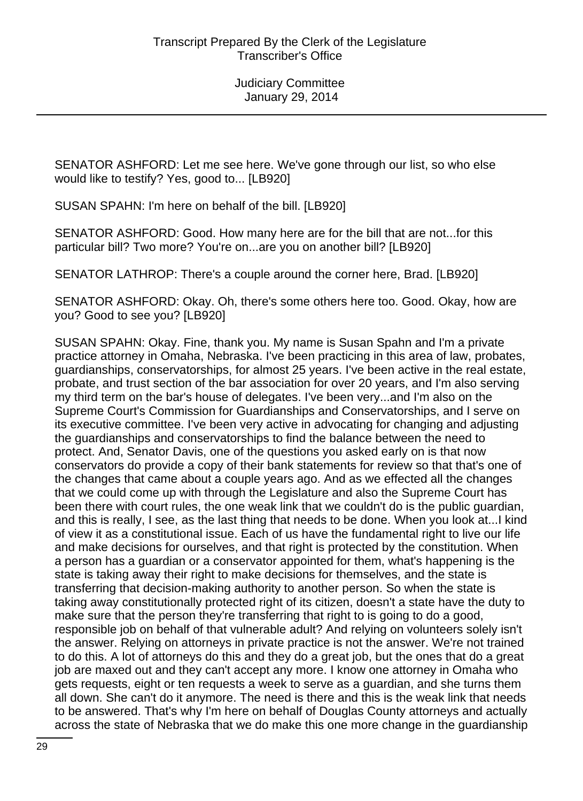SENATOR ASHFORD: Let me see here. We've gone through our list, so who else would like to testify? Yes, good to... [LB920]

SUSAN SPAHN: I'm here on behalf of the bill. [LB920]

SENATOR ASHFORD: Good. How many here are for the bill that are not...for this particular bill? Two more? You're on...are you on another bill? [LB920]

SENATOR LATHROP: There's a couple around the corner here, Brad. [LB920]

SENATOR ASHFORD: Okay. Oh, there's some others here too. Good. Okay, how are you? Good to see you? [LB920]

SUSAN SPAHN: Okay. Fine, thank you. My name is Susan Spahn and I'm a private practice attorney in Omaha, Nebraska. I've been practicing in this area of law, probates, guardianships, conservatorships, for almost 25 years. I've been active in the real estate, probate, and trust section of the bar association for over 20 years, and I'm also serving my third term on the bar's house of delegates. I've been very...and I'm also on the Supreme Court's Commission for Guardianships and Conservatorships, and I serve on its executive committee. I've been very active in advocating for changing and adjusting the guardianships and conservatorships to find the balance between the need to protect. And, Senator Davis, one of the questions you asked early on is that now conservators do provide a copy of their bank statements for review so that that's one of the changes that came about a couple years ago. And as we effected all the changes that we could come up with through the Legislature and also the Supreme Court has been there with court rules, the one weak link that we couldn't do is the public guardian, and this is really, I see, as the last thing that needs to be done. When you look at...I kind of view it as a constitutional issue. Each of us have the fundamental right to live our life and make decisions for ourselves, and that right is protected by the constitution. When a person has a guardian or a conservator appointed for them, what's happening is the state is taking away their right to make decisions for themselves, and the state is transferring that decision-making authority to another person. So when the state is taking away constitutionally protected right of its citizen, doesn't a state have the duty to make sure that the person they're transferring that right to is going to do a good, responsible job on behalf of that vulnerable adult? And relying on volunteers solely isn't the answer. Relying on attorneys in private practice is not the answer. We're not trained to do this. A lot of attorneys do this and they do a great job, but the ones that do a great job are maxed out and they can't accept any more. I know one attorney in Omaha who gets requests, eight or ten requests a week to serve as a guardian, and she turns them all down. She can't do it anymore. The need is there and this is the weak link that needs to be answered. That's why I'm here on behalf of Douglas County attorneys and actually across the state of Nebraska that we do make this one more change in the guardianship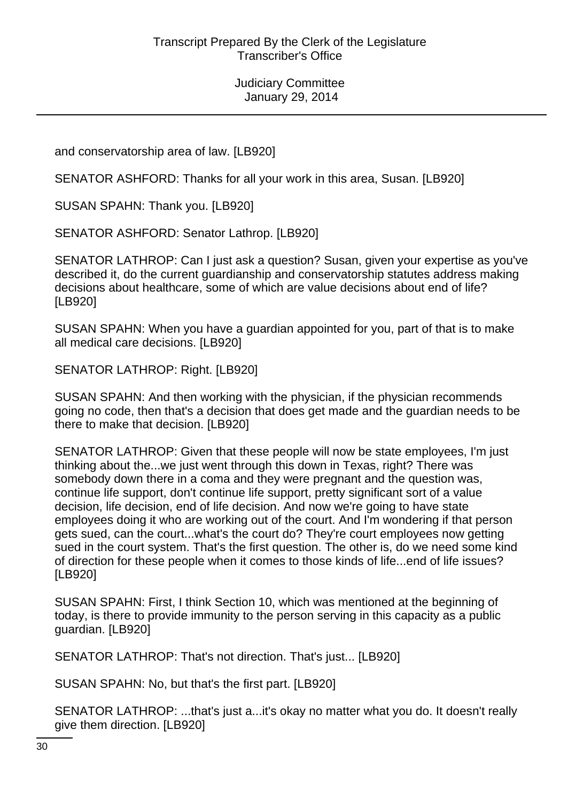and conservatorship area of law. [LB920]

SENATOR ASHFORD: Thanks for all your work in this area, Susan. [LB920]

SUSAN SPAHN: Thank you. [LB920]

SENATOR ASHFORD: Senator Lathrop. [LB920]

SENATOR LATHROP: Can I just ask a question? Susan, given your expertise as you've described it, do the current guardianship and conservatorship statutes address making decisions about healthcare, some of which are value decisions about end of life? [LB920]

SUSAN SPAHN: When you have a guardian appointed for you, part of that is to make all medical care decisions. [LB920]

SENATOR LATHROP: Right. [LB920]

SUSAN SPAHN: And then working with the physician, if the physician recommends going no code, then that's a decision that does get made and the guardian needs to be there to make that decision. [LB920]

SENATOR LATHROP: Given that these people will now be state employees, I'm just thinking about the...we just went through this down in Texas, right? There was somebody down there in a coma and they were pregnant and the question was, continue life support, don't continue life support, pretty significant sort of a value decision, life decision, end of life decision. And now we're going to have state employees doing it who are working out of the court. And I'm wondering if that person gets sued, can the court...what's the court do? They're court employees now getting sued in the court system. That's the first question. The other is, do we need some kind of direction for these people when it comes to those kinds of life...end of life issues? [LB920]

SUSAN SPAHN: First, I think Section 10, which was mentioned at the beginning of today, is there to provide immunity to the person serving in this capacity as a public guardian. [LB920]

SENATOR LATHROP: That's not direction. That's just... [LB920]

SUSAN SPAHN: No, but that's the first part. [LB920]

SENATOR LATHROP: ...that's just a...it's okay no matter what you do. It doesn't really give them direction. [LB920]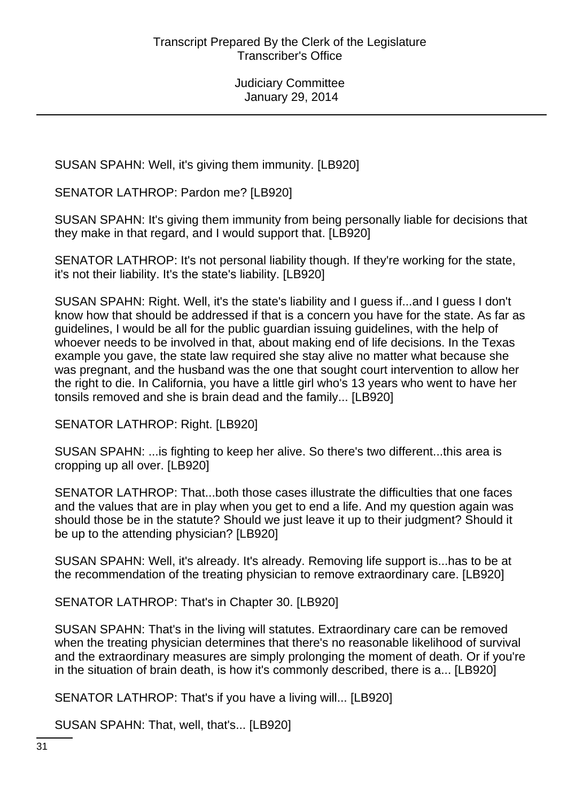SUSAN SPAHN: Well, it's giving them immunity. [LB920]

SENATOR LATHROP: Pardon me? [LB920]

SUSAN SPAHN: It's giving them immunity from being personally liable for decisions that they make in that regard, and I would support that. [LB920]

SENATOR LATHROP: It's not personal liability though. If they're working for the state, it's not their liability. It's the state's liability. [LB920]

SUSAN SPAHN: Right. Well, it's the state's liability and I guess if...and I guess I don't know how that should be addressed if that is a concern you have for the state. As far as guidelines, I would be all for the public guardian issuing guidelines, with the help of whoever needs to be involved in that, about making end of life decisions. In the Texas example you gave, the state law required she stay alive no matter what because she was pregnant, and the husband was the one that sought court intervention to allow her the right to die. In California, you have a little girl who's 13 years who went to have her tonsils removed and she is brain dead and the family... [LB920]

SENATOR LATHROP: Right. [LB920]

SUSAN SPAHN: ...is fighting to keep her alive. So there's two different...this area is cropping up all over. [LB920]

SENATOR LATHROP: That...both those cases illustrate the difficulties that one faces and the values that are in play when you get to end a life. And my question again was should those be in the statute? Should we just leave it up to their judgment? Should it be up to the attending physician? [LB920]

SUSAN SPAHN: Well, it's already. It's already. Removing life support is...has to be at the recommendation of the treating physician to remove extraordinary care. [LB920]

SENATOR LATHROP: That's in Chapter 30. [LB920]

SUSAN SPAHN: That's in the living will statutes. Extraordinary care can be removed when the treating physician determines that there's no reasonable likelihood of survival and the extraordinary measures are simply prolonging the moment of death. Or if you're in the situation of brain death, is how it's commonly described, there is a... [LB920]

SENATOR LATHROP: That's if you have a living will... [LB920]

SUSAN SPAHN: That, well, that's... [LB920]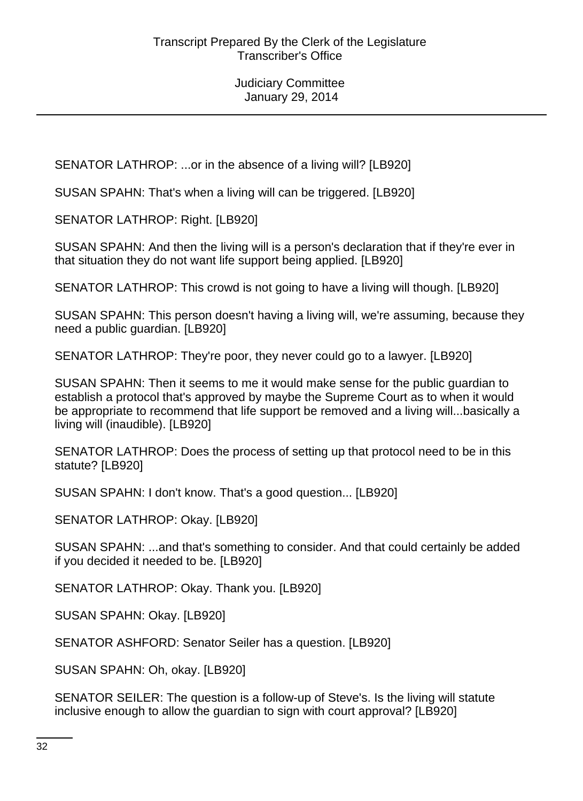SENATOR LATHROP: ...or in the absence of a living will? [LB920]

SUSAN SPAHN: That's when a living will can be triggered. [LB920]

SENATOR LATHROP: Right. [LB920]

SUSAN SPAHN: And then the living will is a person's declaration that if they're ever in that situation they do not want life support being applied. [LB920]

SENATOR LATHROP: This crowd is not going to have a living will though. [LB920]

SUSAN SPAHN: This person doesn't having a living will, we're assuming, because they need a public guardian. [LB920]

SENATOR LATHROP: They're poor, they never could go to a lawyer. [LB920]

SUSAN SPAHN: Then it seems to me it would make sense for the public guardian to establish a protocol that's approved by maybe the Supreme Court as to when it would be appropriate to recommend that life support be removed and a living will...basically a living will (inaudible). [LB920]

SENATOR LATHROP: Does the process of setting up that protocol need to be in this statute? [LB920]

SUSAN SPAHN: I don't know. That's a good question... [LB920]

SENATOR LATHROP: Okay. [LB920]

SUSAN SPAHN: ...and that's something to consider. And that could certainly be added if you decided it needed to be. [LB920]

SENATOR LATHROP: Okay. Thank you. [LB920]

SUSAN SPAHN: Okay. [LB920]

SENATOR ASHFORD: Senator Seiler has a question. [LB920]

SUSAN SPAHN: Oh, okay. [LB920]

SENATOR SEILER: The question is a follow-up of Steve's. Is the living will statute inclusive enough to allow the guardian to sign with court approval? [LB920]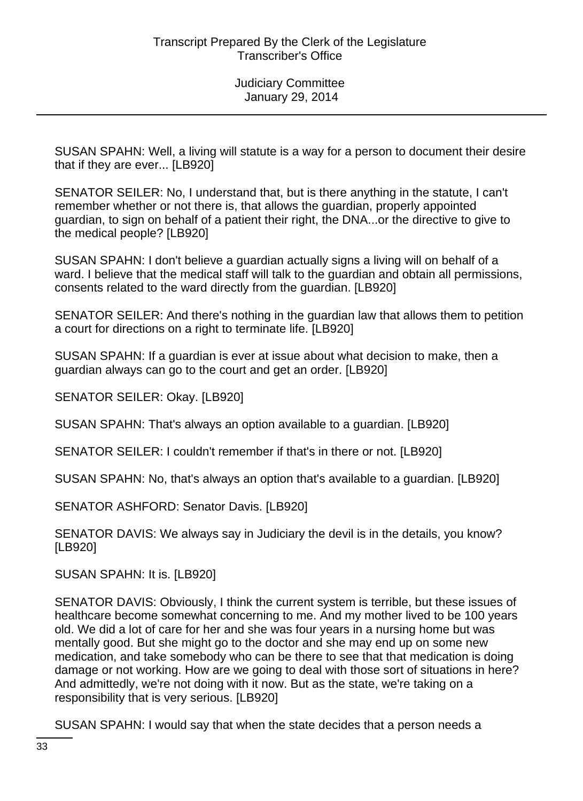SUSAN SPAHN: Well, a living will statute is a way for a person to document their desire that if they are ever... [LB920]

SENATOR SEILER: No, I understand that, but is there anything in the statute, I can't remember whether or not there is, that allows the guardian, properly appointed guardian, to sign on behalf of a patient their right, the DNA...or the directive to give to the medical people? [LB920]

SUSAN SPAHN: I don't believe a guardian actually signs a living will on behalf of a ward. I believe that the medical staff will talk to the guardian and obtain all permissions, consents related to the ward directly from the guardian. [LB920]

SENATOR SEILER: And there's nothing in the guardian law that allows them to petition a court for directions on a right to terminate life. [LB920]

SUSAN SPAHN: If a guardian is ever at issue about what decision to make, then a guardian always can go to the court and get an order. [LB920]

SENATOR SEILER: Okay. [LB920]

SUSAN SPAHN: That's always an option available to a guardian. [LB920]

SENATOR SEILER: I couldn't remember if that's in there or not. [LB920]

SUSAN SPAHN: No, that's always an option that's available to a guardian. [LB920]

SENATOR ASHFORD: Senator Davis. [LB920]

SENATOR DAVIS: We always say in Judiciary the devil is in the details, you know? [LB920]

SUSAN SPAHN: It is. [LB920]

SENATOR DAVIS: Obviously, I think the current system is terrible, but these issues of healthcare become somewhat concerning to me. And my mother lived to be 100 years old. We did a lot of care for her and she was four years in a nursing home but was mentally good. But she might go to the doctor and she may end up on some new medication, and take somebody who can be there to see that that medication is doing damage or not working. How are we going to deal with those sort of situations in here? And admittedly, we're not doing with it now. But as the state, we're taking on a responsibility that is very serious. [LB920]

SUSAN SPAHN: I would say that when the state decides that a person needs a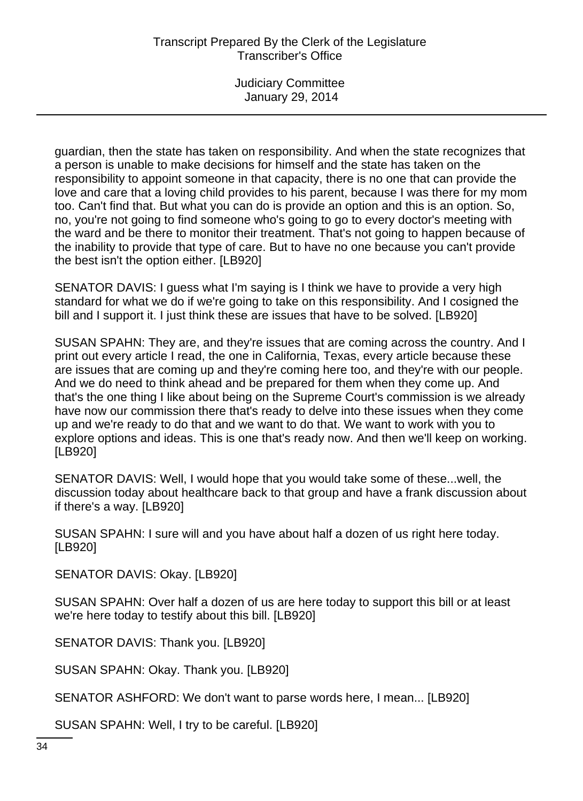guardian, then the state has taken on responsibility. And when the state recognizes that a person is unable to make decisions for himself and the state has taken on the responsibility to appoint someone in that capacity, there is no one that can provide the love and care that a loving child provides to his parent, because I was there for my mom too. Can't find that. But what you can do is provide an option and this is an option. So, no, you're not going to find someone who's going to go to every doctor's meeting with the ward and be there to monitor their treatment. That's not going to happen because of the inability to provide that type of care. But to have no one because you can't provide the best isn't the option either. [LB920]

SENATOR DAVIS: I guess what I'm saying is I think we have to provide a very high standard for what we do if we're going to take on this responsibility. And I cosigned the bill and I support it. I just think these are issues that have to be solved. [LB920]

SUSAN SPAHN: They are, and they're issues that are coming across the country. And I print out every article I read, the one in California, Texas, every article because these are issues that are coming up and they're coming here too, and they're with our people. And we do need to think ahead and be prepared for them when they come up. And that's the one thing I like about being on the Supreme Court's commission is we already have now our commission there that's ready to delve into these issues when they come up and we're ready to do that and we want to do that. We want to work with you to explore options and ideas. This is one that's ready now. And then we'll keep on working. [LB920]

SENATOR DAVIS: Well, I would hope that you would take some of these...well, the discussion today about healthcare back to that group and have a frank discussion about if there's a way. [LB920]

SUSAN SPAHN: I sure will and you have about half a dozen of us right here today. [LB920]

SENATOR DAVIS: Okay. [LB920]

SUSAN SPAHN: Over half a dozen of us are here today to support this bill or at least we're here today to testify about this bill. [LB920]

SENATOR DAVIS: Thank you. [LB920]

SUSAN SPAHN: Okay. Thank you. [LB920]

SENATOR ASHFORD: We don't want to parse words here, I mean... [LB920]

SUSAN SPAHN: Well, I try to be careful. [LB920]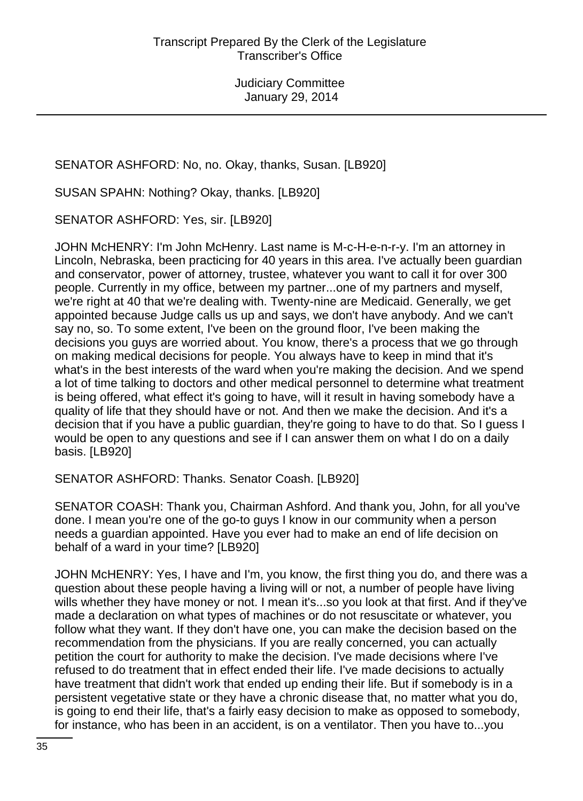SENATOR ASHFORD: No, no. Okay, thanks, Susan. [LB920]

SUSAN SPAHN: Nothing? Okay, thanks. [LB920]

SENATOR ASHFORD: Yes, sir. [LB920]

JOHN McHENRY: I'm John McHenry. Last name is M-c-H-e-n-r-y. I'm an attorney in Lincoln, Nebraska, been practicing for 40 years in this area. I've actually been guardian and conservator, power of attorney, trustee, whatever you want to call it for over 300 people. Currently in my office, between my partner...one of my partners and myself, we're right at 40 that we're dealing with. Twenty-nine are Medicaid. Generally, we get appointed because Judge calls us up and says, we don't have anybody. And we can't say no, so. To some extent, I've been on the ground floor, I've been making the decisions you guys are worried about. You know, there's a process that we go through on making medical decisions for people. You always have to keep in mind that it's what's in the best interests of the ward when you're making the decision. And we spend a lot of time talking to doctors and other medical personnel to determine what treatment is being offered, what effect it's going to have, will it result in having somebody have a quality of life that they should have or not. And then we make the decision. And it's a decision that if you have a public guardian, they're going to have to do that. So I guess I would be open to any questions and see if I can answer them on what I do on a daily basis. [LB920]

SENATOR ASHFORD: Thanks. Senator Coash. [LB920]

SENATOR COASH: Thank you, Chairman Ashford. And thank you, John, for all you've done. I mean you're one of the go-to guys I know in our community when a person needs a guardian appointed. Have you ever had to make an end of life decision on behalf of a ward in your time? [LB920]

JOHN McHENRY: Yes, I have and I'm, you know, the first thing you do, and there was a question about these people having a living will or not, a number of people have living wills whether they have money or not. I mean it's...so you look at that first. And if they've made a declaration on what types of machines or do not resuscitate or whatever, you follow what they want. If they don't have one, you can make the decision based on the recommendation from the physicians. If you are really concerned, you can actually petition the court for authority to make the decision. I've made decisions where I've refused to do treatment that in effect ended their life. I've made decisions to actually have treatment that didn't work that ended up ending their life. But if somebody is in a persistent vegetative state or they have a chronic disease that, no matter what you do, is going to end their life, that's a fairly easy decision to make as opposed to somebody, for instance, who has been in an accident, is on a ventilator. Then you have to...you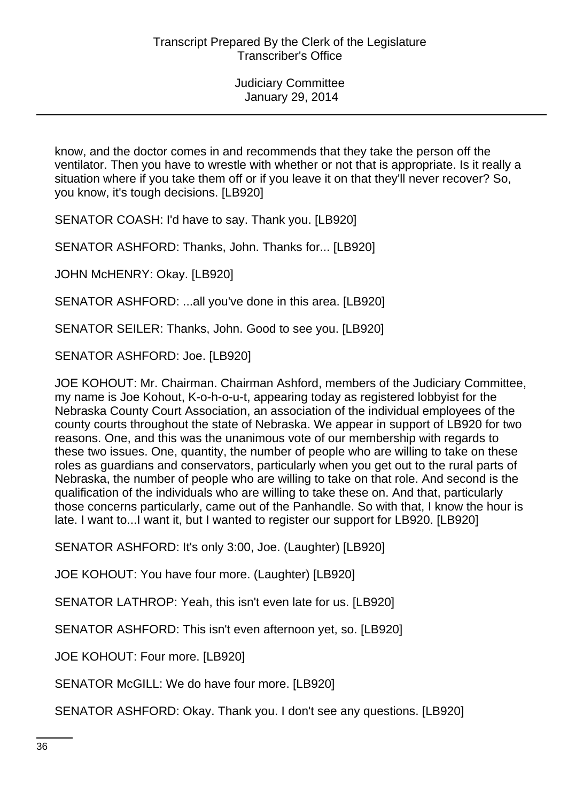know, and the doctor comes in and recommends that they take the person off the ventilator. Then you have to wrestle with whether or not that is appropriate. Is it really a situation where if you take them off or if you leave it on that they'll never recover? So, you know, it's tough decisions. [LB920]

SENATOR COASH: I'd have to say. Thank you. [LB920]

SENATOR ASHFORD: Thanks, John. Thanks for... [LB920]

JOHN McHENRY: Okay. [LB920]

SENATOR ASHFORD: ...all you've done in this area. [LB920]

SENATOR SEILER: Thanks, John. Good to see you. [LB920]

SENATOR ASHFORD: Joe. [LB920]

JOE KOHOUT: Mr. Chairman. Chairman Ashford, members of the Judiciary Committee, my name is Joe Kohout, K-o-h-o-u-t, appearing today as registered lobbyist for the Nebraska County Court Association, an association of the individual employees of the county courts throughout the state of Nebraska. We appear in support of LB920 for two reasons. One, and this was the unanimous vote of our membership with regards to these two issues. One, quantity, the number of people who are willing to take on these roles as guardians and conservators, particularly when you get out to the rural parts of Nebraska, the number of people who are willing to take on that role. And second is the qualification of the individuals who are willing to take these on. And that, particularly those concerns particularly, came out of the Panhandle. So with that, I know the hour is late. I want to...I want it, but I wanted to register our support for LB920. [LB920]

SENATOR ASHFORD: It's only 3:00, Joe. (Laughter) [LB920]

JOE KOHOUT: You have four more. (Laughter) [LB920]

SENATOR LATHROP: Yeah, this isn't even late for us. [LB920]

SENATOR ASHFORD: This isn't even afternoon yet, so. [LB920]

JOE KOHOUT: Four more. [LB920]

SENATOR McGILL: We do have four more. [LB920]

SENATOR ASHFORD: Okay. Thank you. I don't see any questions. [LB920]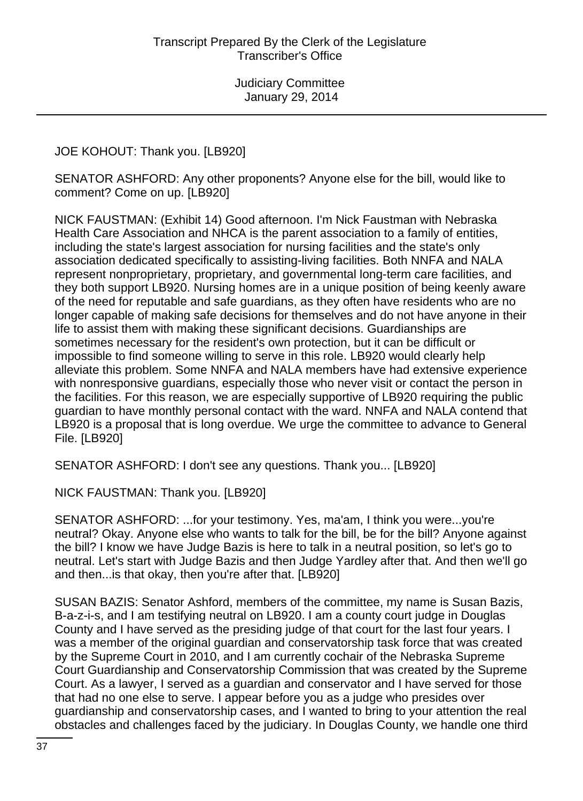JOE KOHOUT: Thank you. [LB920]

SENATOR ASHFORD: Any other proponents? Anyone else for the bill, would like to comment? Come on up. [LB920]

NICK FAUSTMAN: (Exhibit 14) Good afternoon. I'm Nick Faustman with Nebraska Health Care Association and NHCA is the parent association to a family of entities, including the state's largest association for nursing facilities and the state's only association dedicated specifically to assisting-living facilities. Both NNFA and NALA represent nonproprietary, proprietary, and governmental long-term care facilities, and they both support LB920. Nursing homes are in a unique position of being keenly aware of the need for reputable and safe guardians, as they often have residents who are no longer capable of making safe decisions for themselves and do not have anyone in their life to assist them with making these significant decisions. Guardianships are sometimes necessary for the resident's own protection, but it can be difficult or impossible to find someone willing to serve in this role. LB920 would clearly help alleviate this problem. Some NNFA and NALA members have had extensive experience with nonresponsive guardians, especially those who never visit or contact the person in the facilities. For this reason, we are especially supportive of LB920 requiring the public guardian to have monthly personal contact with the ward. NNFA and NALA contend that LB920 is a proposal that is long overdue. We urge the committee to advance to General File. [LB920]

SENATOR ASHFORD: I don't see any questions. Thank you... [LB920]

NICK FAUSTMAN: Thank you. [LB920]

SENATOR ASHFORD: ...for your testimony. Yes, ma'am, I think you were...you're neutral? Okay. Anyone else who wants to talk for the bill, be for the bill? Anyone against the bill? I know we have Judge Bazis is here to talk in a neutral position, so let's go to neutral. Let's start with Judge Bazis and then Judge Yardley after that. And then we'll go and then...is that okay, then you're after that. [LB920]

SUSAN BAZIS: Senator Ashford, members of the committee, my name is Susan Bazis, B-a-z-i-s, and I am testifying neutral on LB920. I am a county court judge in Douglas County and I have served as the presiding judge of that court for the last four years. I was a member of the original guardian and conservatorship task force that was created by the Supreme Court in 2010, and I am currently cochair of the Nebraska Supreme Court Guardianship and Conservatorship Commission that was created by the Supreme Court. As a lawyer, I served as a guardian and conservator and I have served for those that had no one else to serve. I appear before you as a judge who presides over guardianship and conservatorship cases, and I wanted to bring to your attention the real obstacles and challenges faced by the judiciary. In Douglas County, we handle one third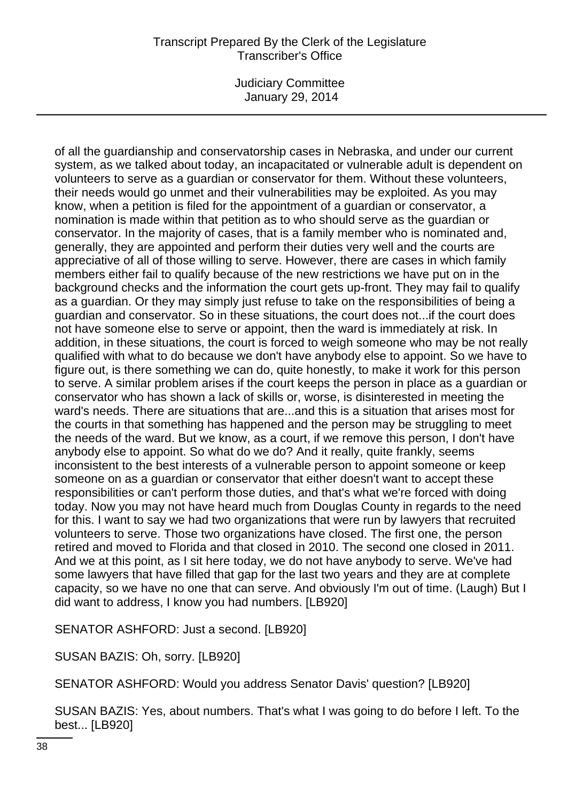Judiciary Committee January 29, 2014

of all the guardianship and conservatorship cases in Nebraska, and under our current system, as we talked about today, an incapacitated or vulnerable adult is dependent on volunteers to serve as a guardian or conservator for them. Without these volunteers, their needs would go unmet and their vulnerabilities may be exploited. As you may know, when a petition is filed for the appointment of a guardian or conservator, a nomination is made within that petition as to who should serve as the guardian or conservator. In the majority of cases, that is a family member who is nominated and, generally, they are appointed and perform their duties very well and the courts are appreciative of all of those willing to serve. However, there are cases in which family members either fail to qualify because of the new restrictions we have put on in the background checks and the information the court gets up-front. They may fail to qualify as a guardian. Or they may simply just refuse to take on the responsibilities of being a guardian and conservator. So in these situations, the court does not...if the court does not have someone else to serve or appoint, then the ward is immediately at risk. In addition, in these situations, the court is forced to weigh someone who may be not really qualified with what to do because we don't have anybody else to appoint. So we have to figure out, is there something we can do, quite honestly, to make it work for this person to serve. A similar problem arises if the court keeps the person in place as a guardian or conservator who has shown a lack of skills or, worse, is disinterested in meeting the ward's needs. There are situations that are...and this is a situation that arises most for the courts in that something has happened and the person may be struggling to meet the needs of the ward. But we know, as a court, if we remove this person, I don't have anybody else to appoint. So what do we do? And it really, quite frankly, seems inconsistent to the best interests of a vulnerable person to appoint someone or keep someone on as a guardian or conservator that either doesn't want to accept these responsibilities or can't perform those duties, and that's what we're forced with doing today. Now you may not have heard much from Douglas County in regards to the need for this. I want to say we had two organizations that were run by lawyers that recruited volunteers to serve. Those two organizations have closed. The first one, the person retired and moved to Florida and that closed in 2010. The second one closed in 2011. And we at this point, as I sit here today, we do not have anybody to serve. We've had some lawyers that have filled that gap for the last two years and they are at complete capacity, so we have no one that can serve. And obviously I'm out of time. (Laugh) But I did want to address, I know you had numbers. [LB920]

SENATOR ASHFORD: Just a second. [LB920]

SUSAN BAZIS: Oh, sorry. [LB920]

SENATOR ASHFORD: Would you address Senator Davis' question? [LB920]

SUSAN BAZIS: Yes, about numbers. That's what I was going to do before I left. To the best... [LB920]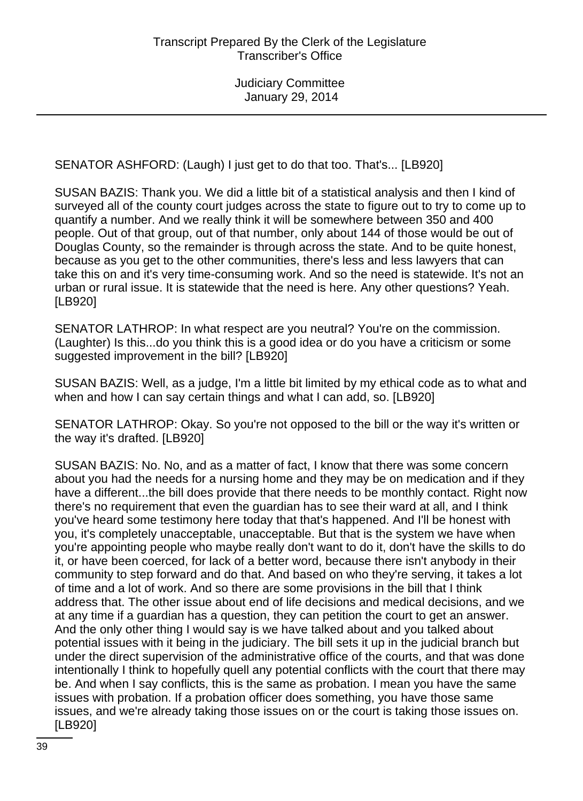SENATOR ASHFORD: (Laugh) I just get to do that too. That's... [LB920]

SUSAN BAZIS: Thank you. We did a little bit of a statistical analysis and then I kind of surveyed all of the county court judges across the state to figure out to try to come up to quantify a number. And we really think it will be somewhere between 350 and 400 people. Out of that group, out of that number, only about 144 of those would be out of Douglas County, so the remainder is through across the state. And to be quite honest, because as you get to the other communities, there's less and less lawyers that can take this on and it's very time-consuming work. And so the need is statewide. It's not an urban or rural issue. It is statewide that the need is here. Any other questions? Yeah. [LB920]

SENATOR LATHROP: In what respect are you neutral? You're on the commission. (Laughter) Is this...do you think this is a good idea or do you have a criticism or some suggested improvement in the bill? [LB920]

SUSAN BAZIS: Well, as a judge, I'm a little bit limited by my ethical code as to what and when and how I can say certain things and what I can add, so. [LB920]

SENATOR LATHROP: Okay. So you're not opposed to the bill or the way it's written or the way it's drafted. [LB920]

SUSAN BAZIS: No. No, and as a matter of fact, I know that there was some concern about you had the needs for a nursing home and they may be on medication and if they have a different...the bill does provide that there needs to be monthly contact. Right now there's no requirement that even the guardian has to see their ward at all, and I think you've heard some testimony here today that that's happened. And I'll be honest with you, it's completely unacceptable, unacceptable. But that is the system we have when you're appointing people who maybe really don't want to do it, don't have the skills to do it, or have been coerced, for lack of a better word, because there isn't anybody in their community to step forward and do that. And based on who they're serving, it takes a lot of time and a lot of work. And so there are some provisions in the bill that I think address that. The other issue about end of life decisions and medical decisions, and we at any time if a guardian has a question, they can petition the court to get an answer. And the only other thing I would say is we have talked about and you talked about potential issues with it being in the judiciary. The bill sets it up in the judicial branch but under the direct supervision of the administrative office of the courts, and that was done intentionally I think to hopefully quell any potential conflicts with the court that there may be. And when I say conflicts, this is the same as probation. I mean you have the same issues with probation. If a probation officer does something, you have those same issues, and we're already taking those issues on or the court is taking those issues on. [LB920]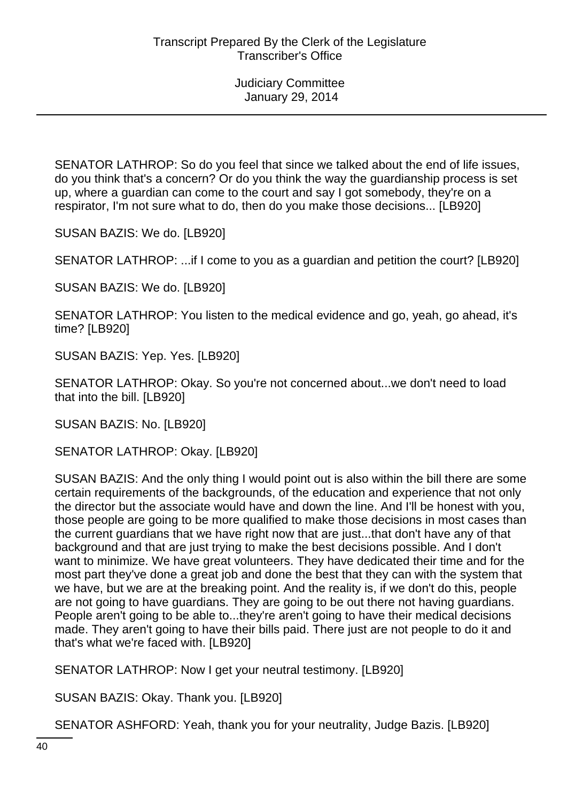SENATOR LATHROP: So do you feel that since we talked about the end of life issues, do you think that's a concern? Or do you think the way the guardianship process is set up, where a guardian can come to the court and say I got somebody, they're on a respirator, I'm not sure what to do, then do you make those decisions... [LB920]

SUSAN BAZIS: We do. [LB920]

SENATOR LATHROP: ...if I come to you as a guardian and petition the court? [LB920]

SUSAN BAZIS: We do. [LB920]

SENATOR LATHROP: You listen to the medical evidence and go, yeah, go ahead, it's time? [LB920]

SUSAN BAZIS: Yep. Yes. [LB920]

SENATOR LATHROP: Okay. So you're not concerned about...we don't need to load that into the bill. [LB920]

SUSAN BAZIS: No. [LB920]

SENATOR LATHROP: Okay. [LB920]

SUSAN BAZIS: And the only thing I would point out is also within the bill there are some certain requirements of the backgrounds, of the education and experience that not only the director but the associate would have and down the line. And I'll be honest with you, those people are going to be more qualified to make those decisions in most cases than the current guardians that we have right now that are just...that don't have any of that background and that are just trying to make the best decisions possible. And I don't want to minimize. We have great volunteers. They have dedicated their time and for the most part they've done a great job and done the best that they can with the system that we have, but we are at the breaking point. And the reality is, if we don't do this, people are not going to have guardians. They are going to be out there not having guardians. People aren't going to be able to...they're aren't going to have their medical decisions made. They aren't going to have their bills paid. There just are not people to do it and that's what we're faced with. [LB920]

SENATOR LATHROP: Now I get your neutral testimony. [LB920]

SUSAN BAZIS: Okay. Thank you. [LB920]

SENATOR ASHFORD: Yeah, thank you for your neutrality, Judge Bazis. [LB920]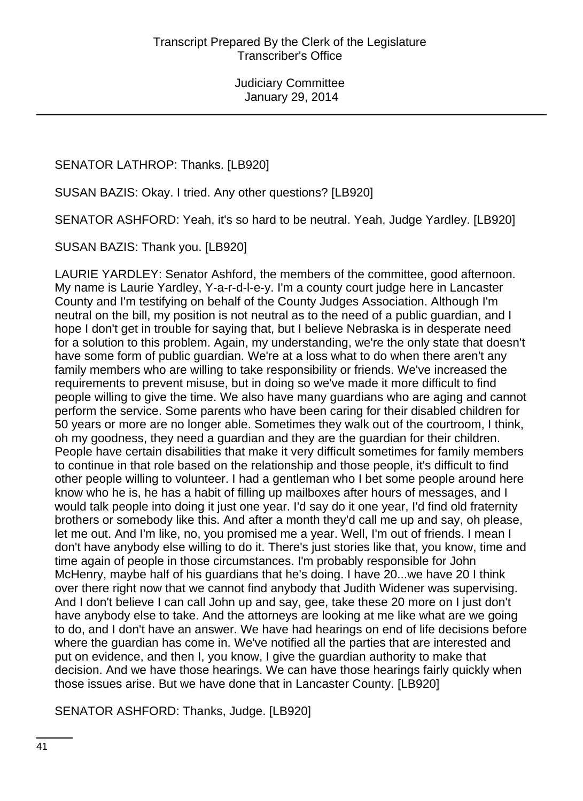# SENATOR LATHROP: Thanks. [LB920]

SUSAN BAZIS: Okay. I tried. Any other questions? [LB920]

SENATOR ASHFORD: Yeah, it's so hard to be neutral. Yeah, Judge Yardley. [LB920]

SUSAN BAZIS: Thank you. [LB920]

LAURIE YARDLEY: Senator Ashford, the members of the committee, good afternoon. My name is Laurie Yardley, Y-a-r-d-l-e-y. I'm a county court judge here in Lancaster County and I'm testifying on behalf of the County Judges Association. Although I'm neutral on the bill, my position is not neutral as to the need of a public guardian, and I hope I don't get in trouble for saying that, but I believe Nebraska is in desperate need for a solution to this problem. Again, my understanding, we're the only state that doesn't have some form of public guardian. We're at a loss what to do when there aren't any family members who are willing to take responsibility or friends. We've increased the requirements to prevent misuse, but in doing so we've made it more difficult to find people willing to give the time. We also have many guardians who are aging and cannot perform the service. Some parents who have been caring for their disabled children for 50 years or more are no longer able. Sometimes they walk out of the courtroom, I think, oh my goodness, they need a guardian and they are the guardian for their children. People have certain disabilities that make it very difficult sometimes for family members to continue in that role based on the relationship and those people, it's difficult to find other people willing to volunteer. I had a gentleman who I bet some people around here know who he is, he has a habit of filling up mailboxes after hours of messages, and I would talk people into doing it just one year. I'd say do it one year, I'd find old fraternity brothers or somebody like this. And after a month they'd call me up and say, oh please, let me out. And I'm like, no, you promised me a year. Well, I'm out of friends. I mean I don't have anybody else willing to do it. There's just stories like that, you know, time and time again of people in those circumstances. I'm probably responsible for John McHenry, maybe half of his guardians that he's doing. I have 20...we have 20 I think over there right now that we cannot find anybody that Judith Widener was supervising. And I don't believe I can call John up and say, gee, take these 20 more on I just don't have anybody else to take. And the attorneys are looking at me like what are we going to do, and I don't have an answer. We have had hearings on end of life decisions before where the guardian has come in. We've notified all the parties that are interested and put on evidence, and then I, you know, I give the guardian authority to make that decision. And we have those hearings. We can have those hearings fairly quickly when those issues arise. But we have done that in Lancaster County. [LB920]

SENATOR ASHFORD: Thanks, Judge. [LB920]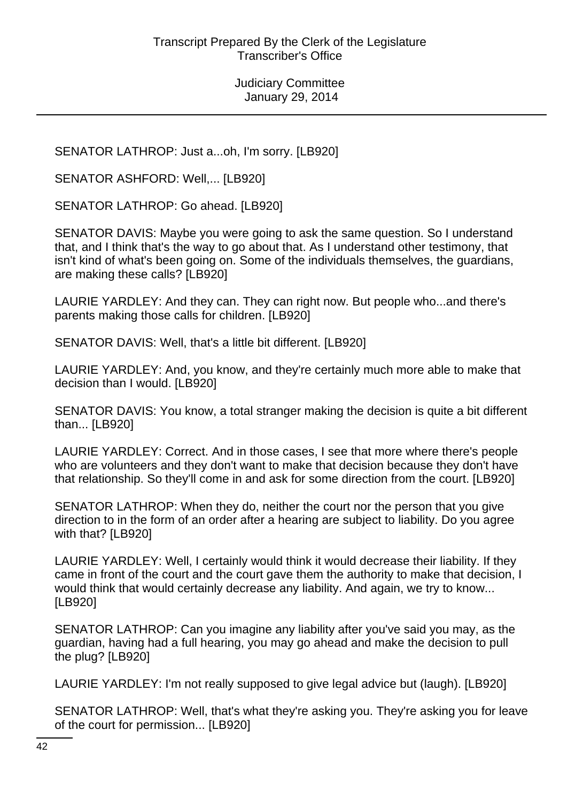SENATOR LATHROP: Just a...oh, I'm sorry. [LB920]

SENATOR ASHFORD: Well,... [LB920]

SENATOR LATHROP: Go ahead. [LB920]

SENATOR DAVIS: Maybe you were going to ask the same question. So I understand that, and I think that's the way to go about that. As I understand other testimony, that isn't kind of what's been going on. Some of the individuals themselves, the guardians, are making these calls? [LB920]

LAURIE YARDLEY: And they can. They can right now. But people who...and there's parents making those calls for children. [LB920]

SENATOR DAVIS: Well, that's a little bit different. [LB920]

LAURIE YARDLEY: And, you know, and they're certainly much more able to make that decision than I would. [LB920]

SENATOR DAVIS: You know, a total stranger making the decision is quite a bit different than... [LB920]

LAURIE YARDLEY: Correct. And in those cases, I see that more where there's people who are volunteers and they don't want to make that decision because they don't have that relationship. So they'll come in and ask for some direction from the court. [LB920]

SENATOR LATHROP: When they do, neither the court nor the person that you give direction to in the form of an order after a hearing are subject to liability. Do you agree with that? [LB920]

LAURIE YARDLEY: Well, I certainly would think it would decrease their liability. If they came in front of the court and the court gave them the authority to make that decision, I would think that would certainly decrease any liability. And again, we try to know... [LB920]

SENATOR LATHROP: Can you imagine any liability after you've said you may, as the guardian, having had a full hearing, you may go ahead and make the decision to pull the plug? [LB920]

LAURIE YARDLEY: I'm not really supposed to give legal advice but (laugh). [LB920]

SENATOR LATHROP: Well, that's what they're asking you. They're asking you for leave of the court for permission... [LB920]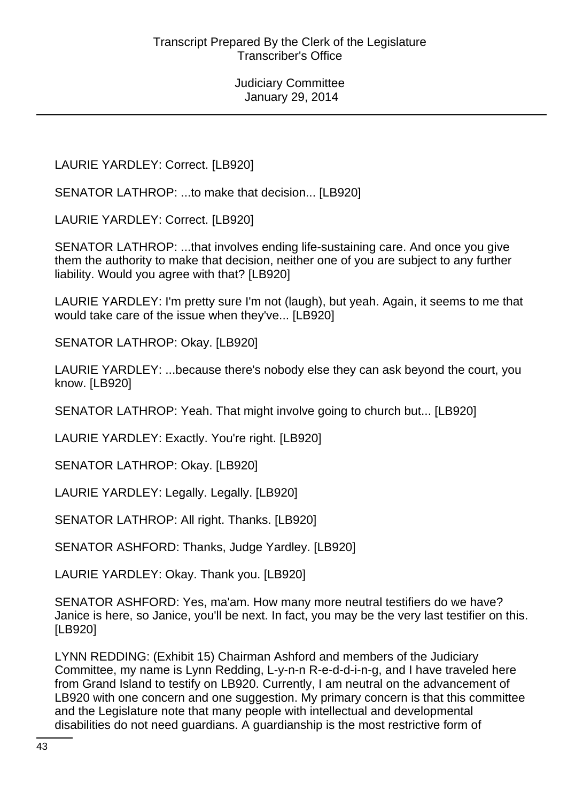LAURIE YARDLEY: Correct. [LB920]

SENATOR LATHROP: ...to make that decision... [LB920]

LAURIE YARDLEY: Correct. [LB920]

SENATOR LATHROP: ...that involves ending life-sustaining care. And once you give them the authority to make that decision, neither one of you are subject to any further liability. Would you agree with that? [LB920]

LAURIE YARDLEY: I'm pretty sure I'm not (laugh), but yeah. Again, it seems to me that would take care of the issue when they've... [LB920]

SENATOR LATHROP: Okay. [LB920]

LAURIE YARDLEY: ...because there's nobody else they can ask beyond the court, you know. [LB920]

SENATOR LATHROP: Yeah. That might involve going to church but... [LB920]

LAURIE YARDLEY: Exactly. You're right. [LB920]

SENATOR LATHROP: Okay. [LB920]

LAURIE YARDLEY: Legally. Legally. [LB920]

SENATOR LATHROP: All right. Thanks. [LB920]

SENATOR ASHFORD: Thanks, Judge Yardley. [LB920]

LAURIE YARDLEY: Okay. Thank you. [LB920]

SENATOR ASHFORD: Yes, ma'am. How many more neutral testifiers do we have? Janice is here, so Janice, you'll be next. In fact, you may be the very last testifier on this. [LB920]

LYNN REDDING: (Exhibit 15) Chairman Ashford and members of the Judiciary Committee, my name is Lynn Redding, L-y-n-n R-e-d-d-i-n-g, and I have traveled here from Grand Island to testify on LB920. Currently, I am neutral on the advancement of LB920 with one concern and one suggestion. My primary concern is that this committee and the Legislature note that many people with intellectual and developmental disabilities do not need guardians. A guardianship is the most restrictive form of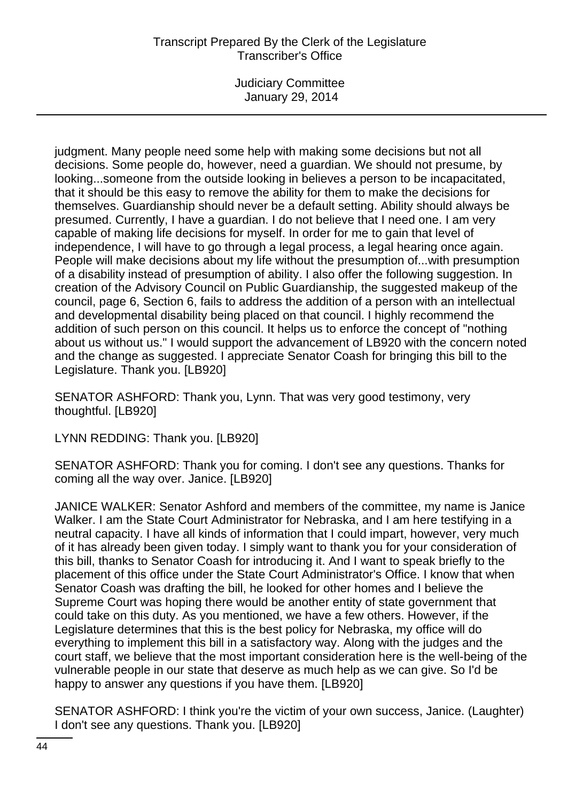Judiciary Committee January 29, 2014

judgment. Many people need some help with making some decisions but not all decisions. Some people do, however, need a guardian. We should not presume, by looking...someone from the outside looking in believes a person to be incapacitated, that it should be this easy to remove the ability for them to make the decisions for themselves. Guardianship should never be a default setting. Ability should always be presumed. Currently, I have a guardian. I do not believe that I need one. I am very capable of making life decisions for myself. In order for me to gain that level of independence, I will have to go through a legal process, a legal hearing once again. People will make decisions about my life without the presumption of...with presumption of a disability instead of presumption of ability. I also offer the following suggestion. In creation of the Advisory Council on Public Guardianship, the suggested makeup of the council, page 6, Section 6, fails to address the addition of a person with an intellectual and developmental disability being placed on that council. I highly recommend the addition of such person on this council. It helps us to enforce the concept of "nothing about us without us." I would support the advancement of LB920 with the concern noted and the change as suggested. I appreciate Senator Coash for bringing this bill to the Legislature. Thank you. [LB920]

SENATOR ASHFORD: Thank you, Lynn. That was very good testimony, very thoughtful. [LB920]

LYNN REDDING: Thank you. [LB920]

SENATOR ASHFORD: Thank you for coming. I don't see any questions. Thanks for coming all the way over. Janice. [LB920]

JANICE WALKER: Senator Ashford and members of the committee, my name is Janice Walker. I am the State Court Administrator for Nebraska, and I am here testifying in a neutral capacity. I have all kinds of information that I could impart, however, very much of it has already been given today. I simply want to thank you for your consideration of this bill, thanks to Senator Coash for introducing it. And I want to speak briefly to the placement of this office under the State Court Administrator's Office. I know that when Senator Coash was drafting the bill, he looked for other homes and I believe the Supreme Court was hoping there would be another entity of state government that could take on this duty. As you mentioned, we have a few others. However, if the Legislature determines that this is the best policy for Nebraska, my office will do everything to implement this bill in a satisfactory way. Along with the judges and the court staff, we believe that the most important consideration here is the well-being of the vulnerable people in our state that deserve as much help as we can give. So I'd be happy to answer any questions if you have them. [LB920]

SENATOR ASHFORD: I think you're the victim of your own success, Janice. (Laughter) I don't see any questions. Thank you. [LB920]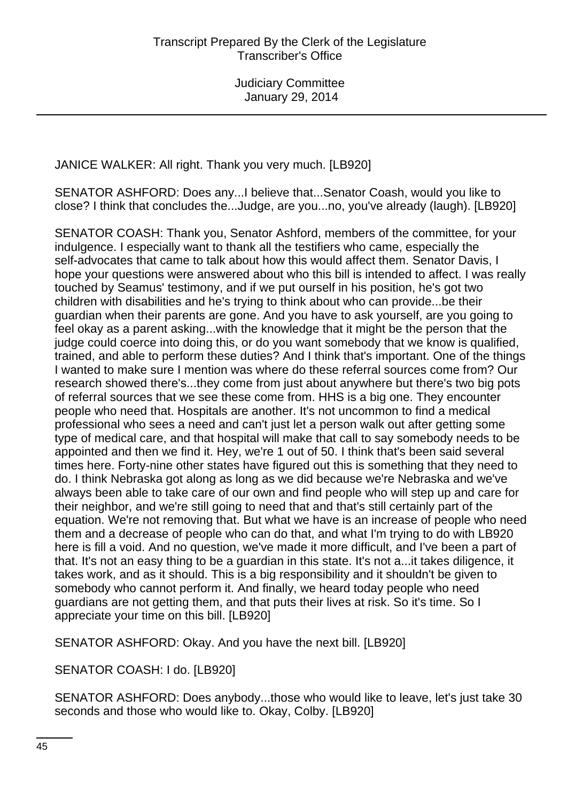JANICE WALKER: All right. Thank you very much. [LB920]

SENATOR ASHFORD: Does any...I believe that...Senator Coash, would you like to close? I think that concludes the...Judge, are you...no, you've already (laugh). [LB920]

SENATOR COASH: Thank you, Senator Ashford, members of the committee, for your indulgence. I especially want to thank all the testifiers who came, especially the self-advocates that came to talk about how this would affect them. Senator Davis, I hope your questions were answered about who this bill is intended to affect. I was really touched by Seamus' testimony, and if we put ourself in his position, he's got two children with disabilities and he's trying to think about who can provide...be their guardian when their parents are gone. And you have to ask yourself, are you going to feel okay as a parent asking...with the knowledge that it might be the person that the judge could coerce into doing this, or do you want somebody that we know is qualified, trained, and able to perform these duties? And I think that's important. One of the things I wanted to make sure I mention was where do these referral sources come from? Our research showed there's...they come from just about anywhere but there's two big pots of referral sources that we see these come from. HHS is a big one. They encounter people who need that. Hospitals are another. It's not uncommon to find a medical professional who sees a need and can't just let a person walk out after getting some type of medical care, and that hospital will make that call to say somebody needs to be appointed and then we find it. Hey, we're 1 out of 50. I think that's been said several times here. Forty-nine other states have figured out this is something that they need to do. I think Nebraska got along as long as we did because we're Nebraska and we've always been able to take care of our own and find people who will step up and care for their neighbor, and we're still going to need that and that's still certainly part of the equation. We're not removing that. But what we have is an increase of people who need them and a decrease of people who can do that, and what I'm trying to do with LB920 here is fill a void. And no question, we've made it more difficult, and I've been a part of that. It's not an easy thing to be a guardian in this state. It's not a...it takes diligence, it takes work, and as it should. This is a big responsibility and it shouldn't be given to somebody who cannot perform it. And finally, we heard today people who need guardians are not getting them, and that puts their lives at risk. So it's time. So I appreciate your time on this bill. [LB920]

SENATOR ASHFORD: Okay. And you have the next bill. [LB920]

SENATOR COASH: I do. [LB920]

SENATOR ASHFORD: Does anybody...those who would like to leave, let's just take 30 seconds and those who would like to. Okay, Colby. [LB920]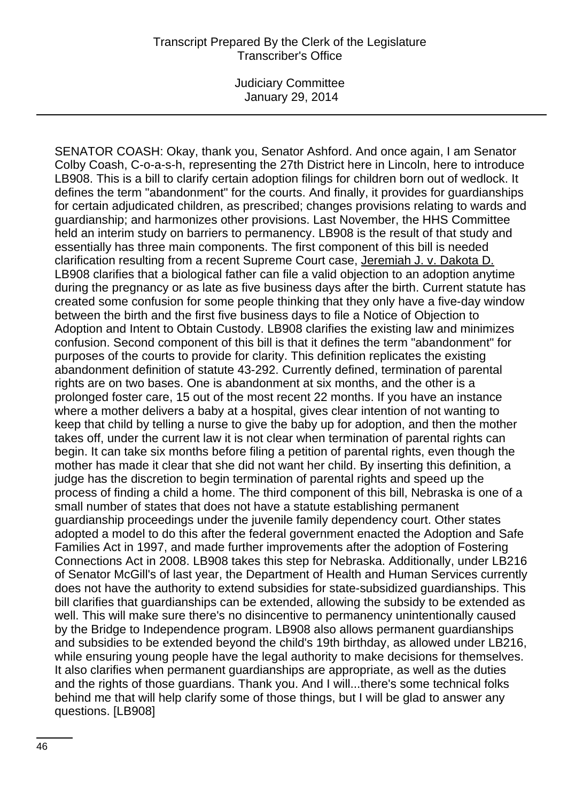SENATOR COASH: Okay, thank you, Senator Ashford. And once again, I am Senator Colby Coash, C-o-a-s-h, representing the 27th District here in Lincoln, here to introduce LB908. This is a bill to clarify certain adoption filings for children born out of wedlock. It defines the term "abandonment" for the courts. And finally, it provides for guardianships for certain adjudicated children, as prescribed; changes provisions relating to wards and guardianship; and harmonizes other provisions. Last November, the HHS Committee held an interim study on barriers to permanency. LB908 is the result of that study and essentially has three main components. The first component of this bill is needed clarification resulting from a recent Supreme Court case, Jeremiah J. v. Dakota D. LB908 clarifies that a biological father can file a valid objection to an adoption anytime during the pregnancy or as late as five business days after the birth. Current statute has created some confusion for some people thinking that they only have a five-day window between the birth and the first five business days to file a Notice of Objection to Adoption and Intent to Obtain Custody. LB908 clarifies the existing law and minimizes confusion. Second component of this bill is that it defines the term "abandonment" for purposes of the courts to provide for clarity. This definition replicates the existing abandonment definition of statute 43-292. Currently defined, termination of parental rights are on two bases. One is abandonment at six months, and the other is a prolonged foster care, 15 out of the most recent 22 months. If you have an instance where a mother delivers a baby at a hospital, gives clear intention of not wanting to keep that child by telling a nurse to give the baby up for adoption, and then the mother takes off, under the current law it is not clear when termination of parental rights can begin. It can take six months before filing a petition of parental rights, even though the mother has made it clear that she did not want her child. By inserting this definition, a judge has the discretion to begin termination of parental rights and speed up the process of finding a child a home. The third component of this bill, Nebraska is one of a small number of states that does not have a statute establishing permanent guardianship proceedings under the juvenile family dependency court. Other states adopted a model to do this after the federal government enacted the Adoption and Safe Families Act in 1997, and made further improvements after the adoption of Fostering Connections Act in 2008. LB908 takes this step for Nebraska. Additionally, under LB216 of Senator McGill's of last year, the Department of Health and Human Services currently does not have the authority to extend subsidies for state-subsidized guardianships. This bill clarifies that guardianships can be extended, allowing the subsidy to be extended as well. This will make sure there's no disincentive to permanency unintentionally caused by the Bridge to Independence program. LB908 also allows permanent guardianships and subsidies to be extended beyond the child's 19th birthday, as allowed under LB216, while ensuring young people have the legal authority to make decisions for themselves. It also clarifies when permanent guardianships are appropriate, as well as the duties and the rights of those guardians. Thank you. And I will...there's some technical folks behind me that will help clarify some of those things, but I will be glad to answer any questions. [LB908]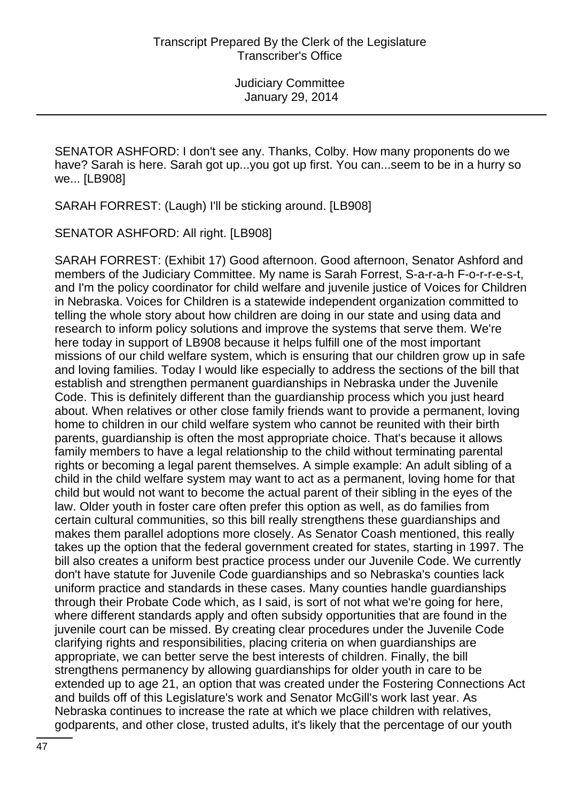SENATOR ASHFORD: I don't see any. Thanks, Colby. How many proponents do we have? Sarah is here. Sarah got up...you got up first. You can...seem to be in a hurry so we... [LB908]

SARAH FORREST: (Laugh) I'll be sticking around. [LB908]

SENATOR ASHFORD: All right. [LB908]

SARAH FORREST: (Exhibit 17) Good afternoon. Good afternoon, Senator Ashford and members of the Judiciary Committee. My name is Sarah Forrest, S-a-r-a-h F-o-r-r-e-s-t, and I'm the policy coordinator for child welfare and juvenile justice of Voices for Children in Nebraska. Voices for Children is a statewide independent organization committed to telling the whole story about how children are doing in our state and using data and research to inform policy solutions and improve the systems that serve them. We're here today in support of LB908 because it helps fulfill one of the most important missions of our child welfare system, which is ensuring that our children grow up in safe and loving families. Today I would like especially to address the sections of the bill that establish and strengthen permanent guardianships in Nebraska under the Juvenile Code. This is definitely different than the guardianship process which you just heard about. When relatives or other close family friends want to provide a permanent, loving home to children in our child welfare system who cannot be reunited with their birth parents, guardianship is often the most appropriate choice. That's because it allows family members to have a legal relationship to the child without terminating parental rights or becoming a legal parent themselves. A simple example: An adult sibling of a child in the child welfare system may want to act as a permanent, loving home for that child but would not want to become the actual parent of their sibling in the eyes of the law. Older youth in foster care often prefer this option as well, as do families from certain cultural communities, so this bill really strengthens these guardianships and makes them parallel adoptions more closely. As Senator Coash mentioned, this really takes up the option that the federal government created for states, starting in 1997. The bill also creates a uniform best practice process under our Juvenile Code. We currently don't have statute for Juvenile Code guardianships and so Nebraska's counties lack uniform practice and standards in these cases. Many counties handle guardianships through their Probate Code which, as I said, is sort of not what we're going for here, where different standards apply and often subsidy opportunities that are found in the juvenile court can be missed. By creating clear procedures under the Juvenile Code clarifying rights and responsibilities, placing criteria on when guardianships are appropriate, we can better serve the best interests of children. Finally, the bill strengthens permanency by allowing guardianships for older youth in care to be extended up to age 21, an option that was created under the Fostering Connections Act and builds off of this Legislature's work and Senator McGill's work last year. As Nebraska continues to increase the rate at which we place children with relatives, godparents, and other close, trusted adults, it's likely that the percentage of our youth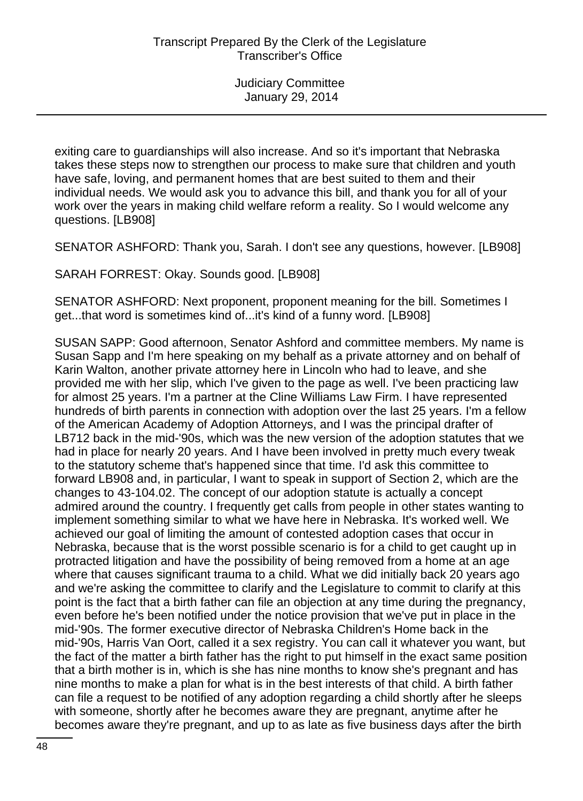exiting care to guardianships will also increase. And so it's important that Nebraska takes these steps now to strengthen our process to make sure that children and youth have safe, loving, and permanent homes that are best suited to them and their individual needs. We would ask you to advance this bill, and thank you for all of your work over the years in making child welfare reform a reality. So I would welcome any questions. [LB908]

SENATOR ASHFORD: Thank you, Sarah. I don't see any questions, however. [LB908]

SARAH FORREST: Okay. Sounds good. [LB908]

SENATOR ASHFORD: Next proponent, proponent meaning for the bill. Sometimes I get...that word is sometimes kind of...it's kind of a funny word. [LB908]

SUSAN SAPP: Good afternoon, Senator Ashford and committee members. My name is Susan Sapp and I'm here speaking on my behalf as a private attorney and on behalf of Karin Walton, another private attorney here in Lincoln who had to leave, and she provided me with her slip, which I've given to the page as well. I've been practicing law for almost 25 years. I'm a partner at the Cline Williams Law Firm. I have represented hundreds of birth parents in connection with adoption over the last 25 years. I'm a fellow of the American Academy of Adoption Attorneys, and I was the principal drafter of LB712 back in the mid-'90s, which was the new version of the adoption statutes that we had in place for nearly 20 years. And I have been involved in pretty much every tweak to the statutory scheme that's happened since that time. I'd ask this committee to forward LB908 and, in particular, I want to speak in support of Section 2, which are the changes to 43-104.02. The concept of our adoption statute is actually a concept admired around the country. I frequently get calls from people in other states wanting to implement something similar to what we have here in Nebraska. It's worked well. We achieved our goal of limiting the amount of contested adoption cases that occur in Nebraska, because that is the worst possible scenario is for a child to get caught up in protracted litigation and have the possibility of being removed from a home at an age where that causes significant trauma to a child. What we did initially back 20 years ago and we're asking the committee to clarify and the Legislature to commit to clarify at this point is the fact that a birth father can file an objection at any time during the pregnancy, even before he's been notified under the notice provision that we've put in place in the mid-'90s. The former executive director of Nebraska Children's Home back in the mid-'90s, Harris Van Oort, called it a sex registry. You can call it whatever you want, but the fact of the matter a birth father has the right to put himself in the exact same position that a birth mother is in, which is she has nine months to know she's pregnant and has nine months to make a plan for what is in the best interests of that child. A birth father can file a request to be notified of any adoption regarding a child shortly after he sleeps with someone, shortly after he becomes aware they are pregnant, anytime after he becomes aware they're pregnant, and up to as late as five business days after the birth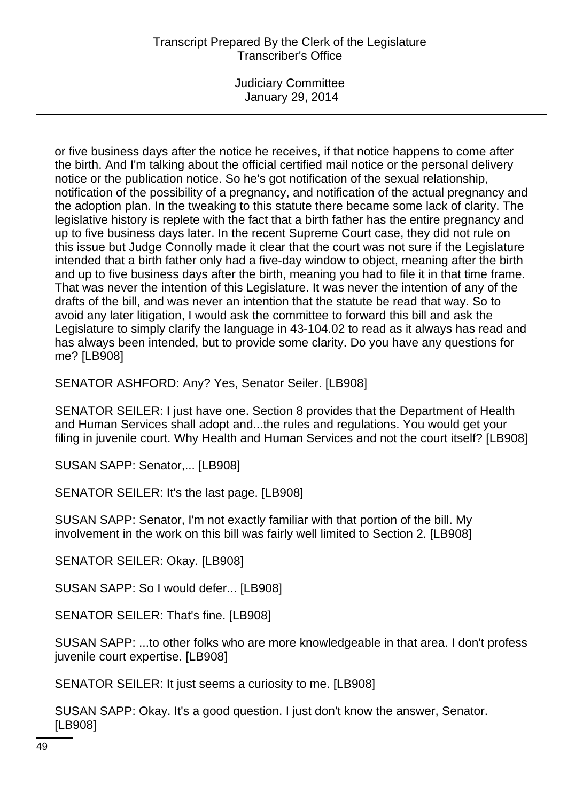Judiciary Committee January 29, 2014

or five business days after the notice he receives, if that notice happens to come after the birth. And I'm talking about the official certified mail notice or the personal delivery notice or the publication notice. So he's got notification of the sexual relationship, notification of the possibility of a pregnancy, and notification of the actual pregnancy and the adoption plan. In the tweaking to this statute there became some lack of clarity. The legislative history is replete with the fact that a birth father has the entire pregnancy and up to five business days later. In the recent Supreme Court case, they did not rule on this issue but Judge Connolly made it clear that the court was not sure if the Legislature intended that a birth father only had a five-day window to object, meaning after the birth and up to five business days after the birth, meaning you had to file it in that time frame. That was never the intention of this Legislature. It was never the intention of any of the drafts of the bill, and was never an intention that the statute be read that way. So to avoid any later litigation, I would ask the committee to forward this bill and ask the Legislature to simply clarify the language in 43-104.02 to read as it always has read and has always been intended, but to provide some clarity. Do you have any questions for me? [LB908]

SENATOR ASHFORD: Any? Yes, Senator Seiler. [LB908]

SENATOR SEILER: I just have one. Section 8 provides that the Department of Health and Human Services shall adopt and...the rules and regulations. You would get your filing in juvenile court. Why Health and Human Services and not the court itself? [LB908]

SUSAN SAPP: Senator,... [LB908]

SENATOR SEILER: It's the last page. [LB908]

SUSAN SAPP: Senator, I'm not exactly familiar with that portion of the bill. My involvement in the work on this bill was fairly well limited to Section 2. [LB908]

SENATOR SEILER: Okay. [LB908]

SUSAN SAPP: So I would defer... [LB908]

SENATOR SEILER: That's fine. [LB908]

SUSAN SAPP: ...to other folks who are more knowledgeable in that area. I don't profess juvenile court expertise. [LB908]

SENATOR SEILER: It just seems a curiosity to me. [LB908]

SUSAN SAPP: Okay. It's a good question. I just don't know the answer, Senator. [LB908]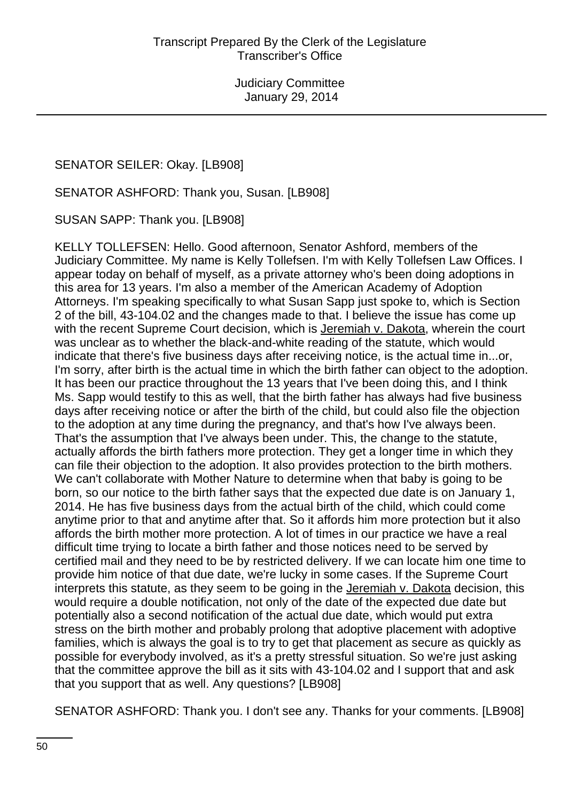SENATOR SEILER: Okay. [LB908]

SENATOR ASHFORD: Thank you, Susan. [LB908]

SUSAN SAPP: Thank you. [LB908]

KELLY TOLLEFSEN: Hello. Good afternoon, Senator Ashford, members of the Judiciary Committee. My name is Kelly Tollefsen. I'm with Kelly Tollefsen Law Offices. I appear today on behalf of myself, as a private attorney who's been doing adoptions in this area for 13 years. I'm also a member of the American Academy of Adoption Attorneys. I'm speaking specifically to what Susan Sapp just spoke to, which is Section 2 of the bill, 43-104.02 and the changes made to that. I believe the issue has come up with the recent Supreme Court decision, which is Jeremiah v. Dakota, wherein the court was unclear as to whether the black-and-white reading of the statute, which would indicate that there's five business days after receiving notice, is the actual time in...or, I'm sorry, after birth is the actual time in which the birth father can object to the adoption. It has been our practice throughout the 13 years that I've been doing this, and I think Ms. Sapp would testify to this as well, that the birth father has always had five business days after receiving notice or after the birth of the child, but could also file the objection to the adoption at any time during the pregnancy, and that's how I've always been. That's the assumption that I've always been under. This, the change to the statute, actually affords the birth fathers more protection. They get a longer time in which they can file their objection to the adoption. It also provides protection to the birth mothers. We can't collaborate with Mother Nature to determine when that baby is going to be born, so our notice to the birth father says that the expected due date is on January 1, 2014. He has five business days from the actual birth of the child, which could come anytime prior to that and anytime after that. So it affords him more protection but it also affords the birth mother more protection. A lot of times in our practice we have a real difficult time trying to locate a birth father and those notices need to be served by certified mail and they need to be by restricted delivery. If we can locate him one time to provide him notice of that due date, we're lucky in some cases. If the Supreme Court interprets this statute, as they seem to be going in the Jeremiah v. Dakota decision, this would require a double notification, not only of the date of the expected due date but potentially also a second notification of the actual due date, which would put extra stress on the birth mother and probably prolong that adoptive placement with adoptive families, which is always the goal is to try to get that placement as secure as quickly as possible for everybody involved, as it's a pretty stressful situation. So we're just asking that the committee approve the bill as it sits with 43-104.02 and I support that and ask that you support that as well. Any questions? [LB908]

SENATOR ASHFORD: Thank you. I don't see any. Thanks for your comments. [LB908]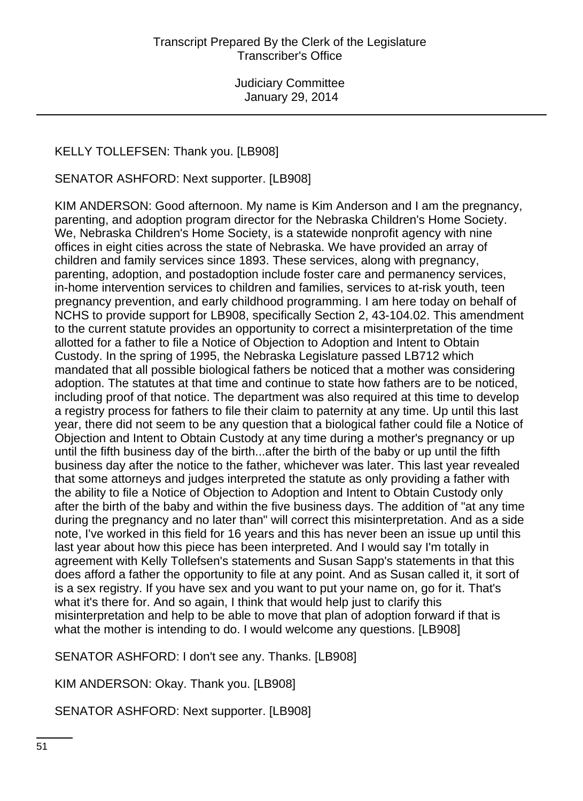# KELLY TOLLEFSEN: Thank you. [LB908]

SENATOR ASHFORD: Next supporter. [LB908]

KIM ANDERSON: Good afternoon. My name is Kim Anderson and I am the pregnancy, parenting, and adoption program director for the Nebraska Children's Home Society. We, Nebraska Children's Home Society, is a statewide nonprofit agency with nine offices in eight cities across the state of Nebraska. We have provided an array of children and family services since 1893. These services, along with pregnancy, parenting, adoption, and postadoption include foster care and permanency services, in-home intervention services to children and families, services to at-risk youth, teen pregnancy prevention, and early childhood programming. I am here today on behalf of NCHS to provide support for LB908, specifically Section 2, 43-104.02. This amendment to the current statute provides an opportunity to correct a misinterpretation of the time allotted for a father to file a Notice of Objection to Adoption and Intent to Obtain Custody. In the spring of 1995, the Nebraska Legislature passed LB712 which mandated that all possible biological fathers be noticed that a mother was considering adoption. The statutes at that time and continue to state how fathers are to be noticed, including proof of that notice. The department was also required at this time to develop a registry process for fathers to file their claim to paternity at any time. Up until this last year, there did not seem to be any question that a biological father could file a Notice of Objection and Intent to Obtain Custody at any time during a mother's pregnancy or up until the fifth business day of the birth...after the birth of the baby or up until the fifth business day after the notice to the father, whichever was later. This last year revealed that some attorneys and judges interpreted the statute as only providing a father with the ability to file a Notice of Objection to Adoption and Intent to Obtain Custody only after the birth of the baby and within the five business days. The addition of "at any time during the pregnancy and no later than" will correct this misinterpretation. And as a side note, I've worked in this field for 16 years and this has never been an issue up until this last year about how this piece has been interpreted. And I would say I'm totally in agreement with Kelly Tollefsen's statements and Susan Sapp's statements in that this does afford a father the opportunity to file at any point. And as Susan called it, it sort of is a sex registry. If you have sex and you want to put your name on, go for it. That's what it's there for. And so again, I think that would help just to clarify this misinterpretation and help to be able to move that plan of adoption forward if that is what the mother is intending to do. I would welcome any questions. [LB908]

SENATOR ASHFORD: I don't see any. Thanks. [LB908]

KIM ANDERSON: Okay. Thank you. [LB908]

SENATOR ASHFORD: Next supporter. [LB908]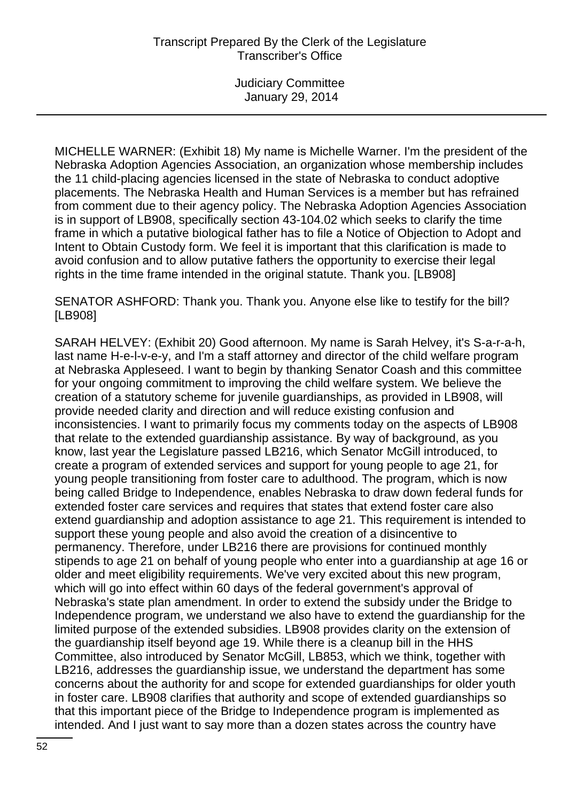MICHELLE WARNER: (Exhibit 18) My name is Michelle Warner. I'm the president of the Nebraska Adoption Agencies Association, an organization whose membership includes the 11 child-placing agencies licensed in the state of Nebraska to conduct adoptive placements. The Nebraska Health and Human Services is a member but has refrained from comment due to their agency policy. The Nebraska Adoption Agencies Association is in support of LB908, specifically section 43-104.02 which seeks to clarify the time frame in which a putative biological father has to file a Notice of Objection to Adopt and Intent to Obtain Custody form. We feel it is important that this clarification is made to avoid confusion and to allow putative fathers the opportunity to exercise their legal rights in the time frame intended in the original statute. Thank you. [LB908]

SENATOR ASHFORD: Thank you. Thank you. Anyone else like to testify for the bill? [LB908]

SARAH HELVEY: (Exhibit 20) Good afternoon. My name is Sarah Helvey, it's S-a-r-a-h, last name H-e-l-v-e-y, and I'm a staff attorney and director of the child welfare program at Nebraska Appleseed. I want to begin by thanking Senator Coash and this committee for your ongoing commitment to improving the child welfare system. We believe the creation of a statutory scheme for juvenile guardianships, as provided in LB908, will provide needed clarity and direction and will reduce existing confusion and inconsistencies. I want to primarily focus my comments today on the aspects of LB908 that relate to the extended guardianship assistance. By way of background, as you know, last year the Legislature passed LB216, which Senator McGill introduced, to create a program of extended services and support for young people to age 21, for young people transitioning from foster care to adulthood. The program, which is now being called Bridge to Independence, enables Nebraska to draw down federal funds for extended foster care services and requires that states that extend foster care also extend guardianship and adoption assistance to age 21. This requirement is intended to support these young people and also avoid the creation of a disincentive to permanency. Therefore, under LB216 there are provisions for continued monthly stipends to age 21 on behalf of young people who enter into a guardianship at age 16 or older and meet eligibility requirements. We've very excited about this new program, which will go into effect within 60 days of the federal government's approval of Nebraska's state plan amendment. In order to extend the subsidy under the Bridge to Independence program, we understand we also have to extend the guardianship for the limited purpose of the extended subsidies. LB908 provides clarity on the extension of the guardianship itself beyond age 19. While there is a cleanup bill in the HHS Committee, also introduced by Senator McGill, LB853, which we think, together with LB216, addresses the guardianship issue, we understand the department has some concerns about the authority for and scope for extended guardianships for older youth in foster care. LB908 clarifies that authority and scope of extended guardianships so that this important piece of the Bridge to Independence program is implemented as intended. And I just want to say more than a dozen states across the country have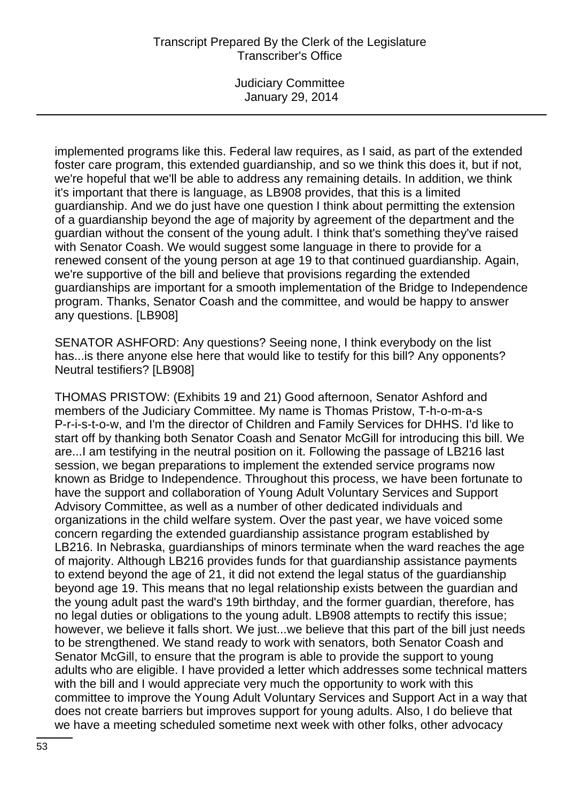Judiciary Committee January 29, 2014

implemented programs like this. Federal law requires, as I said, as part of the extended foster care program, this extended guardianship, and so we think this does it, but if not, we're hopeful that we'll be able to address any remaining details. In addition, we think it's important that there is language, as LB908 provides, that this is a limited guardianship. And we do just have one question I think about permitting the extension of a guardianship beyond the age of majority by agreement of the department and the guardian without the consent of the young adult. I think that's something they've raised with Senator Coash. We would suggest some language in there to provide for a renewed consent of the young person at age 19 to that continued guardianship. Again, we're supportive of the bill and believe that provisions regarding the extended guardianships are important for a smooth implementation of the Bridge to Independence program. Thanks, Senator Coash and the committee, and would be happy to answer any questions. [LB908]

SENATOR ASHFORD: Any questions? Seeing none, I think everybody on the list has...is there anyone else here that would like to testify for this bill? Any opponents? Neutral testifiers? [LB908]

THOMAS PRISTOW: (Exhibits 19 and 21) Good afternoon, Senator Ashford and members of the Judiciary Committee. My name is Thomas Pristow, T-h-o-m-a-s P-r-i-s-t-o-w, and I'm the director of Children and Family Services for DHHS. I'd like to start off by thanking both Senator Coash and Senator McGill for introducing this bill. We are...I am testifying in the neutral position on it. Following the passage of LB216 last session, we began preparations to implement the extended service programs now known as Bridge to Independence. Throughout this process, we have been fortunate to have the support and collaboration of Young Adult Voluntary Services and Support Advisory Committee, as well as a number of other dedicated individuals and organizations in the child welfare system. Over the past year, we have voiced some concern regarding the extended guardianship assistance program established by LB216. In Nebraska, guardianships of minors terminate when the ward reaches the age of majority. Although LB216 provides funds for that guardianship assistance payments to extend beyond the age of 21, it did not extend the legal status of the guardianship beyond age 19. This means that no legal relationship exists between the guardian and the young adult past the ward's 19th birthday, and the former guardian, therefore, has no legal duties or obligations to the young adult. LB908 attempts to rectify this issue; however, we believe it falls short. We just...we believe that this part of the bill just needs to be strengthened. We stand ready to work with senators, both Senator Coash and Senator McGill, to ensure that the program is able to provide the support to young adults who are eligible. I have provided a letter which addresses some technical matters with the bill and I would appreciate very much the opportunity to work with this committee to improve the Young Adult Voluntary Services and Support Act in a way that does not create barriers but improves support for young adults. Also, I do believe that we have a meeting scheduled sometime next week with other folks, other advocacy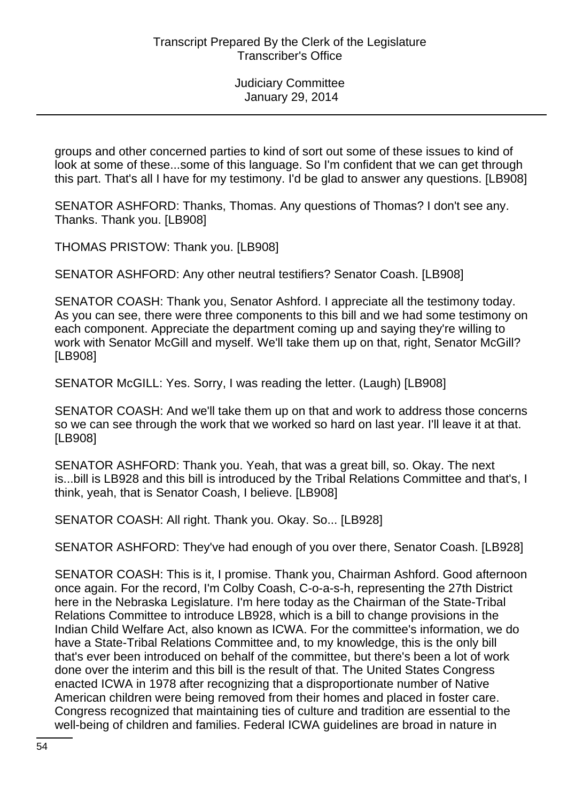groups and other concerned parties to kind of sort out some of these issues to kind of look at some of these...some of this language. So I'm confident that we can get through this part. That's all I have for my testimony. I'd be glad to answer any questions. [LB908]

SENATOR ASHFORD: Thanks, Thomas. Any questions of Thomas? I don't see any. Thanks. Thank you. [LB908]

THOMAS PRISTOW: Thank you. [LB908]

SENATOR ASHFORD: Any other neutral testifiers? Senator Coash. [LB908]

SENATOR COASH: Thank you, Senator Ashford. I appreciate all the testimony today. As you can see, there were three components to this bill and we had some testimony on each component. Appreciate the department coming up and saying they're willing to work with Senator McGill and myself. We'll take them up on that, right, Senator McGill? [LB908]

SENATOR McGILL: Yes. Sorry, I was reading the letter. (Laugh) [LB908]

SENATOR COASH: And we'll take them up on that and work to address those concerns so we can see through the work that we worked so hard on last year. I'll leave it at that. [LB908]

SENATOR ASHFORD: Thank you. Yeah, that was a great bill, so. Okay. The next is...bill is LB928 and this bill is introduced by the Tribal Relations Committee and that's, I think, yeah, that is Senator Coash, I believe. [LB908]

SENATOR COASH: All right. Thank you. Okay. So... [LB928]

SENATOR ASHFORD: They've had enough of you over there, Senator Coash. [LB928]

SENATOR COASH: This is it, I promise. Thank you, Chairman Ashford. Good afternoon once again. For the record, I'm Colby Coash, C-o-a-s-h, representing the 27th District here in the Nebraska Legislature. I'm here today as the Chairman of the State-Tribal Relations Committee to introduce LB928, which is a bill to change provisions in the Indian Child Welfare Act, also known as ICWA. For the committee's information, we do have a State-Tribal Relations Committee and, to my knowledge, this is the only bill that's ever been introduced on behalf of the committee, but there's been a lot of work done over the interim and this bill is the result of that. The United States Congress enacted ICWA in 1978 after recognizing that a disproportionate number of Native American children were being removed from their homes and placed in foster care. Congress recognized that maintaining ties of culture and tradition are essential to the well-being of children and families. Federal ICWA guidelines are broad in nature in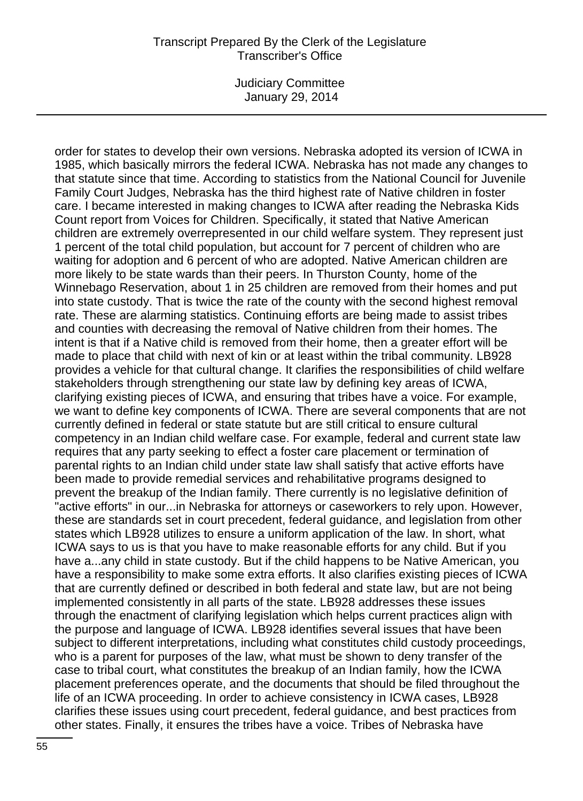Judiciary Committee January 29, 2014

order for states to develop their own versions. Nebraska adopted its version of ICWA in 1985, which basically mirrors the federal ICWA. Nebraska has not made any changes to that statute since that time. According to statistics from the National Council for Juvenile Family Court Judges, Nebraska has the third highest rate of Native children in foster care. I became interested in making changes to ICWA after reading the Nebraska Kids Count report from Voices for Children. Specifically, it stated that Native American children are extremely overrepresented in our child welfare system. They represent just 1 percent of the total child population, but account for 7 percent of children who are waiting for adoption and 6 percent of who are adopted. Native American children are more likely to be state wards than their peers. In Thurston County, home of the Winnebago Reservation, about 1 in 25 children are removed from their homes and put into state custody. That is twice the rate of the county with the second highest removal rate. These are alarming statistics. Continuing efforts are being made to assist tribes and counties with decreasing the removal of Native children from their homes. The intent is that if a Native child is removed from their home, then a greater effort will be made to place that child with next of kin or at least within the tribal community. LB928 provides a vehicle for that cultural change. It clarifies the responsibilities of child welfare stakeholders through strengthening our state law by defining key areas of ICWA, clarifying existing pieces of ICWA, and ensuring that tribes have a voice. For example, we want to define key components of ICWA. There are several components that are not currently defined in federal or state statute but are still critical to ensure cultural competency in an Indian child welfare case. For example, federal and current state law requires that any party seeking to effect a foster care placement or termination of parental rights to an Indian child under state law shall satisfy that active efforts have been made to provide remedial services and rehabilitative programs designed to prevent the breakup of the Indian family. There currently is no legislative definition of "active efforts" in our...in Nebraska for attorneys or caseworkers to rely upon. However, these are standards set in court precedent, federal guidance, and legislation from other states which LB928 utilizes to ensure a uniform application of the law. In short, what ICWA says to us is that you have to make reasonable efforts for any child. But if you have a...any child in state custody. But if the child happens to be Native American, you have a responsibility to make some extra efforts. It also clarifies existing pieces of ICWA that are currently defined or described in both federal and state law, but are not being implemented consistently in all parts of the state. LB928 addresses these issues through the enactment of clarifying legislation which helps current practices align with the purpose and language of ICWA. LB928 identifies several issues that have been subject to different interpretations, including what constitutes child custody proceedings, who is a parent for purposes of the law, what must be shown to deny transfer of the case to tribal court, what constitutes the breakup of an Indian family, how the ICWA placement preferences operate, and the documents that should be filed throughout the life of an ICWA proceeding. In order to achieve consistency in ICWA cases, LB928 clarifies these issues using court precedent, federal guidance, and best practices from other states. Finally, it ensures the tribes have a voice. Tribes of Nebraska have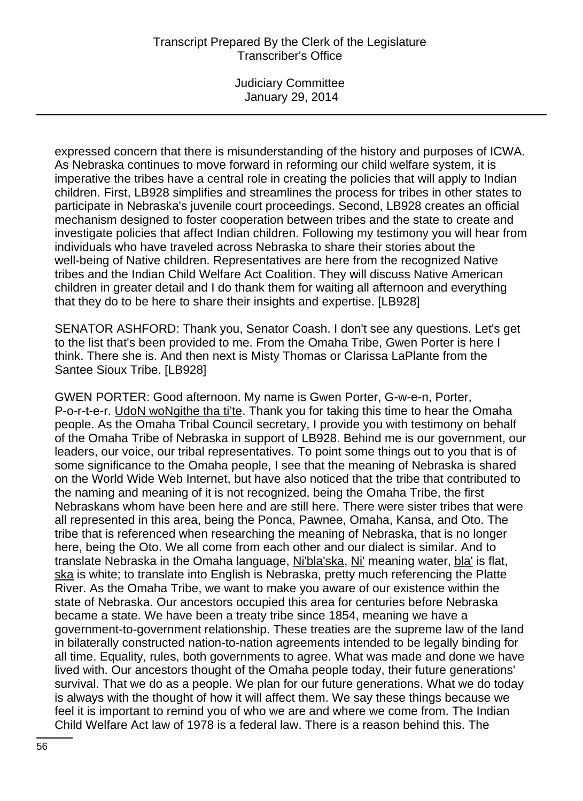Judiciary Committee January 29, 2014

expressed concern that there is misunderstanding of the history and purposes of ICWA. As Nebraska continues to move forward in reforming our child welfare system, it is imperative the tribes have a central role in creating the policies that will apply to Indian children. First, LB928 simplifies and streamlines the process for tribes in other states to participate in Nebraska's juvenile court proceedings. Second, LB928 creates an official mechanism designed to foster cooperation between tribes and the state to create and investigate policies that affect Indian children. Following my testimony you will hear from individuals who have traveled across Nebraska to share their stories about the well-being of Native children. Representatives are here from the recognized Native tribes and the Indian Child Welfare Act Coalition. They will discuss Native American children in greater detail and I do thank them for waiting all afternoon and everything that they do to be here to share their insights and expertise. [LB928]

SENATOR ASHFORD: Thank you, Senator Coash. I don't see any questions. Let's get to the list that's been provided to me. From the Omaha Tribe, Gwen Porter is here I think. There she is. And then next is Misty Thomas or Clarissa LaPlante from the Santee Sioux Tribe. [LB928]

GWEN PORTER: Good afternoon. My name is Gwen Porter, G-w-e-n, Porter, P-o-r-t-e-r. UdoN woNgithe tha ti'te. Thank you for taking this time to hear the Omaha people. As the Omaha Tribal Council secretary, I provide you with testimony on behalf of the Omaha Tribe of Nebraska in support of LB928. Behind me is our government, our leaders, our voice, our tribal representatives. To point some things out to you that is of some significance to the Omaha people, I see that the meaning of Nebraska is shared on the World Wide Web Internet, but have also noticed that the tribe that contributed to the naming and meaning of it is not recognized, being the Omaha Tribe, the first Nebraskans whom have been here and are still here. There were sister tribes that were all represented in this area, being the Ponca, Pawnee, Omaha, Kansa, and Oto. The tribe that is referenced when researching the meaning of Nebraska, that is no longer here, being the Oto. We all come from each other and our dialect is similar. And to translate Nebraska in the Omaha language, Ni'bla'ska, Ni' meaning water, bla' is flat, ska is white; to translate into English is Nebraska, pretty much referencing the Platte River. As the Omaha Tribe, we want to make you aware of our existence within the state of Nebraska. Our ancestors occupied this area for centuries before Nebraska became a state. We have been a treaty tribe since 1854, meaning we have a government-to-government relationship. These treaties are the supreme law of the land in bilaterally constructed nation-to-nation agreements intended to be legally binding for all time. Equality, rules, both governments to agree. What was made and done we have lived with. Our ancestors thought of the Omaha people today, their future generations' survival. That we do as a people. We plan for our future generations. What we do today is always with the thought of how it will affect them. We say these things because we feel it is important to remind you of who we are and where we come from. The Indian Child Welfare Act law of 1978 is a federal law. There is a reason behind this. The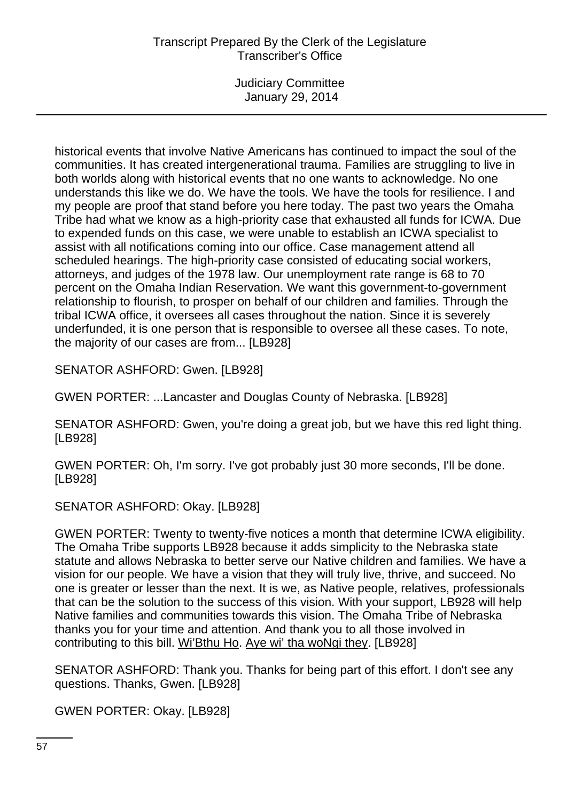Judiciary Committee January 29, 2014

historical events that involve Native Americans has continued to impact the soul of the communities. It has created intergenerational trauma. Families are struggling to live in both worlds along with historical events that no one wants to acknowledge. No one understands this like we do. We have the tools. We have the tools for resilience. I and my people are proof that stand before you here today. The past two years the Omaha Tribe had what we know as a high-priority case that exhausted all funds for ICWA. Due to expended funds on this case, we were unable to establish an ICWA specialist to assist with all notifications coming into our office. Case management attend all scheduled hearings. The high-priority case consisted of educating social workers, attorneys, and judges of the 1978 law. Our unemployment rate range is 68 to 70 percent on the Omaha Indian Reservation. We want this government-to-government relationship to flourish, to prosper on behalf of our children and families. Through the tribal ICWA office, it oversees all cases throughout the nation. Since it is severely underfunded, it is one person that is responsible to oversee all these cases. To note, the majority of our cases are from... [LB928]

SENATOR ASHFORD: Gwen. [LB928]

GWEN PORTER: ...Lancaster and Douglas County of Nebraska. [LB928]

SENATOR ASHFORD: Gwen, you're doing a great job, but we have this red light thing. [LB928]

GWEN PORTER: Oh, I'm sorry. I've got probably just 30 more seconds, I'll be done. [LB928]

SENATOR ASHFORD: Okay. [LB928]

GWEN PORTER: Twenty to twenty-five notices a month that determine ICWA eligibility. The Omaha Tribe supports LB928 because it adds simplicity to the Nebraska state statute and allows Nebraska to better serve our Native children and families. We have a vision for our people. We have a vision that they will truly live, thrive, and succeed. No one is greater or lesser than the next. It is we, as Native people, relatives, professionals that can be the solution to the success of this vision. With your support, LB928 will help Native families and communities towards this vision. The Omaha Tribe of Nebraska thanks you for your time and attention. And thank you to all those involved in contributing to this bill. Wi'Bthu Ho. Aye wi' tha woNgi they. [LB928]

SENATOR ASHFORD: Thank you. Thanks for being part of this effort. I don't see any questions. Thanks, Gwen. [LB928]

GWEN PORTER: Okay. [LB928]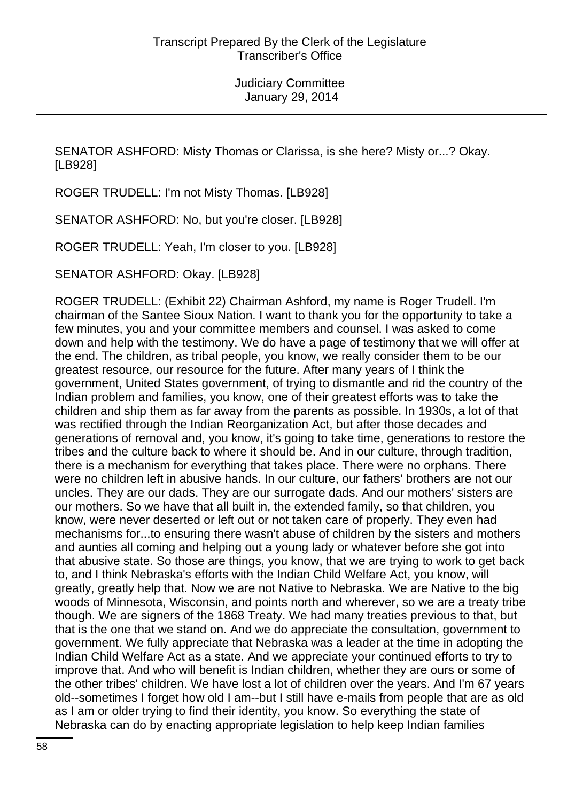SENATOR ASHFORD: Misty Thomas or Clarissa, is she here? Misty or...? Okay. [LB928]

ROGER TRUDELL: I'm not Misty Thomas. [LB928]

SENATOR ASHFORD: No, but you're closer. [LB928]

ROGER TRUDELL: Yeah, I'm closer to you. [LB928]

SENATOR ASHFORD: Okay. [LB928]

ROGER TRUDELL: (Exhibit 22) Chairman Ashford, my name is Roger Trudell. I'm chairman of the Santee Sioux Nation. I want to thank you for the opportunity to take a few minutes, you and your committee members and counsel. I was asked to come down and help with the testimony. We do have a page of testimony that we will offer at the end. The children, as tribal people, you know, we really consider them to be our greatest resource, our resource for the future. After many years of I think the government, United States government, of trying to dismantle and rid the country of the Indian problem and families, you know, one of their greatest efforts was to take the children and ship them as far away from the parents as possible. In 1930s, a lot of that was rectified through the Indian Reorganization Act, but after those decades and generations of removal and, you know, it's going to take time, generations to restore the tribes and the culture back to where it should be. And in our culture, through tradition, there is a mechanism for everything that takes place. There were no orphans. There were no children left in abusive hands. In our culture, our fathers' brothers are not our uncles. They are our dads. They are our surrogate dads. And our mothers' sisters are our mothers. So we have that all built in, the extended family, so that children, you know, were never deserted or left out or not taken care of properly. They even had mechanisms for...to ensuring there wasn't abuse of children by the sisters and mothers and aunties all coming and helping out a young lady or whatever before she got into that abusive state. So those are things, you know, that we are trying to work to get back to, and I think Nebraska's efforts with the Indian Child Welfare Act, you know, will greatly, greatly help that. Now we are not Native to Nebraska. We are Native to the big woods of Minnesota, Wisconsin, and points north and wherever, so we are a treaty tribe though. We are signers of the 1868 Treaty. We had many treaties previous to that, but that is the one that we stand on. And we do appreciate the consultation, government to government. We fully appreciate that Nebraska was a leader at the time in adopting the Indian Child Welfare Act as a state. And we appreciate your continued efforts to try to improve that. And who will benefit is Indian children, whether they are ours or some of the other tribes' children. We have lost a lot of children over the years. And I'm 67 years old--sometimes I forget how old I am--but I still have e-mails from people that are as old as I am or older trying to find their identity, you know. So everything the state of Nebraska can do by enacting appropriate legislation to help keep Indian families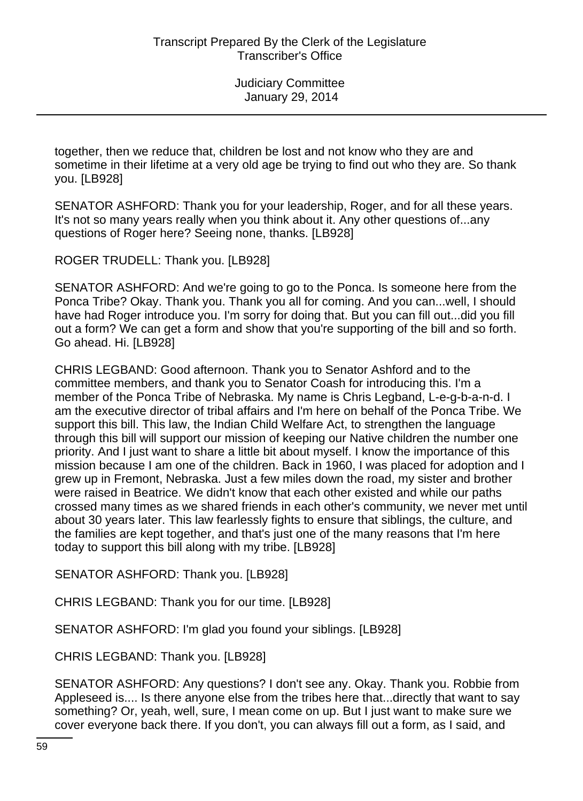together, then we reduce that, children be lost and not know who they are and sometime in their lifetime at a very old age be trying to find out who they are. So thank you. [LB928]

SENATOR ASHFORD: Thank you for your leadership, Roger, and for all these years. It's not so many years really when you think about it. Any other questions of...any questions of Roger here? Seeing none, thanks. [LB928]

ROGER TRUDELL: Thank you. [LB928]

SENATOR ASHFORD: And we're going to go to the Ponca. Is someone here from the Ponca Tribe? Okay. Thank you. Thank you all for coming. And you can...well, I should have had Roger introduce you. I'm sorry for doing that. But you can fill out...did you fill out a form? We can get a form and show that you're supporting of the bill and so forth. Go ahead. Hi. [LB928]

CHRIS LEGBAND: Good afternoon. Thank you to Senator Ashford and to the committee members, and thank you to Senator Coash for introducing this. I'm a member of the Ponca Tribe of Nebraska. My name is Chris Legband, L-e-g-b-a-n-d. I am the executive director of tribal affairs and I'm here on behalf of the Ponca Tribe. We support this bill. This law, the Indian Child Welfare Act, to strengthen the language through this bill will support our mission of keeping our Native children the number one priority. And I just want to share a little bit about myself. I know the importance of this mission because I am one of the children. Back in 1960, I was placed for adoption and I grew up in Fremont, Nebraska. Just a few miles down the road, my sister and brother were raised in Beatrice. We didn't know that each other existed and while our paths crossed many times as we shared friends in each other's community, we never met until about 30 years later. This law fearlessly fights to ensure that siblings, the culture, and the families are kept together, and that's just one of the many reasons that I'm here today to support this bill along with my tribe. [LB928]

SENATOR ASHFORD: Thank you. [LB928]

CHRIS LEGBAND: Thank you for our time. [LB928]

SENATOR ASHFORD: I'm glad you found your siblings. [LB928]

CHRIS LEGBAND: Thank you. [LB928]

SENATOR ASHFORD: Any questions? I don't see any. Okay. Thank you. Robbie from Appleseed is.... Is there anyone else from the tribes here that...directly that want to say something? Or, yeah, well, sure, I mean come on up. But I just want to make sure we cover everyone back there. If you don't, you can always fill out a form, as I said, and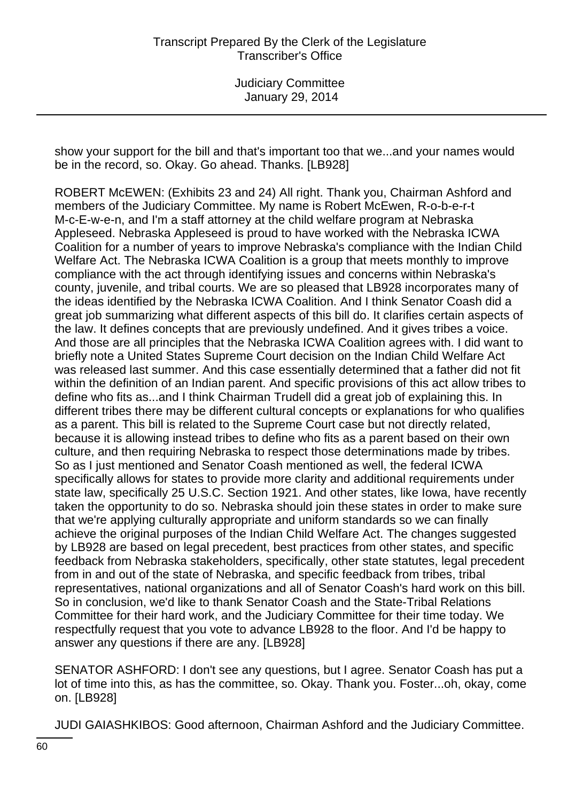show your support for the bill and that's important too that we...and your names would be in the record, so. Okay. Go ahead. Thanks. [LB928]

ROBERT McEWEN: (Exhibits 23 and 24) All right. Thank you, Chairman Ashford and members of the Judiciary Committee. My name is Robert McEwen, R-o-b-e-r-t M-c-E-w-e-n, and I'm a staff attorney at the child welfare program at Nebraska Appleseed. Nebraska Appleseed is proud to have worked with the Nebraska ICWA Coalition for a number of years to improve Nebraska's compliance with the Indian Child Welfare Act. The Nebraska ICWA Coalition is a group that meets monthly to improve compliance with the act through identifying issues and concerns within Nebraska's county, juvenile, and tribal courts. We are so pleased that LB928 incorporates many of the ideas identified by the Nebraska ICWA Coalition. And I think Senator Coash did a great job summarizing what different aspects of this bill do. It clarifies certain aspects of the law. It defines concepts that are previously undefined. And it gives tribes a voice. And those are all principles that the Nebraska ICWA Coalition agrees with. I did want to briefly note a United States Supreme Court decision on the Indian Child Welfare Act was released last summer. And this case essentially determined that a father did not fit within the definition of an Indian parent. And specific provisions of this act allow tribes to define who fits as...and I think Chairman Trudell did a great job of explaining this. In different tribes there may be different cultural concepts or explanations for who qualifies as a parent. This bill is related to the Supreme Court case but not directly related, because it is allowing instead tribes to define who fits as a parent based on their own culture, and then requiring Nebraska to respect those determinations made by tribes. So as I just mentioned and Senator Coash mentioned as well, the federal ICWA specifically allows for states to provide more clarity and additional requirements under state law, specifically 25 U.S.C. Section 1921. And other states, like Iowa, have recently taken the opportunity to do so. Nebraska should join these states in order to make sure that we're applying culturally appropriate and uniform standards so we can finally achieve the original purposes of the Indian Child Welfare Act. The changes suggested by LB928 are based on legal precedent, best practices from other states, and specific feedback from Nebraska stakeholders, specifically, other state statutes, legal precedent from in and out of the state of Nebraska, and specific feedback from tribes, tribal representatives, national organizations and all of Senator Coash's hard work on this bill. So in conclusion, we'd like to thank Senator Coash and the State-Tribal Relations Committee for their hard work, and the Judiciary Committee for their time today. We respectfully request that you vote to advance LB928 to the floor. And I'd be happy to answer any questions if there are any. [LB928]

SENATOR ASHFORD: I don't see any questions, but I agree. Senator Coash has put a lot of time into this, as has the committee, so. Okay. Thank you. Foster...oh, okay, come on. [LB928]

JUDI GAIASHKIBOS: Good afternoon, Chairman Ashford and the Judiciary Committee.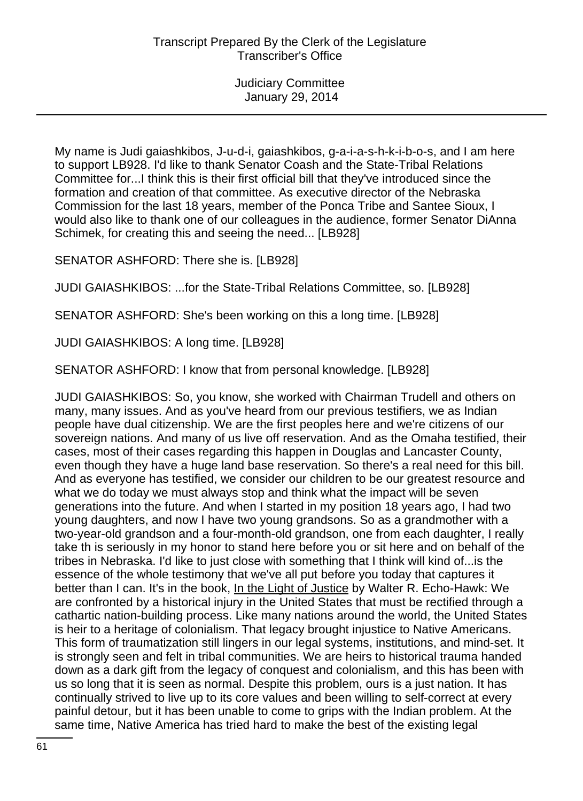My name is Judi gaiashkibos, J-u-d-i, gaiashkibos, g-a-i-a-s-h-k-i-b-o-s, and I am here to support LB928. I'd like to thank Senator Coash and the State-Tribal Relations Committee for...I think this is their first official bill that they've introduced since the formation and creation of that committee. As executive director of the Nebraska Commission for the last 18 years, member of the Ponca Tribe and Santee Sioux, I would also like to thank one of our colleagues in the audience, former Senator DiAnna Schimek, for creating this and seeing the need... [LB928]

SENATOR ASHFORD: There she is. [LB928]

JUDI GAIASHKIBOS: ...for the State-Tribal Relations Committee, so. [LB928]

SENATOR ASHFORD: She's been working on this a long time. [LB928]

JUDI GAIASHKIBOS: A long time. [LB928]

SENATOR ASHFORD: I know that from personal knowledge. [LB928]

JUDI GAIASHKIBOS: So, you know, she worked with Chairman Trudell and others on many, many issues. And as you've heard from our previous testifiers, we as Indian people have dual citizenship. We are the first peoples here and we're citizens of our sovereign nations. And many of us live off reservation. And as the Omaha testified, their cases, most of their cases regarding this happen in Douglas and Lancaster County, even though they have a huge land base reservation. So there's a real need for this bill. And as everyone has testified, we consider our children to be our greatest resource and what we do today we must always stop and think what the impact will be seven generations into the future. And when I started in my position 18 years ago, I had two young daughters, and now I have two young grandsons. So as a grandmother with a two-year-old grandson and a four-month-old grandson, one from each daughter, I really take th is seriously in my honor to stand here before you or sit here and on behalf of the tribes in Nebraska. I'd like to just close with something that I think will kind of...is the essence of the whole testimony that we've all put before you today that captures it better than I can. It's in the book, In the Light of Justice by Walter R. Echo-Hawk: We are confronted by a historical injury in the United States that must be rectified through a cathartic nation-building process. Like many nations around the world, the United States is heir to a heritage of colonialism. That legacy brought injustice to Native Americans. This form of traumatization still lingers in our legal systems, institutions, and mind-set. It is strongly seen and felt in tribal communities. We are heirs to historical trauma handed down as a dark gift from the legacy of conquest and colonialism, and this has been with us so long that it is seen as normal. Despite this problem, ours is a just nation. It has continually strived to live up to its core values and been willing to self-correct at every painful detour, but it has been unable to come to grips with the Indian problem. At the same time, Native America has tried hard to make the best of the existing legal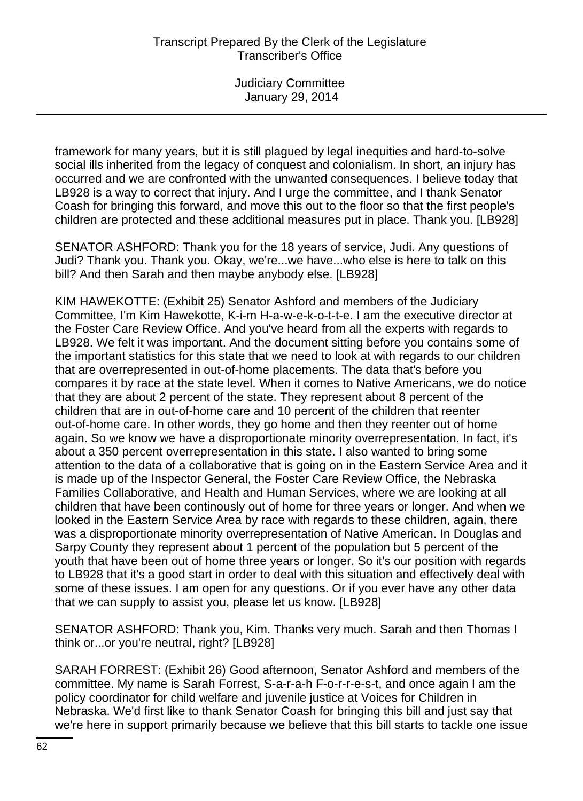framework for many years, but it is still plagued by legal inequities and hard-to-solve social ills inherited from the legacy of conquest and colonialism. In short, an injury has occurred and we are confronted with the unwanted consequences. I believe today that LB928 is a way to correct that injury. And I urge the committee, and I thank Senator Coash for bringing this forward, and move this out to the floor so that the first people's children are protected and these additional measures put in place. Thank you. [LB928]

SENATOR ASHFORD: Thank you for the 18 years of service, Judi. Any questions of Judi? Thank you. Thank you. Okay, we're...we have...who else is here to talk on this bill? And then Sarah and then maybe anybody else. [LB928]

KIM HAWEKOTTE: (Exhibit 25) Senator Ashford and members of the Judiciary Committee, I'm Kim Hawekotte, K-i-m H-a-w-e-k-o-t-t-e. I am the executive director at the Foster Care Review Office. And you've heard from all the experts with regards to LB928. We felt it was important. And the document sitting before you contains some of the important statistics for this state that we need to look at with regards to our children that are overrepresented in out-of-home placements. The data that's before you compares it by race at the state level. When it comes to Native Americans, we do notice that they are about 2 percent of the state. They represent about 8 percent of the children that are in out-of-home care and 10 percent of the children that reenter out-of-home care. In other words, they go home and then they reenter out of home again. So we know we have a disproportionate minority overrepresentation. In fact, it's about a 350 percent overrepresentation in this state. I also wanted to bring some attention to the data of a collaborative that is going on in the Eastern Service Area and it is made up of the Inspector General, the Foster Care Review Office, the Nebraska Families Collaborative, and Health and Human Services, where we are looking at all children that have been continously out of home for three years or longer. And when we looked in the Eastern Service Area by race with regards to these children, again, there was a disproportionate minority overrepresentation of Native American. In Douglas and Sarpy County they represent about 1 percent of the population but 5 percent of the youth that have been out of home three years or longer. So it's our position with regards to LB928 that it's a good start in order to deal with this situation and effectively deal with some of these issues. I am open for any questions. Or if you ever have any other data that we can supply to assist you, please let us know. [LB928]

SENATOR ASHFORD: Thank you, Kim. Thanks very much. Sarah and then Thomas I think or...or you're neutral, right? [LB928]

SARAH FORREST: (Exhibit 26) Good afternoon, Senator Ashford and members of the committee. My name is Sarah Forrest, S-a-r-a-h F-o-r-r-e-s-t, and once again I am the policy coordinator for child welfare and juvenile justice at Voices for Children in Nebraska. We'd first like to thank Senator Coash for bringing this bill and just say that we're here in support primarily because we believe that this bill starts to tackle one issue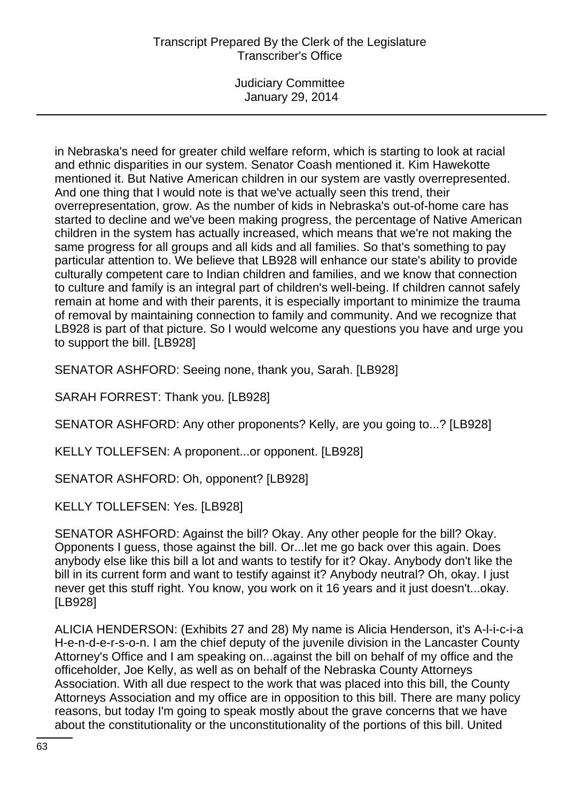Judiciary Committee January 29, 2014

in Nebraska's need for greater child welfare reform, which is starting to look at racial and ethnic disparities in our system. Senator Coash mentioned it. Kim Hawekotte mentioned it. But Native American children in our system are vastly overrepresented. And one thing that I would note is that we've actually seen this trend, their overrepresentation, grow. As the number of kids in Nebraska's out-of-home care has started to decline and we've been making progress, the percentage of Native American children in the system has actually increased, which means that we're not making the same progress for all groups and all kids and all families. So that's something to pay particular attention to. We believe that LB928 will enhance our state's ability to provide culturally competent care to Indian children and families, and we know that connection to culture and family is an integral part of children's well-being. If children cannot safely remain at home and with their parents, it is especially important to minimize the trauma of removal by maintaining connection to family and community. And we recognize that LB928 is part of that picture. So I would welcome any questions you have and urge you to support the bill. [LB928]

SENATOR ASHFORD: Seeing none, thank you, Sarah. [LB928]

SARAH FORREST: Thank you. [LB928]

SENATOR ASHFORD: Any other proponents? Kelly, are you going to...? [LB928]

KELLY TOLLEFSEN: A proponent...or opponent. [LB928]

SENATOR ASHFORD: Oh, opponent? [LB928]

KELLY TOLLEFSEN: Yes. [LB928]

SENATOR ASHFORD: Against the bill? Okay. Any other people for the bill? Okay. Opponents I guess, those against the bill. Or...let me go back over this again. Does anybody else like this bill a lot and wants to testify for it? Okay. Anybody don't like the bill in its current form and want to testify against it? Anybody neutral? Oh, okay. I just never get this stuff right. You know, you work on it 16 years and it just doesn't...okay. [LB928]

ALICIA HENDERSON: (Exhibits 27 and 28) My name is Alicia Henderson, it's A-l-i-c-i-a H-e-n-d-e-r-s-o-n. I am the chief deputy of the juvenile division in the Lancaster County Attorney's Office and I am speaking on...against the bill on behalf of my office and the officeholder, Joe Kelly, as well as on behalf of the Nebraska County Attorneys Association. With all due respect to the work that was placed into this bill, the County Attorneys Association and my office are in opposition to this bill. There are many policy reasons, but today I'm going to speak mostly about the grave concerns that we have about the constitutionality or the unconstitutionality of the portions of this bill. United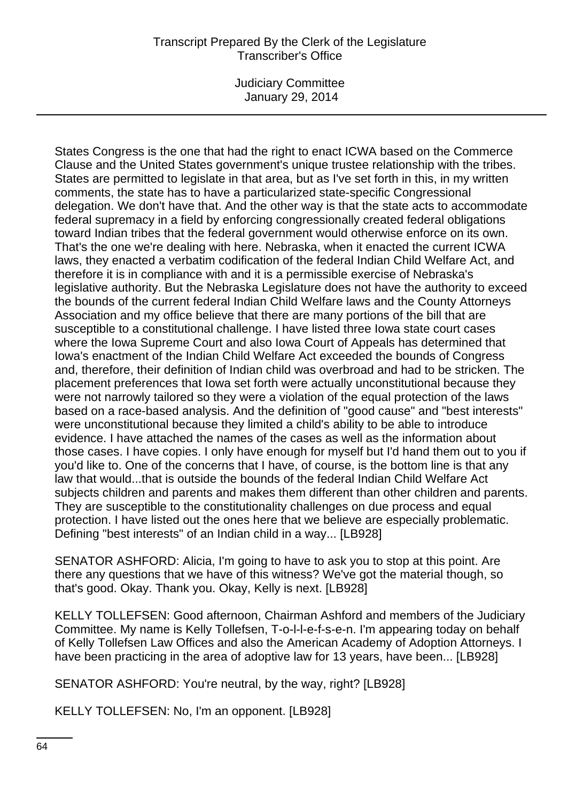Judiciary Committee January 29, 2014

States Congress is the one that had the right to enact ICWA based on the Commerce Clause and the United States government's unique trustee relationship with the tribes. States are permitted to legislate in that area, but as I've set forth in this, in my written comments, the state has to have a particularized state-specific Congressional delegation. We don't have that. And the other way is that the state acts to accommodate federal supremacy in a field by enforcing congressionally created federal obligations toward Indian tribes that the federal government would otherwise enforce on its own. That's the one we're dealing with here. Nebraska, when it enacted the current ICWA laws, they enacted a verbatim codification of the federal Indian Child Welfare Act, and therefore it is in compliance with and it is a permissible exercise of Nebraska's legislative authority. But the Nebraska Legislature does not have the authority to exceed the bounds of the current federal Indian Child Welfare laws and the County Attorneys Association and my office believe that there are many portions of the bill that are susceptible to a constitutional challenge. I have listed three Iowa state court cases where the Iowa Supreme Court and also Iowa Court of Appeals has determined that Iowa's enactment of the Indian Child Welfare Act exceeded the bounds of Congress and, therefore, their definition of Indian child was overbroad and had to be stricken. The placement preferences that Iowa set forth were actually unconstitutional because they were not narrowly tailored so they were a violation of the equal protection of the laws based on a race-based analysis. And the definition of "good cause" and "best interests" were unconstitutional because they limited a child's ability to be able to introduce evidence. I have attached the names of the cases as well as the information about those cases. I have copies. I only have enough for myself but I'd hand them out to you if you'd like to. One of the concerns that I have, of course, is the bottom line is that any law that would...that is outside the bounds of the federal Indian Child Welfare Act subjects children and parents and makes them different than other children and parents. They are susceptible to the constitutionality challenges on due process and equal protection. I have listed out the ones here that we believe are especially problematic. Defining "best interests" of an Indian child in a way... [LB928]

SENATOR ASHFORD: Alicia, I'm going to have to ask you to stop at this point. Are there any questions that we have of this witness? We've got the material though, so that's good. Okay. Thank you. Okay, Kelly is next. [LB928]

KELLY TOLLEFSEN: Good afternoon, Chairman Ashford and members of the Judiciary Committee. My name is Kelly Tollefsen, T-o-l-l-e-f-s-e-n. I'm appearing today on behalf of Kelly Tollefsen Law Offices and also the American Academy of Adoption Attorneys. I have been practicing in the area of adoptive law for 13 years, have been... [LB928]

SENATOR ASHFORD: You're neutral, by the way, right? [LB928]

KELLY TOLLEFSEN: No, I'm an opponent. [LB928]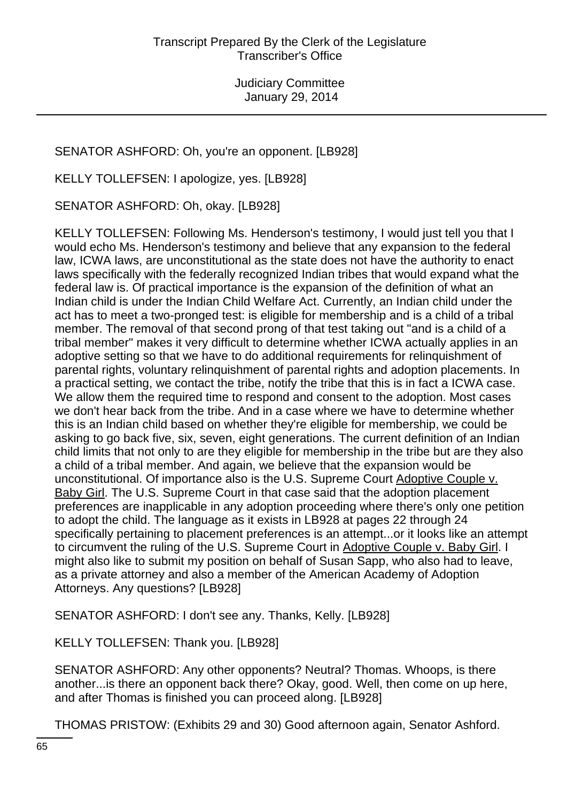# SENATOR ASHFORD: Oh, you're an opponent. [LB928]

KELLY TOLLEFSEN: I apologize, yes. [LB928]

SENATOR ASHFORD: Oh, okay. [LB928]

KELLY TOLLEFSEN: Following Ms. Henderson's testimony, I would just tell you that I would echo Ms. Henderson's testimony and believe that any expansion to the federal law, ICWA laws, are unconstitutional as the state does not have the authority to enact laws specifically with the federally recognized Indian tribes that would expand what the federal law is. Of practical importance is the expansion of the definition of what an Indian child is under the Indian Child Welfare Act. Currently, an Indian child under the act has to meet a two-pronged test: is eligible for membership and is a child of a tribal member. The removal of that second prong of that test taking out "and is a child of a tribal member" makes it very difficult to determine whether ICWA actually applies in an adoptive setting so that we have to do additional requirements for relinquishment of parental rights, voluntary relinquishment of parental rights and adoption placements. In a practical setting, we contact the tribe, notify the tribe that this is in fact a ICWA case. We allow them the required time to respond and consent to the adoption. Most cases we don't hear back from the tribe. And in a case where we have to determine whether this is an Indian child based on whether they're eligible for membership, we could be asking to go back five, six, seven, eight generations. The current definition of an Indian child limits that not only to are they eligible for membership in the tribe but are they also a child of a tribal member. And again, we believe that the expansion would be unconstitutional. Of importance also is the U.S. Supreme Court Adoptive Couple v. Baby Girl. The U.S. Supreme Court in that case said that the adoption placement preferences are inapplicable in any adoption proceeding where there's only one petition to adopt the child. The language as it exists in LB928 at pages 22 through 24 specifically pertaining to placement preferences is an attempt...or it looks like an attempt to circumvent the ruling of the U.S. Supreme Court in Adoptive Couple v. Baby Girl. I might also like to submit my position on behalf of Susan Sapp, who also had to leave, as a private attorney and also a member of the American Academy of Adoption Attorneys. Any questions? [LB928]

SENATOR ASHFORD: I don't see any. Thanks, Kelly. [LB928]

KELLY TOLLEFSEN: Thank you. [LB928]

SENATOR ASHFORD: Any other opponents? Neutral? Thomas. Whoops, is there another...is there an opponent back there? Okay, good. Well, then come on up here, and after Thomas is finished you can proceed along. [LB928]

THOMAS PRISTOW: (Exhibits 29 and 30) Good afternoon again, Senator Ashford.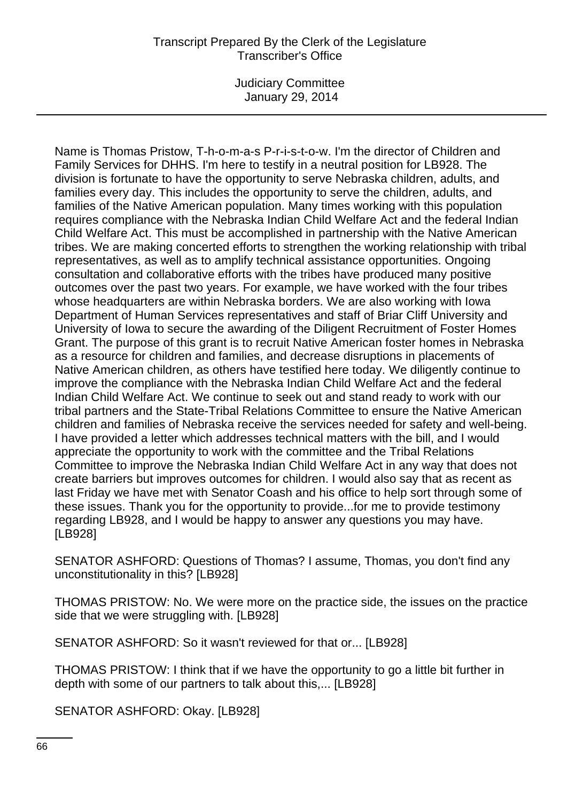Judiciary Committee January 29, 2014

Name is Thomas Pristow, T-h-o-m-a-s P-r-i-s-t-o-w. I'm the director of Children and Family Services for DHHS. I'm here to testify in a neutral position for LB928. The division is fortunate to have the opportunity to serve Nebraska children, adults, and families every day. This includes the opportunity to serve the children, adults, and families of the Native American population. Many times working with this population requires compliance with the Nebraska Indian Child Welfare Act and the federal Indian Child Welfare Act. This must be accomplished in partnership with the Native American tribes. We are making concerted efforts to strengthen the working relationship with tribal representatives, as well as to amplify technical assistance opportunities. Ongoing consultation and collaborative efforts with the tribes have produced many positive outcomes over the past two years. For example, we have worked with the four tribes whose headquarters are within Nebraska borders. We are also working with Iowa Department of Human Services representatives and staff of Briar Cliff University and University of Iowa to secure the awarding of the Diligent Recruitment of Foster Homes Grant. The purpose of this grant is to recruit Native American foster homes in Nebraska as a resource for children and families, and decrease disruptions in placements of Native American children, as others have testified here today. We diligently continue to improve the compliance with the Nebraska Indian Child Welfare Act and the federal Indian Child Welfare Act. We continue to seek out and stand ready to work with our tribal partners and the State-Tribal Relations Committee to ensure the Native American children and families of Nebraska receive the services needed for safety and well-being. I have provided a letter which addresses technical matters with the bill, and I would appreciate the opportunity to work with the committee and the Tribal Relations Committee to improve the Nebraska Indian Child Welfare Act in any way that does not create barriers but improves outcomes for children. I would also say that as recent as last Friday we have met with Senator Coash and his office to help sort through some of these issues. Thank you for the opportunity to provide...for me to provide testimony regarding LB928, and I would be happy to answer any questions you may have. [LB928]

SENATOR ASHFORD: Questions of Thomas? I assume, Thomas, you don't find any unconstitutionality in this? [LB928]

THOMAS PRISTOW: No. We were more on the practice side, the issues on the practice side that we were struggling with. [LB928]

SENATOR ASHFORD: So it wasn't reviewed for that or... [LB928]

THOMAS PRISTOW: I think that if we have the opportunity to go a little bit further in depth with some of our partners to talk about this,... [LB928]

SENATOR ASHFORD: Okay. [LB928]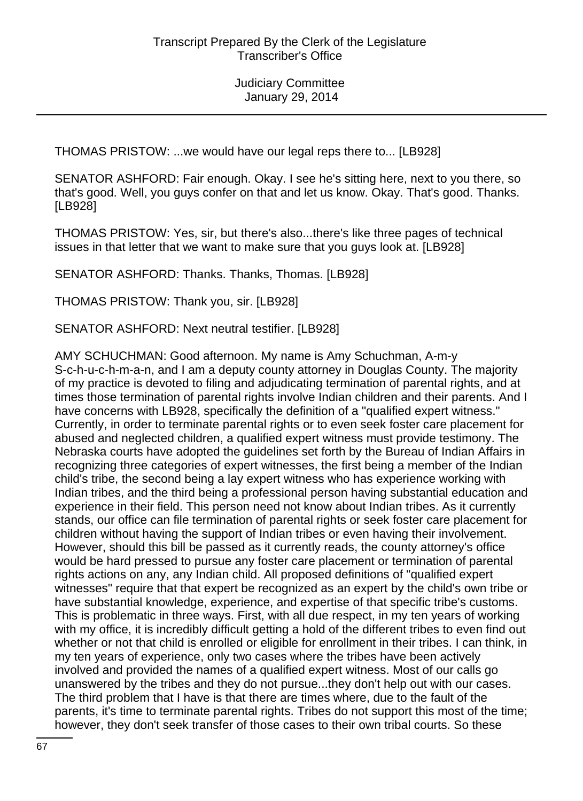THOMAS PRISTOW: ...we would have our legal reps there to... [LB928]

SENATOR ASHFORD: Fair enough. Okay. I see he's sitting here, next to you there, so that's good. Well, you guys confer on that and let us know. Okay. That's good. Thanks. [LB928]

THOMAS PRISTOW: Yes, sir, but there's also...there's like three pages of technical issues in that letter that we want to make sure that you guys look at. [LB928]

SENATOR ASHFORD: Thanks. Thanks, Thomas. [LB928]

THOMAS PRISTOW: Thank you, sir. [LB928]

SENATOR ASHFORD: Next neutral testifier. [LB928]

AMY SCHUCHMAN: Good afternoon. My name is Amy Schuchman, A-m-y S-c-h-u-c-h-m-a-n, and I am a deputy county attorney in Douglas County. The majority of my practice is devoted to filing and adjudicating termination of parental rights, and at times those termination of parental rights involve Indian children and their parents. And I have concerns with LB928, specifically the definition of a "qualified expert witness." Currently, in order to terminate parental rights or to even seek foster care placement for abused and neglected children, a qualified expert witness must provide testimony. The Nebraska courts have adopted the guidelines set forth by the Bureau of Indian Affairs in recognizing three categories of expert witnesses, the first being a member of the Indian child's tribe, the second being a lay expert witness who has experience working with Indian tribes, and the third being a professional person having substantial education and experience in their field. This person need not know about Indian tribes. As it currently stands, our office can file termination of parental rights or seek foster care placement for children without having the support of Indian tribes or even having their involvement. However, should this bill be passed as it currently reads, the county attorney's office would be hard pressed to pursue any foster care placement or termination of parental rights actions on any, any Indian child. All proposed definitions of "qualified expert witnesses" require that that expert be recognized as an expert by the child's own tribe or have substantial knowledge, experience, and expertise of that specific tribe's customs. This is problematic in three ways. First, with all due respect, in my ten years of working with my office, it is incredibly difficult getting a hold of the different tribes to even find out whether or not that child is enrolled or eligible for enrollment in their tribes. I can think, in my ten years of experience, only two cases where the tribes have been actively involved and provided the names of a qualified expert witness. Most of our calls go unanswered by the tribes and they do not pursue...they don't help out with our cases. The third problem that I have is that there are times where, due to the fault of the parents, it's time to terminate parental rights. Tribes do not support this most of the time; however, they don't seek transfer of those cases to their own tribal courts. So these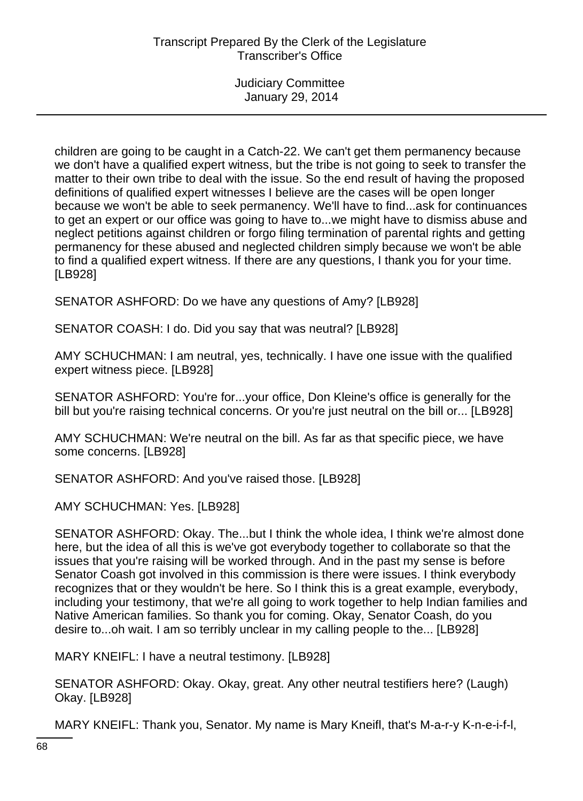children are going to be caught in a Catch-22. We can't get them permanency because we don't have a qualified expert witness, but the tribe is not going to seek to transfer the matter to their own tribe to deal with the issue. So the end result of having the proposed definitions of qualified expert witnesses I believe are the cases will be open longer because we won't be able to seek permanency. We'll have to find...ask for continuances to get an expert or our office was going to have to...we might have to dismiss abuse and neglect petitions against children or forgo filing termination of parental rights and getting permanency for these abused and neglected children simply because we won't be able to find a qualified expert witness. If there are any questions, I thank you for your time. [LB928]

SENATOR ASHFORD: Do we have any questions of Amy? [LB928]

SENATOR COASH: I do. Did you say that was neutral? [LB928]

AMY SCHUCHMAN: I am neutral, yes, technically. I have one issue with the qualified expert witness piece. [LB928]

SENATOR ASHFORD: You're for...your office, Don Kleine's office is generally for the bill but you're raising technical concerns. Or you're just neutral on the bill or... [LB928]

AMY SCHUCHMAN: We're neutral on the bill. As far as that specific piece, we have some concerns. [LB928]

SENATOR ASHFORD: And you've raised those. [LB928]

AMY SCHUCHMAN: Yes. [LB928]

SENATOR ASHFORD: Okay. The...but I think the whole idea, I think we're almost done here, but the idea of all this is we've got everybody together to collaborate so that the issues that you're raising will be worked through. And in the past my sense is before Senator Coash got involved in this commission is there were issues. I think everybody recognizes that or they wouldn't be here. So I think this is a great example, everybody, including your testimony, that we're all going to work together to help Indian families and Native American families. So thank you for coming. Okay, Senator Coash, do you desire to...oh wait. I am so terribly unclear in my calling people to the... [LB928]

MARY KNEIFL: I have a neutral testimony. [LB928]

SENATOR ASHFORD: Okay. Okay, great. Any other neutral testifiers here? (Laugh) Okay. [LB928]

MARY KNEIFL: Thank you, Senator. My name is Mary Kneifl, that's M-a-r-y K-n-e-i-f-l,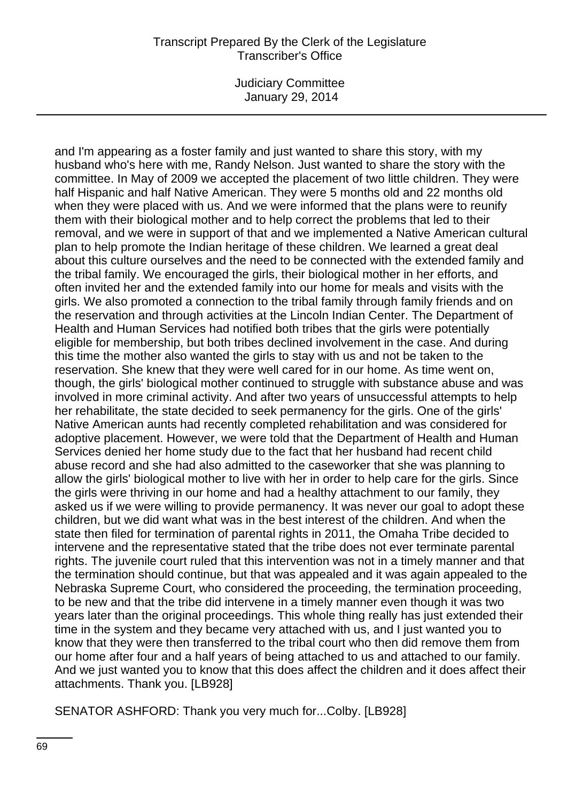Judiciary Committee January 29, 2014

and I'm appearing as a foster family and just wanted to share this story, with my husband who's here with me, Randy Nelson. Just wanted to share the story with the committee. In May of 2009 we accepted the placement of two little children. They were half Hispanic and half Native American. They were 5 months old and 22 months old when they were placed with us. And we were informed that the plans were to reunify them with their biological mother and to help correct the problems that led to their removal, and we were in support of that and we implemented a Native American cultural plan to help promote the Indian heritage of these children. We learned a great deal about this culture ourselves and the need to be connected with the extended family and the tribal family. We encouraged the girls, their biological mother in her efforts, and often invited her and the extended family into our home for meals and visits with the girls. We also promoted a connection to the tribal family through family friends and on the reservation and through activities at the Lincoln Indian Center. The Department of Health and Human Services had notified both tribes that the girls were potentially eligible for membership, but both tribes declined involvement in the case. And during this time the mother also wanted the girls to stay with us and not be taken to the reservation. She knew that they were well cared for in our home. As time went on, though, the girls' biological mother continued to struggle with substance abuse and was involved in more criminal activity. And after two years of unsuccessful attempts to help her rehabilitate, the state decided to seek permanency for the girls. One of the girls' Native American aunts had recently completed rehabilitation and was considered for adoptive placement. However, we were told that the Department of Health and Human Services denied her home study due to the fact that her husband had recent child abuse record and she had also admitted to the caseworker that she was planning to allow the girls' biological mother to live with her in order to help care for the girls. Since the girls were thriving in our home and had a healthy attachment to our family, they asked us if we were willing to provide permanency. It was never our goal to adopt these children, but we did want what was in the best interest of the children. And when the state then filed for termination of parental rights in 2011, the Omaha Tribe decided to intervene and the representative stated that the tribe does not ever terminate parental rights. The juvenile court ruled that this intervention was not in a timely manner and that the termination should continue, but that was appealed and it was again appealed to the Nebraska Supreme Court, who considered the proceeding, the termination proceeding, to be new and that the tribe did intervene in a timely manner even though it was two years later than the original proceedings. This whole thing really has just extended their time in the system and they became very attached with us, and I just wanted you to know that they were then transferred to the tribal court who then did remove them from our home after four and a half years of being attached to us and attached to our family. And we just wanted you to know that this does affect the children and it does affect their attachments. Thank you. [LB928]

SENATOR ASHFORD: Thank you very much for...Colby. [LB928]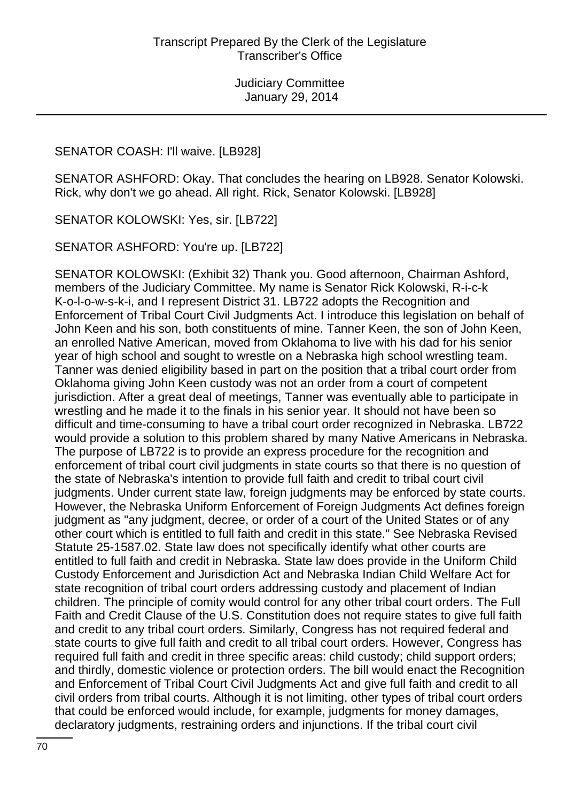#### SENATOR COASH: I'll waive. [LB928]

SENATOR ASHFORD: Okay. That concludes the hearing on LB928. Senator Kolowski. Rick, why don't we go ahead. All right. Rick, Senator Kolowski. [LB928]

SENATOR KOLOWSKI: Yes, sir. [LB722]

SENATOR ASHFORD: You're up. [LB722]

SENATOR KOLOWSKI: (Exhibit 32) Thank you. Good afternoon, Chairman Ashford, members of the Judiciary Committee. My name is Senator Rick Kolowski, R-i-c-k K-o-l-o-w-s-k-i, and I represent District 31. LB722 adopts the Recognition and Enforcement of Tribal Court Civil Judgments Act. I introduce this legislation on behalf of John Keen and his son, both constituents of mine. Tanner Keen, the son of John Keen, an enrolled Native American, moved from Oklahoma to live with his dad for his senior year of high school and sought to wrestle on a Nebraska high school wrestling team. Tanner was denied eligibility based in part on the position that a tribal court order from Oklahoma giving John Keen custody was not an order from a court of competent jurisdiction. After a great deal of meetings, Tanner was eventually able to participate in wrestling and he made it to the finals in his senior year. It should not have been so difficult and time-consuming to have a tribal court order recognized in Nebraska. LB722 would provide a solution to this problem shared by many Native Americans in Nebraska. The purpose of LB722 is to provide an express procedure for the recognition and enforcement of tribal court civil judgments in state courts so that there is no question of the state of Nebraska's intention to provide full faith and credit to tribal court civil judgments. Under current state law, foreign judgments may be enforced by state courts. However, the Nebraska Uniform Enforcement of Foreign Judgments Act defines foreign judgment as "any judgment, decree, or order of a court of the United States or of any other court which is entitled to full faith and credit in this state." See Nebraska Revised Statute 25-1587.02. State law does not specifically identify what other courts are entitled to full faith and credit in Nebraska. State law does provide in the Uniform Child Custody Enforcement and Jurisdiction Act and Nebraska Indian Child Welfare Act for state recognition of tribal court orders addressing custody and placement of Indian children. The principle of comity would control for any other tribal court orders. The Full Faith and Credit Clause of the U.S. Constitution does not require states to give full faith and credit to any tribal court orders. Similarly, Congress has not required federal and state courts to give full faith and credit to all tribal court orders. However, Congress has required full faith and credit in three specific areas: child custody; child support orders; and thirdly, domestic violence or protection orders. The bill would enact the Recognition and Enforcement of Tribal Court Civil Judgments Act and give full faith and credit to all civil orders from tribal courts. Although it is not limiting, other types of tribal court orders that could be enforced would include, for example, judgments for money damages, declaratory judgments, restraining orders and injunctions. If the tribal court civil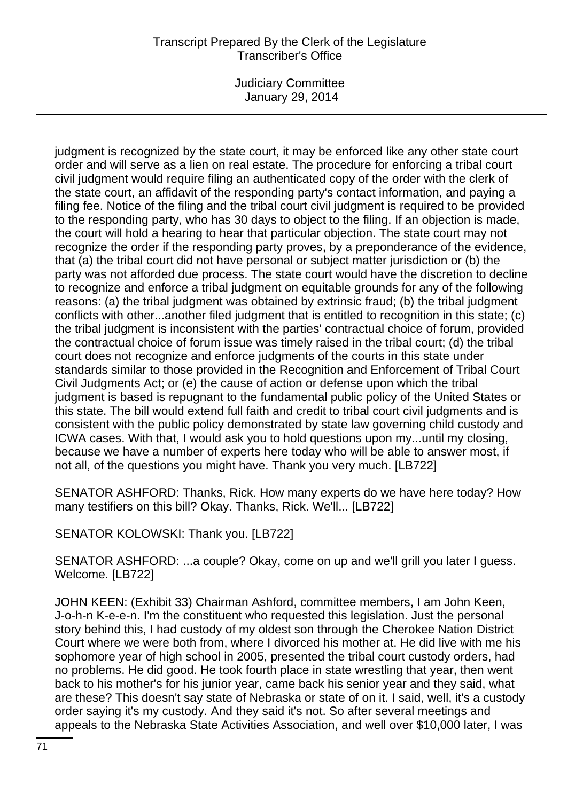Judiciary Committee January 29, 2014

judgment is recognized by the state court, it may be enforced like any other state court order and will serve as a lien on real estate. The procedure for enforcing a tribal court civil judgment would require filing an authenticated copy of the order with the clerk of the state court, an affidavit of the responding party's contact information, and paying a filing fee. Notice of the filing and the tribal court civil judgment is required to be provided to the responding party, who has 30 days to object to the filing. If an objection is made, the court will hold a hearing to hear that particular objection. The state court may not recognize the order if the responding party proves, by a preponderance of the evidence, that (a) the tribal court did not have personal or subject matter jurisdiction or (b) the party was not afforded due process. The state court would have the discretion to decline to recognize and enforce a tribal judgment on equitable grounds for any of the following reasons: (a) the tribal judgment was obtained by extrinsic fraud; (b) the tribal judgment conflicts with other...another filed judgment that is entitled to recognition in this state; (c) the tribal judgment is inconsistent with the parties' contractual choice of forum, provided the contractual choice of forum issue was timely raised in the tribal court; (d) the tribal court does not recognize and enforce judgments of the courts in this state under standards similar to those provided in the Recognition and Enforcement of Tribal Court Civil Judgments Act; or (e) the cause of action or defense upon which the tribal judgment is based is repugnant to the fundamental public policy of the United States or this state. The bill would extend full faith and credit to tribal court civil judgments and is consistent with the public policy demonstrated by state law governing child custody and ICWA cases. With that, I would ask you to hold questions upon my...until my closing, because we have a number of experts here today who will be able to answer most, if not all, of the questions you might have. Thank you very much. [LB722]

SENATOR ASHFORD: Thanks, Rick. How many experts do we have here today? How many testifiers on this bill? Okay. Thanks, Rick. We'll... [LB722]

SENATOR KOLOWSKI: Thank you. [LB722]

SENATOR ASHFORD: ...a couple? Okay, come on up and we'll grill you later I guess. Welcome. [LB722]

JOHN KEEN: (Exhibit 33) Chairman Ashford, committee members, I am John Keen, J-o-h-n K-e-e-n. I'm the constituent who requested this legislation. Just the personal story behind this, I had custody of my oldest son through the Cherokee Nation District Court where we were both from, where I divorced his mother at. He did live with me his sophomore year of high school in 2005, presented the tribal court custody orders, had no problems. He did good. He took fourth place in state wrestling that year, then went back to his mother's for his junior year, came back his senior year and they said, what are these? This doesn't say state of Nebraska or state of on it. I said, well, it's a custody order saying it's my custody. And they said it's not. So after several meetings and appeals to the Nebraska State Activities Association, and well over \$10,000 later, I was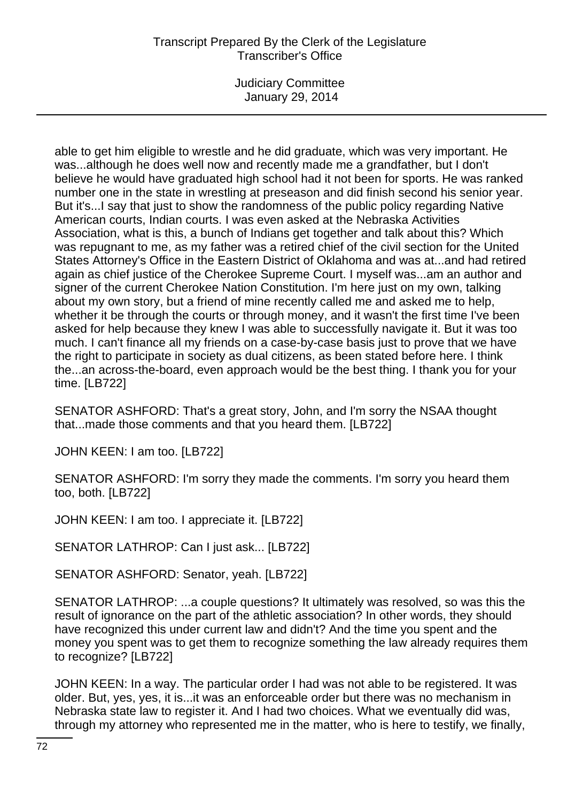Judiciary Committee January 29, 2014

able to get him eligible to wrestle and he did graduate, which was very important. He was...although he does well now and recently made me a grandfather, but I don't believe he would have graduated high school had it not been for sports. He was ranked number one in the state in wrestling at preseason and did finish second his senior year. But it's...I say that just to show the randomness of the public policy regarding Native American courts, Indian courts. I was even asked at the Nebraska Activities Association, what is this, a bunch of Indians get together and talk about this? Which was repugnant to me, as my father was a retired chief of the civil section for the United States Attorney's Office in the Eastern District of Oklahoma and was at...and had retired again as chief justice of the Cherokee Supreme Court. I myself was...am an author and signer of the current Cherokee Nation Constitution. I'm here just on my own, talking about my own story, but a friend of mine recently called me and asked me to help, whether it be through the courts or through money, and it wasn't the first time I've been asked for help because they knew I was able to successfully navigate it. But it was too much. I can't finance all my friends on a case-by-case basis just to prove that we have the right to participate in society as dual citizens, as been stated before here. I think the...an across-the-board, even approach would be the best thing. I thank you for your time. [LB722]

SENATOR ASHFORD: That's a great story, John, and I'm sorry the NSAA thought that...made those comments and that you heard them. [LB722]

JOHN KEEN: I am too. [LB722]

SENATOR ASHFORD: I'm sorry they made the comments. I'm sorry you heard them too, both. [LB722]

JOHN KEEN: I am too. I appreciate it. [LB722]

SENATOR LATHROP: Can I just ask... [LB722]

SENATOR ASHFORD: Senator, yeah. [LB722]

SENATOR LATHROP: ...a couple questions? It ultimately was resolved, so was this the result of ignorance on the part of the athletic association? In other words, they should have recognized this under current law and didn't? And the time you spent and the money you spent was to get them to recognize something the law already requires them to recognize? [LB722]

JOHN KEEN: In a way. The particular order I had was not able to be registered. It was older. But, yes, yes, it is...it was an enforceable order but there was no mechanism in Nebraska state law to register it. And I had two choices. What we eventually did was, through my attorney who represented me in the matter, who is here to testify, we finally,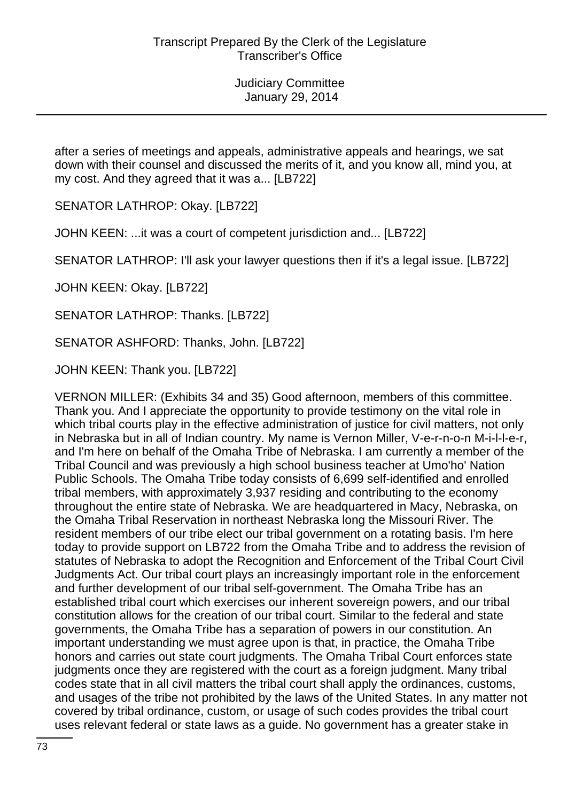after a series of meetings and appeals, administrative appeals and hearings, we sat down with their counsel and discussed the merits of it, and you know all, mind you, at my cost. And they agreed that it was a... [LB722]

SENATOR LATHROP: Okay. [LB722]

JOHN KEEN: ...it was a court of competent jurisdiction and... [LB722]

SENATOR LATHROP: I'll ask your lawyer questions then if it's a legal issue. [LB722]

JOHN KEEN: Okay. [LB722]

SENATOR LATHROP: Thanks. [LB722]

SENATOR ASHFORD: Thanks, John. [LB722]

JOHN KEEN: Thank you. [LB722]

VERNON MILLER: (Exhibits 34 and 35) Good afternoon, members of this committee. Thank you. And I appreciate the opportunity to provide testimony on the vital role in which tribal courts play in the effective administration of justice for civil matters, not only in Nebraska but in all of Indian country. My name is Vernon Miller, V-e-r-n-o-n M-i-l-l-e-r, and I'm here on behalf of the Omaha Tribe of Nebraska. I am currently a member of the Tribal Council and was previously a high school business teacher at Umo'ho' Nation Public Schools. The Omaha Tribe today consists of 6,699 self-identified and enrolled tribal members, with approximately 3,937 residing and contributing to the economy throughout the entire state of Nebraska. We are headquartered in Macy, Nebraska, on the Omaha Tribal Reservation in northeast Nebraska long the Missouri River. The resident members of our tribe elect our tribal government on a rotating basis. I'm here today to provide support on LB722 from the Omaha Tribe and to address the revision of statutes of Nebraska to adopt the Recognition and Enforcement of the Tribal Court Civil Judgments Act. Our tribal court plays an increasingly important role in the enforcement and further development of our tribal self-government. The Omaha Tribe has an established tribal court which exercises our inherent sovereign powers, and our tribal constitution allows for the creation of our tribal court. Similar to the federal and state governments, the Omaha Tribe has a separation of powers in our constitution. An important understanding we must agree upon is that, in practice, the Omaha Tribe honors and carries out state court judgments. The Omaha Tribal Court enforces state judgments once they are registered with the court as a foreign judgment. Many tribal codes state that in all civil matters the tribal court shall apply the ordinances, customs, and usages of the tribe not prohibited by the laws of the United States. In any matter not covered by tribal ordinance, custom, or usage of such codes provides the tribal court uses relevant federal or state laws as a guide. No government has a greater stake in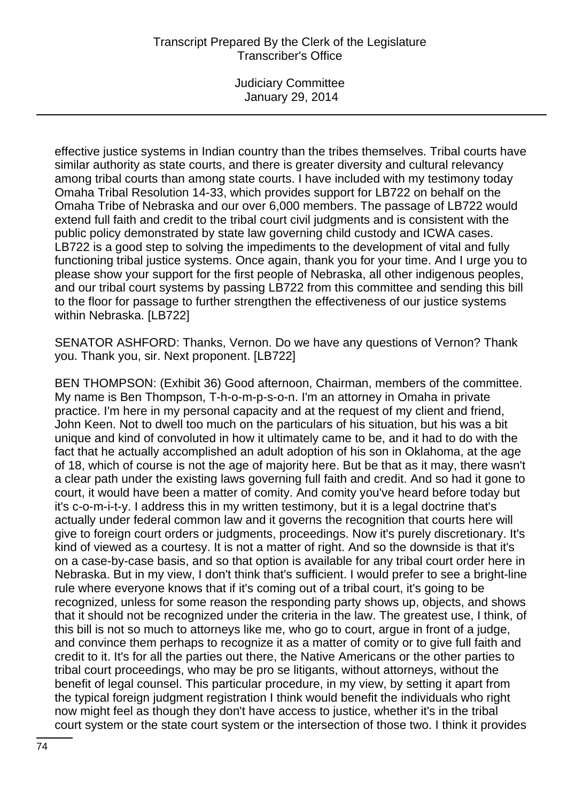## Transcript Prepared By the Clerk of the Legislature Transcriber's Office

Judiciary Committee January 29, 2014

effective justice systems in Indian country than the tribes themselves. Tribal courts have similar authority as state courts, and there is greater diversity and cultural relevancy among tribal courts than among state courts. I have included with my testimony today Omaha Tribal Resolution 14-33, which provides support for LB722 on behalf on the Omaha Tribe of Nebraska and our over 6,000 members. The passage of LB722 would extend full faith and credit to the tribal court civil judgments and is consistent with the public policy demonstrated by state law governing child custody and ICWA cases. LB722 is a good step to solving the impediments to the development of vital and fully functioning tribal justice systems. Once again, thank you for your time. And I urge you to please show your support for the first people of Nebraska, all other indigenous peoples, and our tribal court systems by passing LB722 from this committee and sending this bill to the floor for passage to further strengthen the effectiveness of our justice systems within Nebraska. [LB722]

SENATOR ASHFORD: Thanks, Vernon. Do we have any questions of Vernon? Thank you. Thank you, sir. Next proponent. [LB722]

BEN THOMPSON: (Exhibit 36) Good afternoon, Chairman, members of the committee. My name is Ben Thompson, T-h-o-m-p-s-o-n. I'm an attorney in Omaha in private practice. I'm here in my personal capacity and at the request of my client and friend, John Keen. Not to dwell too much on the particulars of his situation, but his was a bit unique and kind of convoluted in how it ultimately came to be, and it had to do with the fact that he actually accomplished an adult adoption of his son in Oklahoma, at the age of 18, which of course is not the age of majority here. But be that as it may, there wasn't a clear path under the existing laws governing full faith and credit. And so had it gone to court, it would have been a matter of comity. And comity you've heard before today but it's c-o-m-i-t-y. I address this in my written testimony, but it is a legal doctrine that's actually under federal common law and it governs the recognition that courts here will give to foreign court orders or judgments, proceedings. Now it's purely discretionary. It's kind of viewed as a courtesy. It is not a matter of right. And so the downside is that it's on a case-by-case basis, and so that option is available for any tribal court order here in Nebraska. But in my view, I don't think that's sufficient. I would prefer to see a bright-line rule where everyone knows that if it's coming out of a tribal court, it's going to be recognized, unless for some reason the responding party shows up, objects, and shows that it should not be recognized under the criteria in the law. The greatest use, I think, of this bill is not so much to attorneys like me, who go to court, argue in front of a judge, and convince them perhaps to recognize it as a matter of comity or to give full faith and credit to it. It's for all the parties out there, the Native Americans or the other parties to tribal court proceedings, who may be pro se litigants, without attorneys, without the benefit of legal counsel. This particular procedure, in my view, by setting it apart from the typical foreign judgment registration I think would benefit the individuals who right now might feel as though they don't have access to justice, whether it's in the tribal court system or the state court system or the intersection of those two. I think it provides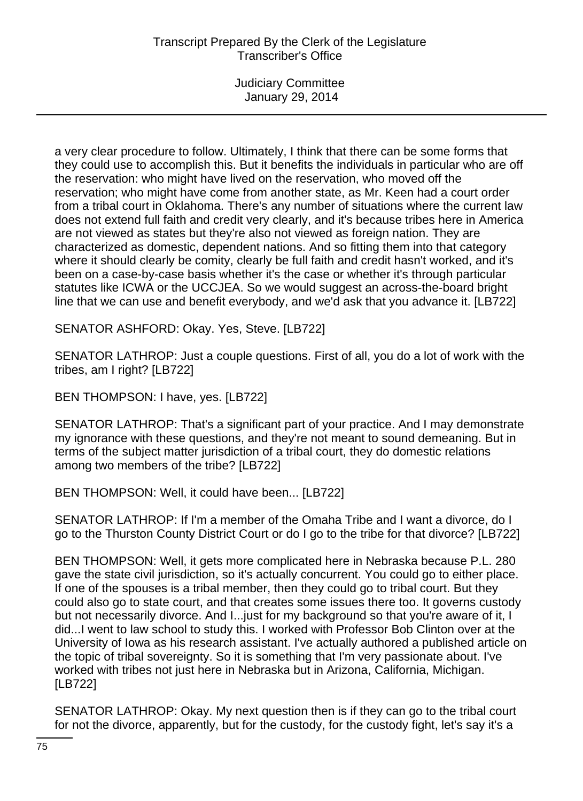a very clear procedure to follow. Ultimately, I think that there can be some forms that they could use to accomplish this. But it benefits the individuals in particular who are off the reservation: who might have lived on the reservation, who moved off the reservation; who might have come from another state, as Mr. Keen had a court order from a tribal court in Oklahoma. There's any number of situations where the current law does not extend full faith and credit very clearly, and it's because tribes here in America are not viewed as states but they're also not viewed as foreign nation. They are characterized as domestic, dependent nations. And so fitting them into that category where it should clearly be comity, clearly be full faith and credit hasn't worked, and it's been on a case-by-case basis whether it's the case or whether it's through particular statutes like ICWA or the UCCJEA. So we would suggest an across-the-board bright line that we can use and benefit everybody, and we'd ask that you advance it. [LB722]

SENATOR ASHFORD: Okay. Yes, Steve. [LB722]

SENATOR LATHROP: Just a couple questions. First of all, you do a lot of work with the tribes, am I right? [LB722]

BEN THOMPSON: I have, yes. [LB722]

SENATOR LATHROP: That's a significant part of your practice. And I may demonstrate my ignorance with these questions, and they're not meant to sound demeaning. But in terms of the subject matter jurisdiction of a tribal court, they do domestic relations among two members of the tribe? [LB722]

BEN THOMPSON: Well, it could have been... [LB722]

SENATOR LATHROP: If I'm a member of the Omaha Tribe and I want a divorce, do I go to the Thurston County District Court or do I go to the tribe for that divorce? [LB722]

BEN THOMPSON: Well, it gets more complicated here in Nebraska because P.L. 280 gave the state civil jurisdiction, so it's actually concurrent. You could go to either place. If one of the spouses is a tribal member, then they could go to tribal court. But they could also go to state court, and that creates some issues there too. It governs custody but not necessarily divorce. And I...just for my background so that you're aware of it, I did...I went to law school to study this. I worked with Professor Bob Clinton over at the University of Iowa as his research assistant. I've actually authored a published article on the topic of tribal sovereignty. So it is something that I'm very passionate about. I've worked with tribes not just here in Nebraska but in Arizona, California, Michigan. [LB722]

SENATOR LATHROP: Okay. My next question then is if they can go to the tribal court for not the divorce, apparently, but for the custody, for the custody fight, let's say it's a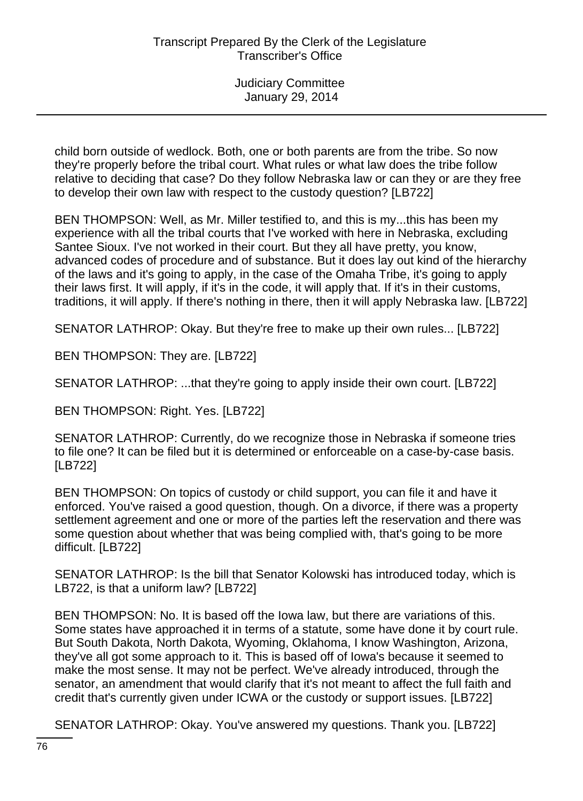child born outside of wedlock. Both, one or both parents are from the tribe. So now they're properly before the tribal court. What rules or what law does the tribe follow relative to deciding that case? Do they follow Nebraska law or can they or are they free to develop their own law with respect to the custody question? [LB722]

BEN THOMPSON: Well, as Mr. Miller testified to, and this is my...this has been my experience with all the tribal courts that I've worked with here in Nebraska, excluding Santee Sioux. I've not worked in their court. But they all have pretty, you know, advanced codes of procedure and of substance. But it does lay out kind of the hierarchy of the laws and it's going to apply, in the case of the Omaha Tribe, it's going to apply their laws first. It will apply, if it's in the code, it will apply that. If it's in their customs, traditions, it will apply. If there's nothing in there, then it will apply Nebraska law. [LB722]

SENATOR LATHROP: Okay. But they're free to make up their own rules... [LB722]

BEN THOMPSON: They are. [LB722]

SENATOR LATHROP: ...that they're going to apply inside their own court. [LB722]

BEN THOMPSON: Right. Yes. [LB722]

SENATOR LATHROP: Currently, do we recognize those in Nebraska if someone tries to file one? It can be filed but it is determined or enforceable on a case-by-case basis. [LB722]

BEN THOMPSON: On topics of custody or child support, you can file it and have it enforced. You've raised a good question, though. On a divorce, if there was a property settlement agreement and one or more of the parties left the reservation and there was some question about whether that was being complied with, that's going to be more difficult. [LB722]

SENATOR LATHROP: Is the bill that Senator Kolowski has introduced today, which is LB722, is that a uniform law? [LB722]

BEN THOMPSON: No. It is based off the Iowa law, but there are variations of this. Some states have approached it in terms of a statute, some have done it by court rule. But South Dakota, North Dakota, Wyoming, Oklahoma, I know Washington, Arizona, they've all got some approach to it. This is based off of Iowa's because it seemed to make the most sense. It may not be perfect. We've already introduced, through the senator, an amendment that would clarify that it's not meant to affect the full faith and credit that's currently given under ICWA or the custody or support issues. [LB722]

SENATOR LATHROP: Okay. You've answered my questions. Thank you. [LB722]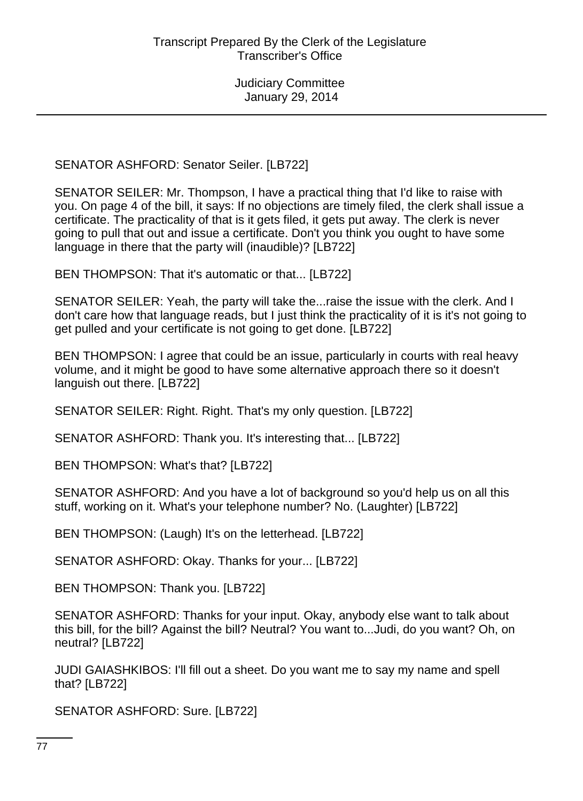SENATOR ASHFORD: Senator Seiler. [LB722]

SENATOR SEILER: Mr. Thompson, I have a practical thing that I'd like to raise with you. On page 4 of the bill, it says: If no objections are timely filed, the clerk shall issue a certificate. The practicality of that is it gets filed, it gets put away. The clerk is never going to pull that out and issue a certificate. Don't you think you ought to have some language in there that the party will (inaudible)? [LB722]

BEN THOMPSON: That it's automatic or that... [LB722]

SENATOR SEILER: Yeah, the party will take the...raise the issue with the clerk. And I don't care how that language reads, but I just think the practicality of it is it's not going to get pulled and your certificate is not going to get done. [LB722]

BEN THOMPSON: I agree that could be an issue, particularly in courts with real heavy volume, and it might be good to have some alternative approach there so it doesn't languish out there. [LB722]

SENATOR SEILER: Right. Right. That's my only question. [LB722]

SENATOR ASHFORD: Thank you. It's interesting that... [LB722]

BEN THOMPSON: What's that? [LB722]

SENATOR ASHFORD: And you have a lot of background so you'd help us on all this stuff, working on it. What's your telephone number? No. (Laughter) [LB722]

BEN THOMPSON: (Laugh) It's on the letterhead. [LB722]

SENATOR ASHFORD: Okay. Thanks for your... [LB722]

BEN THOMPSON: Thank you. [LB722]

SENATOR ASHFORD: Thanks for your input. Okay, anybody else want to talk about this bill, for the bill? Against the bill? Neutral? You want to...Judi, do you want? Oh, on neutral? [LB722]

JUDI GAIASHKIBOS: I'll fill out a sheet. Do you want me to say my name and spell that? [LB722]

SENATOR ASHFORD: Sure. [LB722]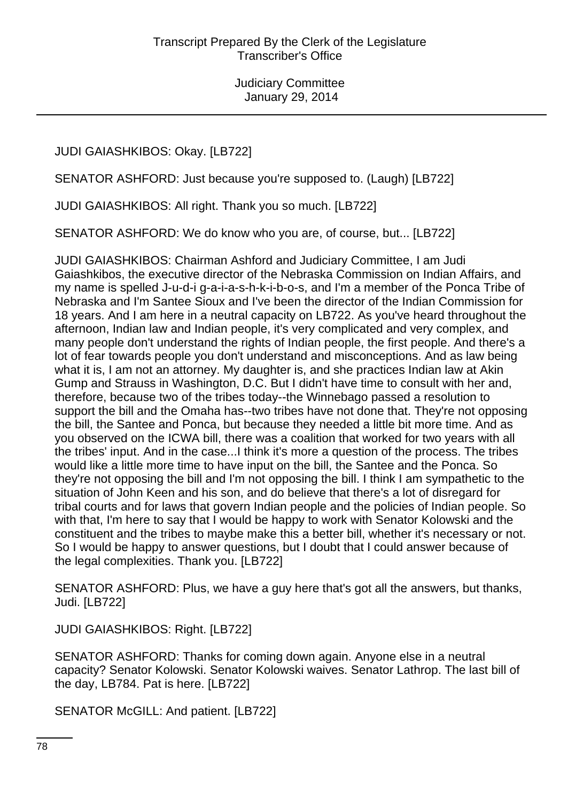JUDI GAIASHKIBOS: Okay. [LB722]

SENATOR ASHFORD: Just because you're supposed to. (Laugh) [LB722]

JUDI GAIASHKIBOS: All right. Thank you so much. [LB722]

SENATOR ASHFORD: We do know who you are, of course, but... [LB722]

JUDI GAIASHKIBOS: Chairman Ashford and Judiciary Committee, I am Judi Gaiashkibos, the executive director of the Nebraska Commission on Indian Affairs, and my name is spelled J-u-d-i g-a-i-a-s-h-k-i-b-o-s, and I'm a member of the Ponca Tribe of Nebraska and I'm Santee Sioux and I've been the director of the Indian Commission for 18 years. And I am here in a neutral capacity on LB722. As you've heard throughout the afternoon, Indian law and Indian people, it's very complicated and very complex, and many people don't understand the rights of Indian people, the first people. And there's a lot of fear towards people you don't understand and misconceptions. And as law being what it is, I am not an attorney. My daughter is, and she practices Indian law at Akin Gump and Strauss in Washington, D.C. But I didn't have time to consult with her and, therefore, because two of the tribes today--the Winnebago passed a resolution to support the bill and the Omaha has--two tribes have not done that. They're not opposing the bill, the Santee and Ponca, but because they needed a little bit more time. And as you observed on the ICWA bill, there was a coalition that worked for two years with all the tribes' input. And in the case...I think it's more a question of the process. The tribes would like a little more time to have input on the bill, the Santee and the Ponca. So they're not opposing the bill and I'm not opposing the bill. I think I am sympathetic to the situation of John Keen and his son, and do believe that there's a lot of disregard for tribal courts and for laws that govern Indian people and the policies of Indian people. So with that, I'm here to say that I would be happy to work with Senator Kolowski and the constituent and the tribes to maybe make this a better bill, whether it's necessary or not. So I would be happy to answer questions, but I doubt that I could answer because of the legal complexities. Thank you. [LB722]

SENATOR ASHFORD: Plus, we have a guy here that's got all the answers, but thanks, Judi. [LB722]

JUDI GAIASHKIBOS: Right. [LB722]

SENATOR ASHFORD: Thanks for coming down again. Anyone else in a neutral capacity? Senator Kolowski. Senator Kolowski waives. Senator Lathrop. The last bill of the day, LB784. Pat is here. [LB722]

SENATOR McGILL: And patient. [LB722]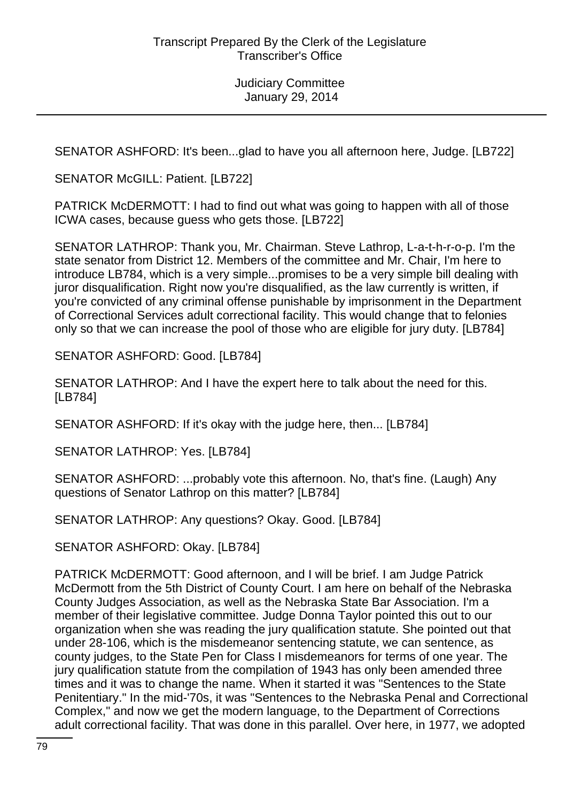SENATOR ASHFORD: It's been...glad to have you all afternoon here, Judge. [LB722]

SENATOR McGILL: Patient. [LB722]

PATRICK McDERMOTT: I had to find out what was going to happen with all of those ICWA cases, because guess who gets those. [LB722]

SENATOR LATHROP: Thank you, Mr. Chairman. Steve Lathrop, L-a-t-h-r-o-p. I'm the state senator from District 12. Members of the committee and Mr. Chair, I'm here to introduce LB784, which is a very simple...promises to be a very simple bill dealing with juror disqualification. Right now you're disqualified, as the law currently is written, if you're convicted of any criminal offense punishable by imprisonment in the Department of Correctional Services adult correctional facility. This would change that to felonies only so that we can increase the pool of those who are eligible for jury duty. [LB784]

SENATOR ASHFORD: Good. [LB784]

SENATOR LATHROP: And I have the expert here to talk about the need for this. [LB784]

SENATOR ASHFORD: If it's okay with the judge here, then... [LB784]

SENATOR LATHROP: Yes. [LB784]

SENATOR ASHFORD: ...probably vote this afternoon. No, that's fine. (Laugh) Any questions of Senator Lathrop on this matter? [LB784]

SENATOR LATHROP: Any questions? Okay. Good. [LB784]

SENATOR ASHFORD: Okay. [LB784]

PATRICK McDERMOTT: Good afternoon, and I will be brief. I am Judge Patrick McDermott from the 5th District of County Court. I am here on behalf of the Nebraska County Judges Association, as well as the Nebraska State Bar Association. I'm a member of their legislative committee. Judge Donna Taylor pointed this out to our organization when she was reading the jury qualification statute. She pointed out that under 28-106, which is the misdemeanor sentencing statute, we can sentence, as county judges, to the State Pen for Class I misdemeanors for terms of one year. The jury qualification statute from the compilation of 1943 has only been amended three times and it was to change the name. When it started it was "Sentences to the State Penitentiary." In the mid-'70s, it was "Sentences to the Nebraska Penal and Correctional Complex," and now we get the modern language, to the Department of Corrections adult correctional facility. That was done in this parallel. Over here, in 1977, we adopted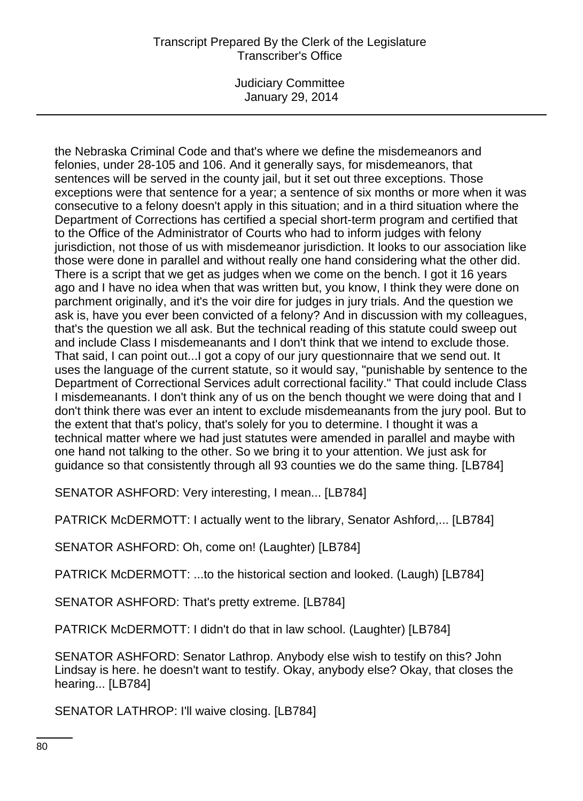## Transcript Prepared By the Clerk of the Legislature Transcriber's Office

Judiciary Committee January 29, 2014

the Nebraska Criminal Code and that's where we define the misdemeanors and felonies, under 28-105 and 106. And it generally says, for misdemeanors, that sentences will be served in the county jail, but it set out three exceptions. Those exceptions were that sentence for a year; a sentence of six months or more when it was consecutive to a felony doesn't apply in this situation; and in a third situation where the Department of Corrections has certified a special short-term program and certified that to the Office of the Administrator of Courts who had to inform judges with felony jurisdiction, not those of us with misdemeanor jurisdiction. It looks to our association like those were done in parallel and without really one hand considering what the other did. There is a script that we get as judges when we come on the bench. I got it 16 years ago and I have no idea when that was written but, you know, I think they were done on parchment originally, and it's the voir dire for judges in jury trials. And the question we ask is, have you ever been convicted of a felony? And in discussion with my colleagues, that's the question we all ask. But the technical reading of this statute could sweep out and include Class I misdemeanants and I don't think that we intend to exclude those. That said, I can point out...I got a copy of our jury questionnaire that we send out. It uses the language of the current statute, so it would say, "punishable by sentence to the Department of Correctional Services adult correctional facility." That could include Class I misdemeanants. I don't think any of us on the bench thought we were doing that and I don't think there was ever an intent to exclude misdemeanants from the jury pool. But to the extent that that's policy, that's solely for you to determine. I thought it was a technical matter where we had just statutes were amended in parallel and maybe with one hand not talking to the other. So we bring it to your attention. We just ask for guidance so that consistently through all 93 counties we do the same thing. [LB784]

SENATOR ASHFORD: Very interesting, I mean... [LB784]

PATRICK McDERMOTT: I actually went to the library, Senator Ashford,... [LB784]

SENATOR ASHFORD: Oh, come on! (Laughter) [LB784]

PATRICK McDERMOTT: ...to the historical section and looked. (Laugh) [LB784]

SENATOR ASHFORD: That's pretty extreme. [LB784]

PATRICK McDERMOTT: I didn't do that in law school. (Laughter) [LB784]

SENATOR ASHFORD: Senator Lathrop. Anybody else wish to testify on this? John Lindsay is here. he doesn't want to testify. Okay, anybody else? Okay, that closes the hearing... [LB784]

SENATOR LATHROP: I'll waive closing. [LB784]